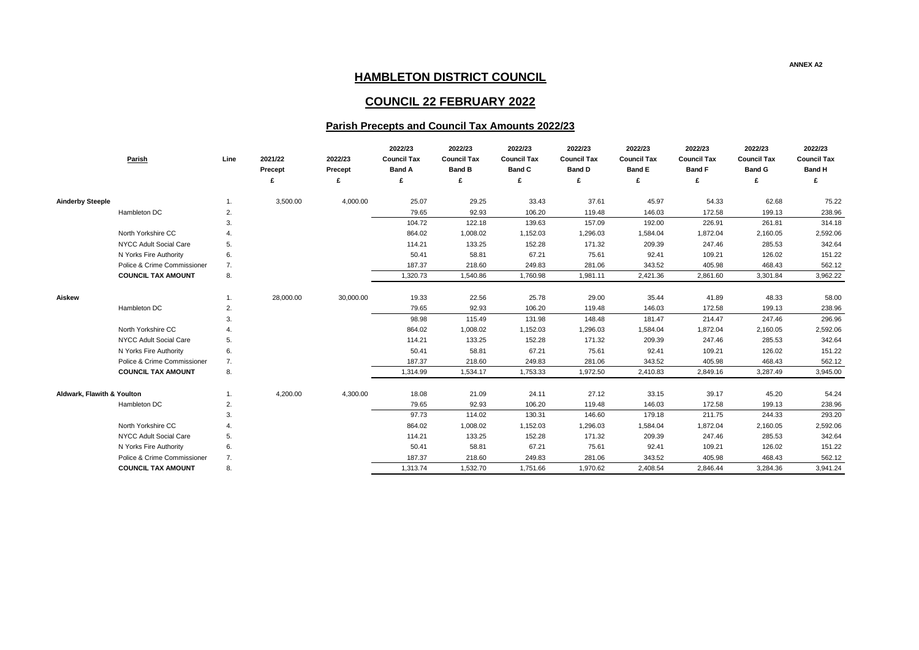## **ANNEX A2**

| 2022/23            | 2022/23            | 2022/23            |  |  |  |
|--------------------|--------------------|--------------------|--|--|--|
| <b>Council Tax</b> | <b>Council Tax</b> | <b>Council Tax</b> |  |  |  |
| <b>Band F</b>      | <b>Band G</b>      | <b>Band H</b>      |  |  |  |
| £                  | £                  | £                  |  |  |  |
|                    |                    |                    |  |  |  |
| 54.33              | 62.68              | 75.22              |  |  |  |
| 172.58             | 199.13             | 238.96             |  |  |  |
| 226.91             | 261.81             | 314.18             |  |  |  |
| 1,872.04           | 2,160.05           | 2,592.06           |  |  |  |
| 247.46             | 285.53             | 342.64             |  |  |  |
| 109.21             | 126.02             | 151.22             |  |  |  |
| 405.98             | 468.43             | 562.12             |  |  |  |
| 2,861.60           | 3,301.84           | 3,962.22           |  |  |  |
|                    |                    |                    |  |  |  |
| 41.89              | 48.33              | 58.00              |  |  |  |
| 172.58             | 199.13             | 238.96             |  |  |  |
| 214.47             | 247.46             | 296.96             |  |  |  |
| 1,872.04           | 2,160.05           | 2,592.06           |  |  |  |
| 247.46             | 285.53             | 342.64             |  |  |  |
| 109.21             | 126.02             | 151.22             |  |  |  |
| 405.98             | 468.43             | 562.12             |  |  |  |
| 2,849.16           | 3,287.49           | 3,945.00           |  |  |  |
|                    |                    |                    |  |  |  |
| 39.17              | 45.20              | 54.24              |  |  |  |
| 172.58             | 199.13             | 238.96             |  |  |  |
| 211.75             | 244.33             | 293.20             |  |  |  |
| 1,872.04           | 2,160.05           | 2,592.06           |  |  |  |
| 247.46             | 285.53             | 342.64             |  |  |  |
| 109.21             | 126.02             | 151.22             |  |  |  |
| 405.98             | 468.43             | 562.12             |  |  |  |
| 2,846.44           | 3,284.36           | 3,941.24           |  |  |  |

| Parish                     |                             | Line         | 2021/22<br><b>Precept</b> | 2022/23<br><b>Precept</b> | 2022/23<br><b>Council Tax</b><br><b>Band A</b> | 2022/23<br><b>Council Tax</b><br><b>Band B</b> | 2022/23<br><b>Council Tax</b><br><b>Band C</b> | 2022/23<br><b>Council Tax</b><br><b>Band D</b> | 2022/23<br><b>Council Tax</b><br><b>Band E</b> | 2022/23<br><b>Council Tax</b><br><b>Band F</b> | 2022/23<br><b>Council Tax</b><br><b>Band G</b> | 2022/23<br><b>Council Tax</b><br><b>Band H</b> |
|----------------------------|-----------------------------|--------------|---------------------------|---------------------------|------------------------------------------------|------------------------------------------------|------------------------------------------------|------------------------------------------------|------------------------------------------------|------------------------------------------------|------------------------------------------------|------------------------------------------------|
|                            |                             |              |                           | £                         | £                                              | £                                              |                                                |                                                | £                                              | £                                              |                                                | £                                              |
| <b>Ainderby Steeple</b>    |                             | 1.           | 3,500.00                  | 4,000.00                  | 25.07                                          | 29.25                                          | 33.43                                          | 37.61                                          | 45.97                                          | 54.33                                          | 62.68                                          | 75.22                                          |
| Hambleton DC               |                             | $\mathbf{2}$ |                           |                           | 79.65                                          | 92.93                                          | 106.20                                         | 119.48                                         | 146.03                                         | 172.58                                         | 199.13                                         | 238.96                                         |
|                            |                             | 3.           |                           |                           | 104.72                                         | 122.18                                         | 139.63                                         | 157.09                                         | 192.00                                         | 226.91                                         | 261.81                                         | 314.18                                         |
|                            | North Yorkshire CC          |              |                           |                           | 864.02                                         | 1,008.02                                       | 1,152.03                                       | 1,296.03                                       | 1,584.04                                       | 1,872.04                                       | 2,160.05                                       | 2,592.06                                       |
|                            | NYCC Adult Social Care      | 5.           |                           |                           | 114.21                                         | 133.25                                         | 152.28                                         | 171.32                                         | 209.39                                         | 247.46                                         | 285.53                                         | 342.64                                         |
|                            | N Yorks Fire Authority      | 6.           |                           |                           | 50.41                                          | 58.81                                          | 67.21                                          | 75.61                                          | 92.41                                          | 109.21                                         | 126.02                                         | 151.22                                         |
|                            | Police & Crime Commissioner | 7.           |                           |                           | 187.37                                         | 218.60                                         | 249.83                                         | 281.06                                         | 343.52                                         | 405.98                                         | 468.43                                         | 562.12                                         |
|                            | <b>COUNCIL TAX AMOUNT</b>   | 8.           |                           |                           | 1,320.73                                       | 1,540.86                                       | 1,760.98                                       | 1,981.11                                       | 2,421.36                                       | 2,861.60                                       | 3,301.84                                       | 3,962.22                                       |
| <b>Aiskew</b>              |                             | 1.           | 28,000.00                 | 30,000.00                 | 19.33                                          | 22.56                                          | 25.78                                          | 29.00                                          | 35.44                                          | 41.89                                          | 48.33                                          | 58.00                                          |
| Hambleton DC               |                             | 2.           |                           |                           | 79.65                                          | 92.93                                          | 106.20                                         | 119.48                                         | 146.03                                         | 172.58                                         | 199.13                                         | 238.96                                         |
|                            |                             | 3.           |                           |                           | 98.98                                          | 115.49                                         | 131.98                                         | 148.48                                         | 181.47                                         | 214.47                                         | 247.46                                         | 296.96                                         |
|                            | North Yorkshire CC          |              |                           |                           | 864.02                                         | 1,008.02                                       | 1,152.03                                       | 1,296.03                                       | 1,584.04                                       | 1,872.04                                       | 2,160.05                                       | 2,592.06                                       |
|                            | NYCC Adult Social Care      | 5.           |                           |                           | 114.21                                         | 133.25                                         | 152.28                                         | 171.32                                         | 209.39                                         | 247.46                                         | 285.53                                         | 342.64                                         |
|                            | N Yorks Fire Authority      | 6.           |                           |                           | 50.41                                          | 58.81                                          | 67.21                                          | 75.61                                          | 92.41                                          | 109.21                                         | 126.02                                         | 151.22                                         |
|                            | Police & Crime Commissioner | 7.           |                           |                           | 187.37                                         | 218.60                                         | 249.83                                         | 281.06                                         | 343.52                                         | 405.98                                         | 468.43                                         | 562.12                                         |
|                            | <b>COUNCIL TAX AMOUNT</b>   | 8.           |                           |                           | 1,314.99                                       | 1,534.17                                       | 1,753.33                                       | 1,972.50                                       | 2,410.83                                       | 2,849.16                                       | 3,287.49                                       | 3,945.00                                       |
| Aldwark, Flawith & Youlton |                             | 1.           | 4,200.00                  | 4,300.00                  | 18.08                                          | 21.09                                          | 24.11                                          | 27.12                                          | 33.15                                          | 39.17                                          | 45.20                                          | 54.24                                          |
| Hambleton DC               |                             | 2.           |                           |                           | 79.65                                          | 92.93                                          | 106.20                                         | 119.48                                         | 146.03                                         | 172.58                                         | 199.13                                         | 238.96                                         |
|                            |                             | 3.           |                           |                           | 97.73                                          | 114.02                                         | 130.31                                         | 146.60                                         | 179.18                                         | 211.75                                         | 244.33                                         | 293.20                                         |
|                            | North Yorkshire CC          |              |                           |                           | 864.02                                         | 1,008.02                                       | 1,152.03                                       | 1,296.03                                       | 1,584.04                                       | 1,872.04                                       | 2,160.05                                       | 2,592.06                                       |
|                            | NYCC Adult Social Care      | 5.           |                           |                           | 114.21                                         | 133.25                                         | 152.28                                         | 171.32                                         | 209.39                                         | 247.46                                         | 285.53                                         | 342.64                                         |
|                            | N Yorks Fire Authority      | 6.           |                           |                           | 50.41                                          | 58.81                                          | 67.21                                          | 75.61                                          | 92.41                                          | 109.21                                         | 126.02                                         | 151.22                                         |
|                            | Police & Crime Commissioner | 7.           |                           |                           | 187.37                                         | 218.60                                         | 249.83                                         | 281.06                                         | 343.52                                         | 405.98                                         | 468.43                                         | 562.12                                         |
|                            | <b>COUNCIL TAX AMOUNT</b>   | 8.           |                           |                           | 1,313.74                                       | 1,532.70                                       | 1,751.66                                       | 1,970.62                                       | 2,408.54                                       | 2,846.44                                       | 3,284.36                                       | 3,941.24                                       |

## **HAMBLETON DISTRICT COUNCIL**

## **COUNCIL 22 FEBRUARY 2022**

## **Parish Precepts and Council Tax Amounts 2022/23**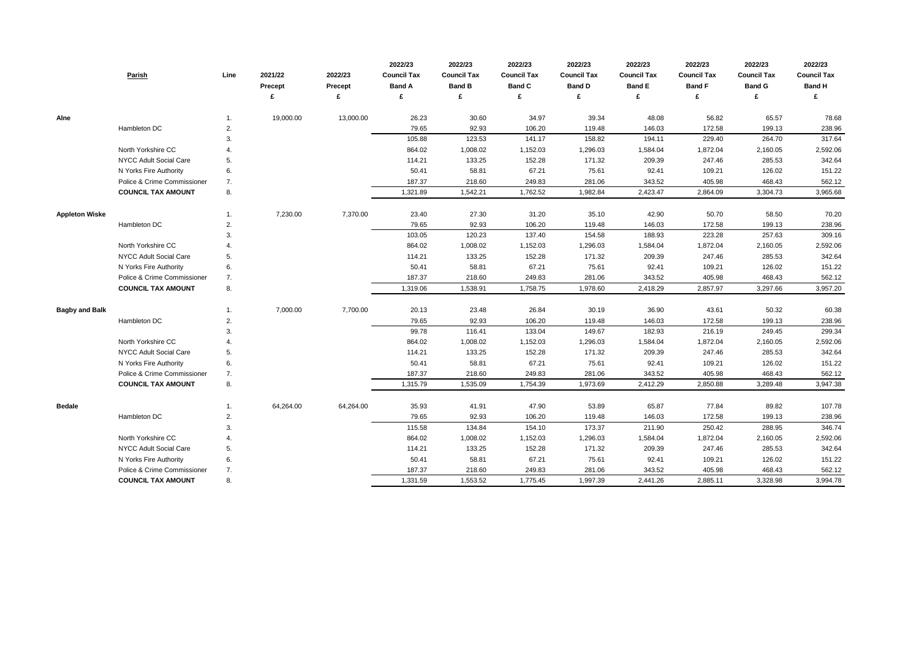|                       | <b>Parish</b>                 | Line           | 2021/22<br>Precept | 2022/23<br>Precept<br>£ | 2022/23<br><b>Council Tax</b><br><b>Band A</b><br>£ | 2022/23<br><b>Council Tax</b><br><b>Band B</b><br>£ | 2022/23<br><b>Council Tax</b><br><b>Band C</b> | 2022/23<br><b>Council Tax</b><br><b>Band D</b><br>£ | 2022/23<br><b>Council Tax</b><br><b>Band E</b><br>£ | 2022/23<br><b>Council Tax</b><br><b>Band F</b><br>£ | 2022/23<br><b>Council Tax</b><br><b>Band G</b> | 2022/23<br><b>Council Tax</b><br><b>Band H</b><br>£ |
|-----------------------|-------------------------------|----------------|--------------------|-------------------------|-----------------------------------------------------|-----------------------------------------------------|------------------------------------------------|-----------------------------------------------------|-----------------------------------------------------|-----------------------------------------------------|------------------------------------------------|-----------------------------------------------------|
| Alne                  |                               | 1.             | 19,000.00          | 13,000.00               | 26.23                                               | 30.60                                               | 34.97                                          | 39.34                                               | 48.08                                               | 56.82                                               | 65.57                                          | 78.68                                               |
|                       | Hambleton DC                  | 2.             |                    |                         | 79.65                                               | 92.93                                               | 106.20                                         | 119.48                                              | 146.03                                              | 172.58                                              | 199.13                                         | 238.96                                              |
|                       |                               | 3.             |                    |                         | 105.88                                              | 123.53                                              | 141.17                                         | 158.82                                              | 194.11                                              | 229.40                                              | 264.70                                         | 317.64                                              |
|                       | North Yorkshire CC            | 4.             |                    |                         | 864.02                                              | 1,008.02                                            | 1,152.03                                       | 1,296.03                                            | 1,584.04                                            | 1,872.04                                            | 2,160.05                                       | 2,592.06                                            |
|                       | <b>NYCC Adult Social Care</b> | 5.             |                    |                         | 114.21                                              | 133.25                                              | 152.28                                         | 171.32                                              | 209.39                                              | 247.46                                              | 285.53                                         | 342.64                                              |
|                       | N Yorks Fire Authority        | 6.             |                    |                         | 50.41                                               | 58.81                                               | 67.21                                          | 75.61                                               | 92.41                                               | 109.21                                              | 126.02                                         | 151.22                                              |
|                       | Police & Crime Commissioner   | 7.             |                    |                         | 187.37                                              | 218.60                                              | 249.83                                         | 281.06                                              | 343.52                                              | 405.98                                              | 468.43                                         | 562.12                                              |
|                       | <b>COUNCIL TAX AMOUNT</b>     | 8.             |                    |                         | 1,321.89                                            | 1,542.21                                            | 1,762.52                                       | 1,982.84                                            | 2,423.47                                            | 2,864.09                                            | 3,304.73                                       | 3,965.68                                            |
| <b>Appleton Wiske</b> |                               | 1.             | 7,230.00           | 7,370.00                | 23.40                                               | 27.30                                               | 31.20                                          | 35.10                                               | 42.90                                               | 50.70                                               | 58.50                                          | 70.20                                               |
|                       | Hambleton DC                  | 2.             |                    |                         | 79.65                                               | 92.93                                               | 106.20                                         | 119.48                                              | 146.03                                              | 172.58                                              | 199.13                                         | 238.96                                              |
|                       |                               | 3.             |                    |                         | 103.05                                              | 120.23                                              | 137.40                                         | 154.58                                              | 188.93                                              | 223.28                                              | 257.63                                         | 309.16                                              |
|                       | North Yorkshire CC            | $\overline{4}$ |                    |                         | 864.02                                              | 1,008.02                                            | 1,152.03                                       | 1,296.03                                            | 1,584.04                                            | 1,872.04                                            | 2,160.05                                       | 2,592.06                                            |
|                       | NYCC Adult Social Care        | 5.             |                    |                         | 114.21                                              | 133.25                                              | 152.28                                         | 171.32                                              | 209.39                                              | 247.46                                              | 285.53                                         | 342.64                                              |
|                       | N Yorks Fire Authority        | 6.             |                    |                         | 50.41                                               | 58.81                                               | 67.21                                          | 75.61                                               | 92.41                                               | 109.21                                              | 126.02                                         | 151.22                                              |
|                       | Police & Crime Commissioner   | 7.             |                    |                         | 187.37                                              | 218.60                                              | 249.83                                         | 281.06                                              | 343.52                                              | 405.98                                              | 468.43                                         | 562.12                                              |
|                       | <b>COUNCIL TAX AMOUNT</b>     | 8.             |                    |                         | 1,319.06                                            | 1,538.91                                            | 1,758.75                                       | 1,978.60                                            | 2,418.29                                            | 2,857.97                                            | 3,297.66                                       | 3,957.20                                            |
| <b>Bagby and Balk</b> |                               |                | 7,000.00           | 7,700.00                | 20.13                                               | 23.48                                               | 26.84                                          | 30.19                                               | 36.90                                               | 43.61                                               | 50.32                                          | 60.38                                               |
|                       | Hambleton DC                  | 2.             |                    |                         | 79.65                                               | 92.93                                               | 106.20                                         | 119.48                                              | 146.03                                              | 172.58                                              | 199.13                                         | 238.96                                              |
|                       |                               | 3.             |                    |                         | 99.78                                               | 116.41                                              | 133.04                                         | 149.67                                              | 182.93                                              | 216.19                                              | 249.45                                         | 299.34                                              |
|                       | North Yorkshire CC            | 4.             |                    |                         | 864.02                                              | 1,008.02                                            | 1,152.03                                       | 1,296.03                                            | 1,584.04                                            | 1,872.04                                            | 2,160.05                                       | 2,592.06                                            |
|                       | NYCC Adult Social Care        | 5.             |                    |                         | 114.21                                              | 133.25                                              | 152.28                                         | 171.32                                              | 209.39                                              | 247.46                                              | 285.53                                         | 342.64                                              |
|                       | N Yorks Fire Authority        | 6.             |                    |                         | 50.41                                               | 58.81                                               | 67.21                                          | 75.61                                               | 92.41                                               | 109.21                                              | 126.02                                         | 151.22                                              |
|                       | Police & Crime Commissioner   | 7.             |                    |                         | 187.37                                              | 218.60                                              | 249.83                                         | 281.06                                              | 343.52                                              | 405.98                                              | 468.43                                         | 562.12                                              |
|                       | <b>COUNCIL TAX AMOUNT</b>     | 8.             |                    |                         | 1,315.79                                            | 1,535.09                                            | 1,754.39                                       | 1,973.69                                            | 2,412.29                                            | 2,850.88                                            | 3,289.48                                       | 3,947.38                                            |
| <b>Bedale</b>         |                               | 1.             | 64,264.00          | 64,264.00               | 35.93                                               | 41.91                                               | 47.90                                          | 53.89                                               | 65.87                                               | 77.84                                               | 89.82                                          | 107.78                                              |
|                       | Hambleton DC                  | 2.             |                    |                         | 79.65                                               | 92.93                                               | 106.20                                         | 119.48                                              | 146.03                                              | 172.58                                              | 199.13                                         | 238.96                                              |
|                       |                               | 3.             |                    |                         | 115.58                                              | 134.84                                              | 154.10                                         | 173.37                                              | 211.90                                              | 250.42                                              | 288.95                                         | 346.74                                              |
|                       | North Yorkshire CC            | 4.             |                    |                         | 864.02                                              | 1,008.02                                            | 1,152.03                                       | 1,296.03                                            | 1,584.04                                            | 1,872.04                                            | 2,160.05                                       | 2,592.06                                            |
|                       | NYCC Adult Social Care        | 5.             |                    |                         | 114.21                                              | 133.25                                              | 152.28                                         | 171.32                                              | 209.39                                              | 247.46                                              | 285.53                                         | 342.64                                              |
|                       | N Yorks Fire Authority        | 6.             |                    |                         | 50.41                                               | 58.81                                               | 67.21                                          | 75.61                                               | 92.41                                               | 109.21                                              | 126.02                                         | 151.22                                              |
|                       | Police & Crime Commissioner   | 7.             |                    |                         | 187.37                                              | 218.60                                              | 249.83                                         | 281.06                                              | 343.52                                              | 405.98                                              | 468.43                                         | 562.12                                              |
|                       | <b>COUNCIL TAX AMOUNT</b>     | 8.             |                    |                         | 1,331.59                                            | 1,553.52                                            | 1,775.45                                       | 1,997.39                                            | 2,441.26                                            | 2,885.11                                            | 3,328.98                                       | 3,994.78                                            |

| 2022/23            | 2022/23            | 2022/23            |
|--------------------|--------------------|--------------------|
| <b>Council Tax</b> | <b>Council Tax</b> | <b>Council Tax</b> |
| <b>Band F</b>      | <b>Band G</b>      | <b>Band H</b>      |
| £                  | £                  | £                  |
|                    |                    |                    |
| 56.82              | 65.57              | 78.68              |
| 172.58             | 199.13             | 238.96             |
| 229.40             | 264.70             | 317.64             |
| 1,872.04           | 2,160.05           | 2,592.06           |
| 247.46             | 285.53             | 342.64             |
| 109.21             | 126.02             | 151.22             |
| 405.98             | 468.43             | 562.12             |
| 2,864.09           | 3,304.73           | 3,965.68           |
|                    |                    |                    |
| 50.70              | 58.50              | 70.20              |
| 172.58             | 199.13             | 238.96             |
| 223.28             | 257.63             | 309.16             |
| 1,872.04           | 2,160.05           | 2,592.06           |
| 247.46             | 285.53             | 342.64             |
| 109.21             | 126.02             | 151.22             |
| 405.98             | 468.43             | 562.12             |
| 2,857.97           | 3,297.66           | 3,957.20           |
|                    |                    |                    |
| 43.61              | 50.32              | 60.38              |
| 172.58             | 199.13             | 238.96             |
| 216.19             | 249.45             | 299.34             |
| 1,872.04           | 2,160.05           | 2,592.06           |
| 247.46             | 285.53             | 342.64             |
| 109.21             | 126.02             | 151.22             |
| 405.98             | 468.43             | 562.12             |
| 2,850.88           | 3,289.48           | 3,947.38           |
|                    |                    |                    |
| 77.84              | 89.82              | 107.78             |
| 172.58             | 199.13             | 238.96             |
| 250.42             | 288.95             | 346.74             |
| 1,872.04           | 2,160.05           | 2,592.06           |
| 247.46             | 285.53             | 342.64             |
| 109.21             | 126.02             | 151.22             |
| 405.98             | 468.43             | 562.12             |
| 2,885.11           | 3,328.98           | 3,994.78           |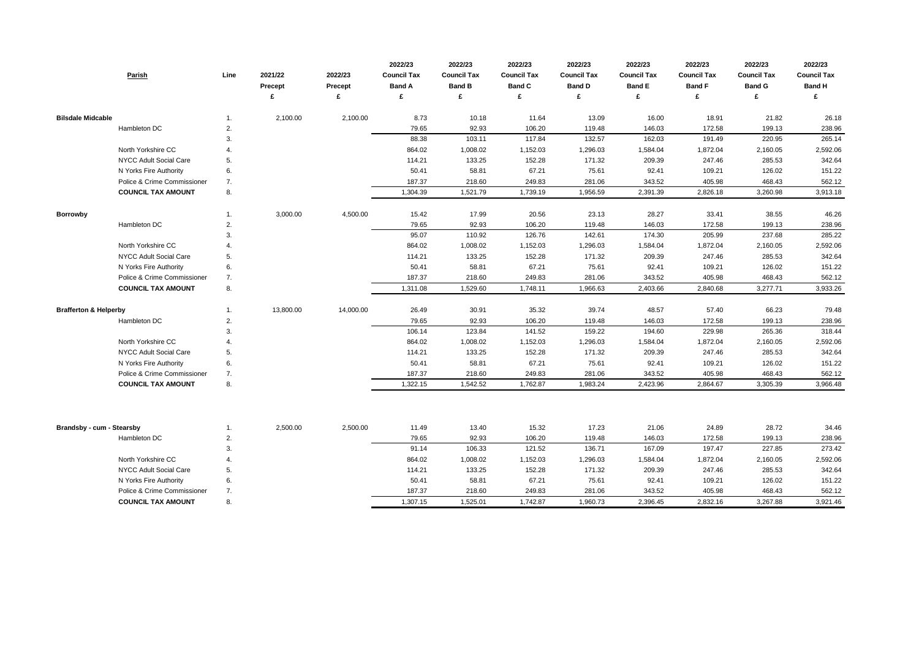|                                  | Parish                        | Line | 2021/22<br>Precept<br>£ | 2022/23<br><b>Precept</b><br>£ | 2022/23<br><b>Council Tax</b><br><b>Band A</b><br>£ | 2022/23<br><b>Council Tax</b><br><b>Band B</b><br>£ | 2022/23<br><b>Council Tax</b><br><b>Band C</b><br>£ | 2022/23<br><b>Council Tax</b><br><b>Band D</b><br>£ | 2022/23<br><b>Council Tax</b><br><b>Band E</b><br>£ | 2022/23<br><b>Council Tax</b><br><b>Band F</b><br>£ | 2022/23<br><b>Council Tax</b><br><b>Band G</b><br>£ | 2022/23<br><b>Council Tax</b><br><b>Band H</b><br>£ |
|----------------------------------|-------------------------------|------|-------------------------|--------------------------------|-----------------------------------------------------|-----------------------------------------------------|-----------------------------------------------------|-----------------------------------------------------|-----------------------------------------------------|-----------------------------------------------------|-----------------------------------------------------|-----------------------------------------------------|
|                                  |                               |      |                         |                                |                                                     |                                                     |                                                     |                                                     |                                                     |                                                     |                                                     |                                                     |
| <b>Bilsdale Midcable</b>         |                               | 1.   | 2,100.00                | 2,100.00                       | 8.73                                                | 10.18                                               | 11.64                                               | 13.09                                               | 16.00                                               | 18.91                                               | 21.82                                               | 26.18                                               |
|                                  | Hambleton DC                  | 2.   |                         |                                | 79.65                                               | 92.93                                               | 106.20                                              | 119.48                                              | 146.03                                              | 172.58                                              | 199.13                                              | 238.96                                              |
|                                  |                               | 3.   |                         |                                | 88.38                                               | 103.11                                              | 117.84                                              | 132.57                                              | 162.03                                              | 191.49                                              | 220.95                                              | 265.14                                              |
|                                  | North Yorkshire CC            | 4.   |                         |                                | 864.02                                              | 1,008.02                                            | 1,152.03                                            | 1,296.03                                            | 1,584.04                                            | 1,872.04                                            | 2,160.05                                            | 2,592.06                                            |
|                                  | NYCC Adult Social Care        | 5.   |                         |                                | 114.21                                              | 133.25                                              | 152.28                                              | 171.32                                              | 209.39                                              | 247.46                                              | 285.53                                              | 342.64                                              |
|                                  | N Yorks Fire Authority        | 6.   |                         |                                | 50.41                                               | 58.81                                               | 67.21                                               | 75.61                                               | 92.41                                               | 109.21                                              | 126.02                                              | 151.22                                              |
|                                  | Police & Crime Commissioner   | 7.   |                         |                                | 187.37                                              | 218.60                                              | 249.83                                              | 281.06                                              | 343.52                                              | 405.98                                              | 468.43                                              | 562.12                                              |
|                                  | <b>COUNCIL TAX AMOUNT</b>     | 8.   |                         |                                | 1,304.39                                            | 1,521.79                                            | 1,739.19                                            | 1,956.59                                            | 2,391.39                                            | 2,826.18                                            | 3,260.98                                            | 3,913.18                                            |
| <b>Borrowby</b>                  |                               | 1.   | 3,000.00                | 4,500.00                       | 15.42                                               | 17.99                                               | 20.56                                               | 23.13                                               | 28.27                                               | 33.41                                               | 38.55                                               | 46.26                                               |
|                                  | Hambleton DC                  | 2.   |                         |                                | 79.65                                               | 92.93                                               | 106.20                                              | 119.48                                              | 146.03                                              | 172.58                                              | 199.13                                              | 238.96                                              |
|                                  |                               | 3.   |                         |                                | 95.07                                               | 110.92                                              | 126.76                                              | 142.61                                              | 174.30                                              | 205.99                                              | 237.68                                              | 285.22                                              |
|                                  | North Yorkshire CC            | 4.   |                         |                                | 864.02                                              | 1,008.02                                            | 1,152.03                                            | 1,296.03                                            | 1,584.04                                            | 1,872.04                                            | 2,160.05                                            | 2,592.06                                            |
|                                  | NYCC Adult Social Care        | 5.   |                         |                                | 114.21                                              | 133.25                                              | 152.28                                              | 171.32                                              | 209.39                                              | 247.46                                              | 285.53                                              | 342.64                                              |
|                                  | N Yorks Fire Authority        | 6.   |                         |                                | 50.41                                               | 58.81                                               | 67.21                                               | 75.61                                               | 92.41                                               | 109.21                                              | 126.02                                              | 151.22                                              |
|                                  | Police & Crime Commissioner   | 7.   |                         |                                | 187.37                                              | 218.60                                              | 249.83                                              | 281.06                                              | 343.52                                              | 405.98                                              | 468.43                                              | 562.12                                              |
|                                  | <b>COUNCIL TAX AMOUNT</b>     | 8.   |                         |                                | 1,311.08                                            | 1,529.60                                            | 1,748.11                                            | 1,966.63                                            | 2,403.66                                            | 2,840.68                                            | 3,277.71                                            | 3,933.26                                            |
| <b>Brafferton &amp; Helperby</b> |                               | 1.   | 13,800.00               | 14,000.00                      | 26.49                                               | 30.91                                               | 35.32                                               | 39.74                                               | 48.57                                               | 57.40                                               | 66.23                                               | 79.48                                               |
|                                  | Hambleton DC                  | 2.   |                         |                                | 79.65                                               | 92.93                                               | 106.20                                              | 119.48                                              | 146.03                                              | 172.58                                              | 199.13                                              | 238.96                                              |
|                                  |                               | 3.   |                         |                                | 106.14                                              | 123.84                                              | 141.52                                              | 159.22                                              | 194.60                                              | 229.98                                              | 265.36                                              | 318.44                                              |
|                                  | North Yorkshire CC            | 4.   |                         |                                | 864.02                                              | 1,008.02                                            | 1,152.03                                            | 1,296.03                                            | 1,584.04                                            | 1,872.04                                            | 2,160.05                                            | 2,592.06                                            |
|                                  | NYCC Adult Social Care        | 5.   |                         |                                | 114.21                                              | 133.25                                              | 152.28                                              | 171.32                                              | 209.39                                              | 247.46                                              | 285.53                                              | 342.64                                              |
|                                  | N Yorks Fire Authority        | 6.   |                         |                                | 50.41                                               | 58.81                                               | 67.21                                               | 75.61                                               | 92.41                                               | 109.21                                              | 126.02                                              | 151.22                                              |
|                                  | Police & Crime Commissioner   | 7.   |                         |                                | 187.37                                              | 218.60                                              | 249.83                                              | 281.06                                              | 343.52                                              | 405.98                                              | 468.43                                              | 562.12                                              |
|                                  | <b>COUNCIL TAX AMOUNT</b>     | 8.   |                         |                                | 1,322.15                                            | 1,542.52                                            | 1,762.87                                            | 1,983.24                                            | 2,423.96                                            | 2,864.67                                            | 3,305.39                                            | 3,966.48                                            |
|                                  |                               |      |                         |                                |                                                     |                                                     |                                                     |                                                     |                                                     |                                                     |                                                     |                                                     |
| <b>Brandsby - cum - Stearsby</b> |                               | 1.   | 2,500.00                | 2,500.00                       | 11.49                                               | 13.40                                               | 15.32                                               | 17.23                                               | 21.06                                               | 24.89                                               | 28.72                                               | 34.46                                               |
|                                  | Hambleton DC                  | 2.   |                         |                                | 79.65                                               | 92.93                                               | 106.20                                              | 119.48                                              | 146.03                                              | 172.58                                              | 199.13                                              | 238.96                                              |
|                                  |                               | 3.   |                         |                                | 91.14                                               | 106.33                                              | 121.52                                              | 136.71                                              | 167.09                                              | 197.47                                              | 227.85                                              | 273.42                                              |
|                                  | North Yorkshire CC            | 4.   |                         |                                | 864.02                                              | 1,008.02                                            | 1,152.03                                            | 1,296.03                                            | 1,584.04                                            | 1,872.04                                            | 2,160.05                                            | 2,592.06                                            |
|                                  | <b>NYCC Adult Social Care</b> | 5.   |                         |                                | 114.21                                              | 133.25                                              | 152.28                                              | 171.32                                              | 209.39                                              | 247.46                                              | 285.53                                              | 342.64                                              |
|                                  | N Yorks Fire Authority        | 6.   |                         |                                | 50.41                                               | 58.81                                               | 67.21                                               | 75.61                                               | 92.41                                               | 109.21                                              | 126.02                                              | 151.22                                              |
|                                  | Police & Crime Commissioner   | 7.   |                         |                                | 187.37                                              | 218.60                                              | 249.83                                              | 281.06                                              | 343.52                                              | 405.98                                              | 468.43                                              | 562.12                                              |
|                                  | <b>COUNCIL TAX AMOUNT</b>     | 8.   |                         |                                | 1,307.15                                            | 1,525.01                                            | 1,742.87                                            | 1,960.73                                            | 2,396.45                                            | 2,832.16                                            | 3,267.88                                            | 3,921.46                                            |

| 2022/23            | 2022/23            | 2022/23            |  |  |  |
|--------------------|--------------------|--------------------|--|--|--|
| <b>Council Tax</b> | <b>Council Tax</b> | <b>Council Tax</b> |  |  |  |
| <b>Band F</b>      | <b>Band G</b>      | <b>Band H</b>      |  |  |  |
| £                  | £                  | £                  |  |  |  |
|                    |                    |                    |  |  |  |
| 18.91              | 21.82              | 26.18              |  |  |  |
| 172.58             | 199.13             | 238.96             |  |  |  |
| 191.49             | 220.95             | 265.14             |  |  |  |
| 1,872.04           | 2,160.05           | 2,592.06           |  |  |  |
| 247.46             | 285.53             | 342.64             |  |  |  |
| 109.21             | 126.02             | 151.22             |  |  |  |
| 405.98             | 468.43             | 562.12             |  |  |  |
| 2,826.18           | 3,260.98           | 3,913.18           |  |  |  |
|                    |                    |                    |  |  |  |
| 33.41              | 38.55              | 46.26              |  |  |  |
| 172.58             | 199.13             | 238.96             |  |  |  |
| 205.99             | 237.68             | 285.22             |  |  |  |
| 1,872.04           | 2,160.05           | 2,592.06           |  |  |  |
| 247.46             | 285.53             | 342.64             |  |  |  |
| 109.21             | 126.02             | 151.22             |  |  |  |
| 405.98             | 468.43             | 562.12             |  |  |  |
| 2,840.68           | 3,277.71           | 3,933.26           |  |  |  |
|                    |                    |                    |  |  |  |
| 57.40              | 66.23              | 79.48              |  |  |  |
| 172.58             | 199.13             | 238.96             |  |  |  |
| 229.98             | 265.36             | 318.44             |  |  |  |
| 1,872.04           | 2,160.05           | 2,592.06           |  |  |  |
| 247.46             | 285.53             | 342.64             |  |  |  |
| 109.21             | 126.02             | 151.22             |  |  |  |
| 405.98             | 468.43             | 562.12             |  |  |  |
| 2,864.67           | 3,305.39           | 3,966.48           |  |  |  |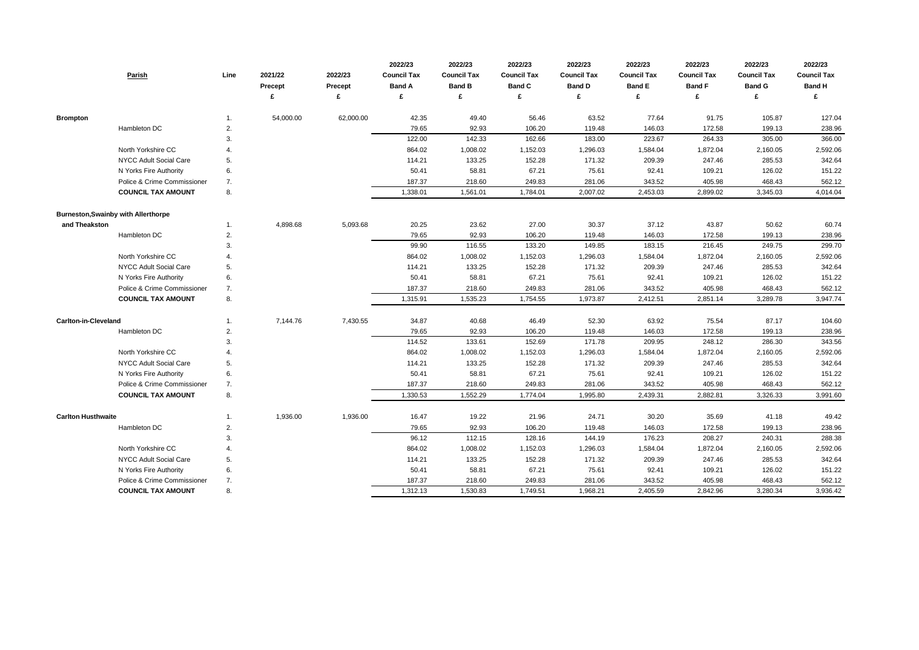| Parish                                     | Line | 2021/22<br>Precept | 2022/23<br><b>Precept</b><br>£ | 2022/23<br><b>Council Tax</b><br><b>Band A</b><br>£ | 2022/23<br><b>Council Tax</b><br><b>Band B</b><br>£ | 2022/23<br><b>Council Tax</b><br><b>Band C</b> | 2022/23<br><b>Council Tax</b><br><b>Band D</b> | 2022/23<br><b>Council Tax</b><br><b>Band E</b><br>£ | 2022/23<br><b>Council Tax</b><br><b>Band F</b><br>£ | 2022/23<br><b>Council Tax</b><br><b>Band G</b> | 2022/23<br><b>Council Tax</b><br><b>Band H</b> |
|--------------------------------------------|------|--------------------|--------------------------------|-----------------------------------------------------|-----------------------------------------------------|------------------------------------------------|------------------------------------------------|-----------------------------------------------------|-----------------------------------------------------|------------------------------------------------|------------------------------------------------|
| <b>Brompton</b>                            | 1.   | 54,000.00          | 62,000.00                      | 42.35                                               | 49.40                                               | 56.46                                          | 63.52                                          | 77.64                                               | 91.75                                               | 105.87                                         | 127.04                                         |
| Hambleton DC                               | 2.   |                    |                                | 79.65                                               | 92.93                                               | 106.20                                         | 119.48                                         | 146.03                                              | 172.58                                              | 199.13                                         | 238.96                                         |
|                                            | 3.   |                    |                                | 122.00                                              | 142.33                                              | 162.66                                         | 183.00                                         | 223.67                                              | 264.33                                              | 305.00                                         | 366.00                                         |
| North Yorkshire CC                         | 4.   |                    |                                | 864.02                                              | 1,008.02                                            | 1,152.03                                       | 1,296.03                                       | 1,584.04                                            | 1,872.04                                            | 2,160.05                                       | 2,592.06                                       |
| NYCC Adult Social Care                     | 5.   |                    |                                | 114.21                                              | 133.25                                              | 152.28                                         | 171.32                                         | 209.39                                              | 247.46                                              | 285.53                                         | 342.64                                         |
| N Yorks Fire Authority                     | 6.   |                    |                                | 50.41                                               | 58.81                                               | 67.21                                          | 75.61                                          | 92.41                                               | 109.21                                              | 126.02                                         | 151.22                                         |
| Police & Crime Commissioner                | 7.   |                    |                                | 187.37                                              | 218.60                                              | 249.83                                         | 281.06                                         | 343.52                                              | 405.98                                              | 468.43                                         | 562.12                                         |
| <b>COUNCIL TAX AMOUNT</b>                  | 8.   |                    |                                | 1,338.01                                            | 1,561.01                                            | 1,784.01                                       | 2,007.02                                       | 2,453.03                                            | 2,899.02                                            | 3,345.03                                       | 4,014.04                                       |
| <b>Burneston, Swainby with Allerthorpe</b> |      |                    |                                |                                                     |                                                     |                                                |                                                |                                                     |                                                     |                                                |                                                |
| and Theakston                              | 1.   | 4,898.68           | 5,093.68                       | 20.25                                               | 23.62                                               | 27.00                                          | 30.37                                          | 37.12                                               | 43.87                                               | 50.62                                          | 60.74                                          |
| Hambleton DC                               | 2.   |                    |                                | 79.65                                               | 92.93                                               | 106.20                                         | 119.48                                         | 146.03                                              | 172.58                                              | 199.13                                         | 238.96                                         |
|                                            | 3.   |                    |                                | 99.90                                               | 116.55                                              | 133.20                                         | 149.85                                         | 183.15                                              | 216.45                                              | 249.75                                         | 299.70                                         |
| North Yorkshire CC                         |      |                    |                                | 864.02                                              | 1,008.02                                            | 1,152.03                                       | 1,296.03                                       | 1,584.04                                            | 1,872.04                                            | 2,160.05                                       | 2,592.06                                       |
| NYCC Adult Social Care                     | 5.   |                    |                                | 114.21                                              | 133.25                                              | 152.28                                         | 171.32                                         | 209.39                                              | 247.46                                              | 285.53                                         | 342.64                                         |
| N Yorks Fire Authority                     | 6.   |                    |                                | 50.41                                               | 58.81                                               | 67.21                                          | 75.61                                          | 92.41                                               | 109.21                                              | 126.02                                         | 151.22                                         |
| Police & Crime Commissioner                | 7.   |                    |                                | 187.37                                              | 218.60                                              | 249.83                                         | 281.06                                         | 343.52                                              | 405.98                                              | 468.43                                         | 562.12                                         |
| <b>COUNCIL TAX AMOUNT</b>                  | 8.   |                    |                                | 1,315.91                                            | 1,535.23                                            | 1,754.55                                       | 1,973.87                                       | 2,412.51                                            | 2,851.14                                            | 3,289.78                                       | 3,947.74                                       |
| <b>Carlton-in-Cleveland</b>                | 1.   | 7,144.76           | 7,430.55                       | 34.87                                               | 40.68                                               | 46.49                                          | 52.30                                          | 63.92                                               | 75.54                                               | 87.17                                          | 104.60                                         |
| Hambleton DC                               | 2.   |                    |                                | 79.65                                               | 92.93                                               | 106.20                                         | 119.48                                         | 146.03                                              | 172.58                                              | 199.13                                         | 238.96                                         |
|                                            | 3.   |                    |                                | 114.52                                              | 133.61                                              | 152.69                                         | 171.78                                         | 209.95                                              | 248.12                                              | 286.30                                         | 343.56                                         |
| North Yorkshire CC                         | 4.   |                    |                                | 864.02                                              | 1,008.02                                            | 1,152.03                                       | 1,296.03                                       | 1,584.04                                            | 1,872.04                                            | 2,160.05                                       | 2,592.06                                       |
| NYCC Adult Social Care                     | 5.   |                    |                                | 114.21                                              | 133.25                                              | 152.28                                         | 171.32                                         | 209.39                                              | 247.46                                              | 285.53                                         | 342.64                                         |
| N Yorks Fire Authority                     | 6.   |                    |                                | 50.41                                               | 58.81                                               | 67.21                                          | 75.61                                          | 92.41                                               | 109.21                                              | 126.02                                         | 151.22                                         |
| Police & Crime Commissioner                | 7.   |                    |                                | 187.37                                              | 218.60                                              | 249.83                                         | 281.06                                         | 343.52                                              | 405.98                                              | 468.43                                         | 562.12                                         |
| <b>COUNCIL TAX AMOUNT</b>                  | 8.   |                    |                                | 1,330.53                                            | 1,552.29                                            | 1,774.04                                       | 1,995.80                                       | 2,439.31                                            | 2,882.81                                            | 3,326.33                                       | 3,991.60                                       |
| <b>Carlton Husthwaite</b>                  | 1.   | 1,936.00           | 1,936.00                       | 16.47                                               | 19.22                                               | 21.96                                          | 24.71                                          | 30.20                                               | 35.69                                               | 41.18                                          | 49.42                                          |
| Hambleton DC                               | 2.   |                    |                                | 79.65                                               | 92.93                                               | 106.20                                         | 119.48                                         | 146.03                                              | 172.58                                              | 199.13                                         | 238.96                                         |
|                                            | 3.   |                    |                                | 96.12                                               | 112.15                                              | 128.16                                         | 144.19                                         | 176.23                                              | 208.27                                              | 240.31                                         | 288.38                                         |
| North Yorkshire CC                         | 4.   |                    |                                | 864.02                                              | 1,008.02                                            | 1,152.03                                       | 1,296.03                                       | 1,584.04                                            | 1,872.04                                            | 2,160.05                                       | 2,592.06                                       |
| NYCC Adult Social Care                     | 5.   |                    |                                | 114.21                                              | 133.25                                              | 152.28                                         | 171.32                                         | 209.39                                              | 247.46                                              | 285.53                                         | 342.64                                         |
| N Yorks Fire Authority                     | 6.   |                    |                                | 50.41                                               | 58.81                                               | 67.21                                          | 75.61                                          | 92.41                                               | 109.21                                              | 126.02                                         | 151.22                                         |
| Police & Crime Commissioner                | 7.   |                    |                                | 187.37                                              | 218.60                                              | 249.83                                         | 281.06                                         | 343.52                                              | 405.98                                              | 468.43                                         | 562.12                                         |
| <b>COUNCIL TAX AMOUNT</b>                  | 8.   |                    |                                | 1,312.13                                            | 1,530.83                                            | 1,749.51                                       | 1,968.21                                       | 2,405.59                                            | 2,842.96                                            | 3,280.34                                       | 3,936.42                                       |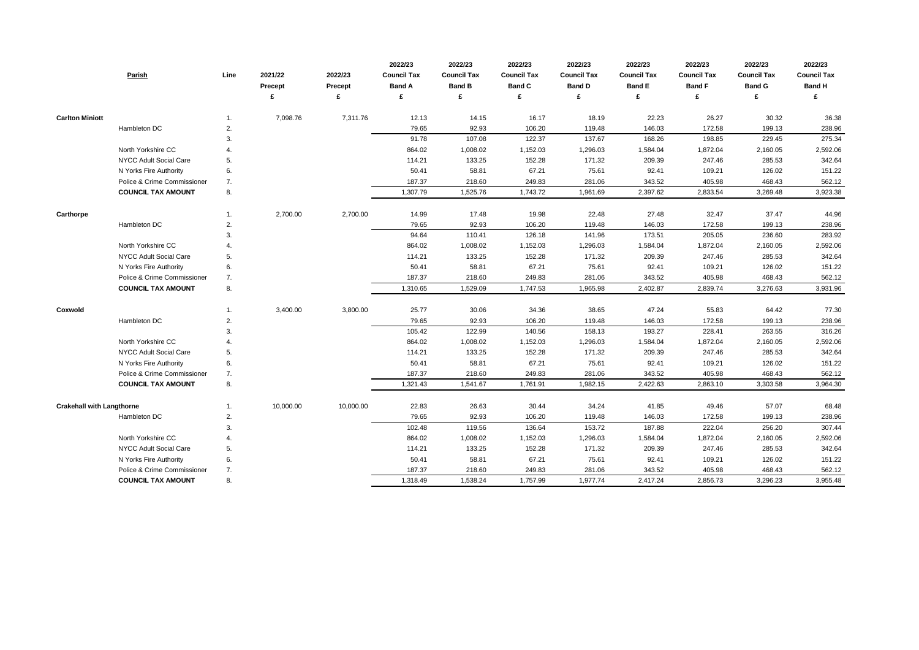| <b>Parish</b>                    |                             | Line | 2021/22<br><b>Precept</b> | 2022/23<br><b>Precept</b> | 2022/23<br><b>Council Tax</b><br><b>Band A</b><br>£ | 2022/23<br><b>Council Tax</b><br><b>Band B</b> | 2022/23<br><b>Council Tax</b><br><b>Band C</b> | 2022/23<br><b>Council Tax</b><br><b>Band D</b> | 2022/23<br><b>Council Tax</b><br><b>Band E</b><br>£ | 2022/23<br><b>Council Tax</b><br><b>Band F</b><br>£ | 2022/23<br><b>Council Tax</b><br><b>Band G</b> | 2022/23<br><b>Council Tax</b><br><b>Band H</b><br>£ |
|----------------------------------|-----------------------------|------|---------------------------|---------------------------|-----------------------------------------------------|------------------------------------------------|------------------------------------------------|------------------------------------------------|-----------------------------------------------------|-----------------------------------------------------|------------------------------------------------|-----------------------------------------------------|
|                                  |                             |      |                           |                           |                                                     |                                                |                                                |                                                |                                                     |                                                     |                                                |                                                     |
| <b>Carlton Miniott</b>           |                             | 1.   | 7,098.76                  | 7,311.76                  | 12.13                                               | 14.15                                          | 16.17                                          | 18.19                                          | 22.23                                               | 26.27                                               | 30.32                                          | 36.38                                               |
| Hambleton DC                     |                             | 2.   |                           |                           | 79.65                                               | 92.93                                          | 106.20                                         | 119.48                                         | 146.03                                              | 172.58                                              | 199.13                                         | 238.96                                              |
|                                  |                             | 3.   |                           |                           | 91.78                                               | 107.08                                         | 122.37                                         | 137.67                                         | 168.26                                              | 198.85                                              | 229.45                                         | 275.34                                              |
| North Yorkshire CC               |                             |      |                           |                           | 864.02                                              | 1,008.02                                       | 1,152.03                                       | 1,296.03                                       | 1,584.04                                            | 1,872.04                                            | 2,160.05                                       | 2,592.06                                            |
| NYCC Adult Social Care           |                             | 5.   |                           |                           | 114.21                                              | 133.25                                         | 152.28                                         | 171.32                                         | 209.39                                              | 247.46                                              | 285.53                                         | 342.64                                              |
| N Yorks Fire Authority           |                             | 6.   |                           |                           | 50.41                                               | 58.81                                          | 67.21                                          | 75.61                                          | 92.41                                               | 109.21                                              | 126.02                                         | 151.22                                              |
|                                  | Police & Crime Commissioner | 7.   |                           |                           | 187.37                                              | 218.60                                         | 249.83                                         | 281.06                                         | 343.52                                              | 405.98                                              | 468.43                                         | 562.12                                              |
| <b>COUNCIL TAX AMOUNT</b>        |                             | 8.   |                           |                           | 1,307.79                                            | 1,525.76                                       | 1,743.72                                       | 1,961.69                                       | 2,397.62                                            | 2,833.54                                            | 3,269.48                                       | 3,923.38                                            |
| Carthorpe                        |                             | 1.   | 2,700.00                  | 2,700.00                  | 14.99                                               | 17.48                                          | 19.98                                          | 22.48                                          | 27.48                                               | 32.47                                               | 37.47                                          | 44.96                                               |
| Hambleton DC                     |                             | 2.   |                           |                           | 79.65                                               | 92.93                                          | 106.20                                         | 119.48                                         | 146.03                                              | 172.58                                              | 199.13                                         | 238.96                                              |
|                                  |                             | 3.   |                           |                           | 94.64                                               | 110.41                                         | 126.18                                         | 141.96                                         | 173.51                                              | 205.05                                              | 236.60                                         | 283.92                                              |
| North Yorkshire CC               |                             |      |                           |                           | 864.02                                              | 1,008.02                                       | 1,152.03                                       | 1,296.03                                       | 1,584.04                                            | 1,872.04                                            | 2,160.05                                       | 2,592.06                                            |
| NYCC Adult Social Care           |                             | 5.   |                           |                           | 114.21                                              | 133.25                                         | 152.28                                         | 171.32                                         | 209.39                                              | 247.46                                              | 285.53                                         | 342.64                                              |
| N Yorks Fire Authority           |                             | 6.   |                           |                           | 50.41                                               | 58.81                                          | 67.21                                          | 75.61                                          | 92.41                                               | 109.21                                              | 126.02                                         | 151.22                                              |
|                                  | Police & Crime Commissioner | 7.   |                           |                           | 187.37                                              | 218.60                                         | 249.83                                         | 281.06                                         | 343.52                                              | 405.98                                              | 468.43                                         | 562.12                                              |
| <b>COUNCIL TAX AMOUNT</b>        |                             | 8.   |                           |                           | 1,310.65                                            | 1,529.09                                       | 1,747.53                                       | 1,965.98                                       | 2,402.87                                            | 2,839.74                                            | 3,276.63                                       | 3,931.96                                            |
| Coxwold                          |                             | 1.   | 3,400.00                  | 3,800.00                  | 25.77                                               | 30.06                                          | 34.36                                          | 38.65                                          | 47.24                                               | 55.83                                               | 64.42                                          | 77.30                                               |
| Hambleton DC                     |                             | 2.   |                           |                           | 79.65                                               | 92.93                                          | 106.20                                         | 119.48                                         | 146.03                                              | 172.58                                              | 199.13                                         | 238.96                                              |
|                                  |                             | 3.   |                           |                           | 105.42                                              | 122.99                                         | 140.56                                         | 158.13                                         | 193.27                                              | 228.41                                              | 263.55                                         | 316.26                                              |
| North Yorkshire CC               |                             |      |                           |                           | 864.02                                              | 1,008.02                                       | 1,152.03                                       | 1,296.03                                       | 1,584.04                                            | 1,872.04                                            | 2,160.05                                       | 2,592.06                                            |
| NYCC Adult Social Care           |                             | 5.   |                           |                           | 114.21                                              | 133.25                                         | 152.28                                         | 171.32                                         | 209.39                                              | 247.46                                              | 285.53                                         | 342.64                                              |
| N Yorks Fire Authority           |                             | 6.   |                           |                           | 50.41                                               | 58.81                                          | 67.21                                          | 75.61                                          | 92.41                                               | 109.21                                              | 126.02                                         | 151.22                                              |
|                                  | Police & Crime Commissioner | 7.   |                           |                           | 187.37                                              | 218.60                                         | 249.83                                         | 281.06                                         | 343.52                                              | 405.98                                              | 468.43                                         | 562.12                                              |
| <b>COUNCIL TAX AMOUNT</b>        |                             | 8.   |                           |                           | 1,321.43                                            | 1,541.67                                       | 1,761.91                                       | 1,982.15                                       | 2,422.63                                            | 2,863.10                                            | 3,303.58                                       | 3,964.30                                            |
| <b>Crakehall with Langthorne</b> |                             | 1.   | 10,000.00                 | 10,000.00                 | 22.83                                               | 26.63                                          | 30.44                                          | 34.24                                          | 41.85                                               | 49.46                                               | 57.07                                          | 68.48                                               |
| Hambleton DC                     |                             | 2.   |                           |                           | 79.65                                               | 92.93                                          | 106.20                                         | 119.48                                         | 146.03                                              | 172.58                                              | 199.13                                         | 238.96                                              |
|                                  |                             | 3.   |                           |                           | 102.48                                              | 119.56                                         | 136.64                                         | 153.72                                         | 187.88                                              | 222.04                                              | 256.20                                         | 307.44                                              |
| North Yorkshire CC               |                             | 4.   |                           |                           | 864.02                                              | 1,008.02                                       | 1,152.03                                       | 1,296.03                                       | 1,584.04                                            | 1,872.04                                            | 2,160.05                                       | 2,592.06                                            |
| NYCC Adult Social Care           |                             | 5.   |                           |                           | 114.21                                              | 133.25                                         | 152.28                                         | 171.32                                         | 209.39                                              | 247.46                                              | 285.53                                         | 342.64                                              |
| N Yorks Fire Authority           |                             | 6.   |                           |                           | 50.41                                               | 58.81                                          | 67.21                                          | 75.61                                          | 92.41                                               | 109.21                                              | 126.02                                         | 151.22                                              |
|                                  | Police & Crime Commissioner | 7.   |                           |                           | 187.37                                              | 218.60                                         | 249.83                                         | 281.06                                         | 343.52                                              | 405.98                                              | 468.43                                         | 562.12                                              |
| <b>COUNCIL TAX AMOUNT</b>        |                             | 8.   |                           |                           | 1,318.49                                            | 1,538.24                                       | 1,757.99                                       | 1,977.74                                       | 2,417.24                                            | 2,856.73                                            | 3,296.23                                       | 3,955.48                                            |

| 2022/23            | 2022/23            | 2022/23            |
|--------------------|--------------------|--------------------|
| <b>Council Tax</b> | <b>Council Tax</b> | <b>Council Tax</b> |
| <b>Band F</b>      | <b>Band G</b>      | <b>Band H</b>      |
| £                  | £                  | £                  |
|                    |                    |                    |
| 26.27              | 30.32              | 36.38              |
| 172.58             | 199.13             | 238.96             |
| 198.85             | 229.45             | 275.34             |
| 1,872.04           | 2,160.05           | 2,592.06           |
| 247.46             | 285.53             | 342.64             |
| 109.21             | 126.02             | 151.22             |
| 405.98             | 468.43             | 562.12             |
| 2,833.54           | 3,269.48           | 3,923.38           |
|                    |                    |                    |
| 32.47              | 37.47              | 44.96              |
| 172.58             | 199.13             | 238.96             |
| 205.05             | 236.60             | 283.92             |
| 1,872.04           | 2,160.05           | 2,592.06           |
| 247.46             | 285.53             | 342.64             |
| 109.21             | 126.02             | 151.22             |
| 405.98             | 468.43             | 562.12             |
| 2,839.74           | 3,276.63           | 3,931.96           |
|                    |                    |                    |
| 55.83              | 64.42              | 77.30              |
| 172.58             | 199.13             | 238.96             |
| 228.41             | 263.55             | 316.26             |
| 1,872.04           | 2,160.05           | 2,592.06           |
| 247.46             | 285.53             | 342.64             |
| 109.21             | 126.02             | 151.22             |
| 405.98             | 468.43             | 562.12             |
| 2,863.10           | 3,303.58           | 3,964.30           |
|                    |                    |                    |
| 49.46              | 57.07              | 68.48              |
| 172.58             | 199.13             | 238.96             |
| 222.04             | 256.20             | 307.44             |
| 1,872.04           | 2,160.05           | 2,592.06           |
| 247.46             | 285.53             | 342.64             |
| 109.21             | 126.02             | 151.22             |
| 405.98             | 468.43             | 562.12             |
| 2,856.73           | 3,296.23           | 3,955.48           |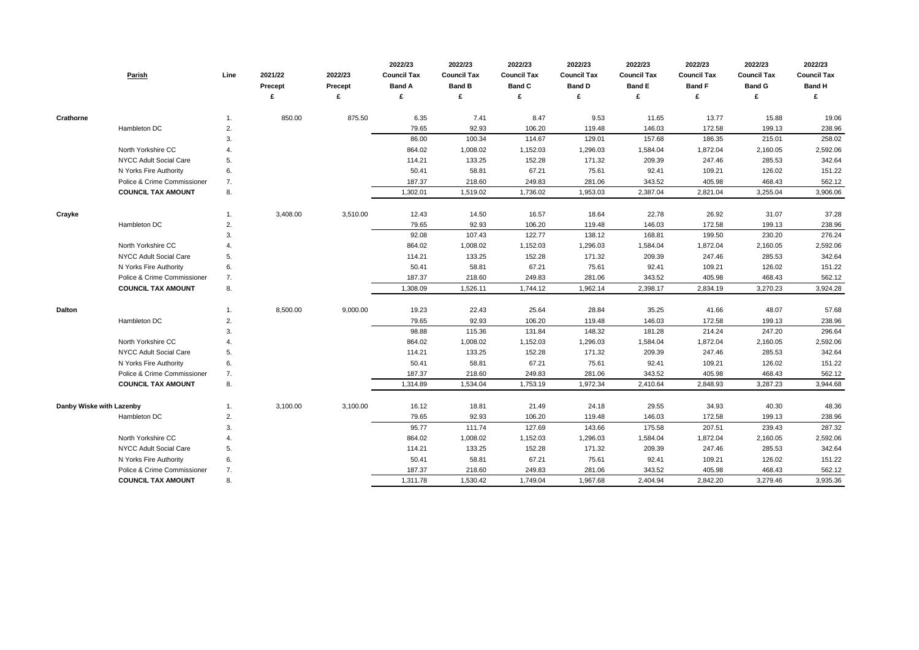| <b>Parish</b>               | Line         | 2021/22<br><b>Precept</b> | 2022/23<br><b>Precept</b><br>£ | 2022/23<br><b>Council Tax</b><br><b>Band A</b><br>£ | 2022/23<br><b>Council Tax</b><br><b>Band B</b> | 2022/23<br><b>Council Tax</b><br><b>Band C</b><br>£ | 2022/23<br><b>Council Tax</b><br><b>Band D</b><br>£ | 2022/23<br><b>Council Tax</b><br><b>Band E</b><br>£ | 2022/23<br><b>Council Tax</b><br><b>Band F</b><br>£ | 2022/23<br><b>Council Tax</b><br><b>Band G</b> | 2022/23<br><b>Council Tax</b><br><b>Band H</b><br>£ |
|-----------------------------|--------------|---------------------------|--------------------------------|-----------------------------------------------------|------------------------------------------------|-----------------------------------------------------|-----------------------------------------------------|-----------------------------------------------------|-----------------------------------------------------|------------------------------------------------|-----------------------------------------------------|
|                             |              |                           |                                |                                                     |                                                |                                                     |                                                     |                                                     |                                                     |                                                |                                                     |
| <b>Crathorne</b>            | 1.           | 850.00                    | 875.50                         | 6.35                                                | 7.41                                           | 8.47                                                | 9.53                                                | 11.65                                               | 13.77                                               | 15.88                                          | 19.06                                               |
| Hambleton DC                | 2.           |                           |                                | 79.65                                               | 92.93                                          | 106.20                                              | 119.48                                              | 146.03                                              | 172.58                                              | 199.13                                         | 238.96                                              |
|                             | 3.           |                           |                                | 86.00                                               | 100.34                                         | 114.67                                              | 129.01                                              | 157.68                                              | 186.35                                              | 215.01                                         | 258.02                                              |
| North Yorkshire CC          |              |                           |                                | 864.02                                              | 1,008.02                                       | 1,152.03                                            | 1,296.03                                            | 1,584.04                                            | 1,872.04                                            | 2,160.05                                       | 2,592.06                                            |
| NYCC Adult Social Care      | 5.           |                           |                                | 114.21                                              | 133.25                                         | 152.28                                              | 171.32                                              | 209.39                                              | 247.46                                              | 285.53                                         | 342.64                                              |
| N Yorks Fire Authority      | 6.           |                           |                                | 50.41                                               | 58.81                                          | 67.21                                               | 75.61                                               | 92.41                                               | 109.21                                              | 126.02                                         | 151.22                                              |
| Police & Crime Commissioner | 7.           |                           |                                | 187.37                                              | 218.60                                         | 249.83                                              | 281.06                                              | 343.52                                              | 405.98                                              | 468.43                                         | 562.12                                              |
| <b>COUNCIL TAX AMOUNT</b>   | 8.           |                           |                                | 1,302.01                                            | 1,519.02                                       | 1,736.02                                            | 1,953.03                                            | 2,387.04                                            | 2,821.04                                            | 3,255.04                                       | 3,906.06                                            |
| Crayke                      | .1           | 3,408.00                  | 3,510.00                       | 12.43                                               | 14.50                                          | 16.57                                               | 18.64                                               | 22.78                                               | 26.92                                               | 31.07                                          | 37.28                                               |
| Hambleton DC                | 2.           |                           |                                | 79.65                                               | 92.93                                          | 106.20                                              | 119.48                                              | 146.03                                              | 172.58                                              | 199.13                                         | 238.96                                              |
|                             | 3.           |                           |                                | 92.08                                               | 107.43                                         | 122.77                                              | 138.12                                              | 168.81                                              | 199.50                                              | 230.20                                         | 276.24                                              |
| North Yorkshire CC          |              |                           |                                | 864.02                                              | 1,008.02                                       | 1,152.03                                            | 1,296.03                                            | 1,584.04                                            | 1,872.04                                            | 2,160.05                                       | 2,592.06                                            |
| NYCC Adult Social Care      | 5.           |                           |                                | 114.21                                              | 133.25                                         | 152.28                                              | 171.32                                              | 209.39                                              | 247.46                                              | 285.53                                         | 342.64                                              |
| N Yorks Fire Authority      | 6.           |                           |                                | 50.41                                               | 58.81                                          | 67.21                                               | 75.61                                               | 92.41                                               | 109.21                                              | 126.02                                         | 151.22                                              |
| Police & Crime Commissioner | 7.           |                           |                                | 187.37                                              | 218.60                                         | 249.83                                              | 281.06                                              | 343.52                                              | 405.98                                              | 468.43                                         | 562.12                                              |
| <b>COUNCIL TAX AMOUNT</b>   | 8.           |                           |                                | 1,308.09                                            | 1,526.11                                       | 1,744.12                                            | 1,962.14                                            | 2,398.17                                            | 2,834.19                                            | 3,270.23                                       | 3,924.28                                            |
| Dalton                      | 1.           | 8,500.00                  | 9,000.00                       | 19.23                                               | 22.43                                          | 25.64                                               | 28.84                                               | 35.25                                               | 41.66                                               | 48.07                                          | 57.68                                               |
| Hambleton DC                | $\mathbf{2}$ |                           |                                | 79.65                                               | 92.93                                          | 106.20                                              | 119.48                                              | 146.03                                              | 172.58                                              | 199.13                                         | 238.96                                              |
|                             | 3.           |                           |                                | 98.88                                               | 115.36                                         | 131.84                                              | 148.32                                              | 181.28                                              | 214.24                                              | 247.20                                         | 296.64                                              |
| North Yorkshire CC          |              |                           |                                | 864.02                                              | 1,008.02                                       | 1,152.03                                            | 1,296.03                                            | 1,584.04                                            | 1,872.04                                            | 2,160.05                                       | 2,592.06                                            |
| NYCC Adult Social Care      | 5.           |                           |                                | 114.21                                              | 133.25                                         | 152.28                                              | 171.32                                              | 209.39                                              | 247.46                                              | 285.53                                         | 342.64                                              |
| N Yorks Fire Authority      | 6.           |                           |                                | 50.41                                               | 58.81                                          | 67.21                                               | 75.61                                               | 92.41                                               | 109.21                                              | 126.02                                         | 151.22                                              |
| Police & Crime Commissioner | 7.           |                           |                                | 187.37                                              | 218.60                                         | 249.83                                              | 281.06                                              | 343.52                                              | 405.98                                              | 468.43                                         | 562.12                                              |
| <b>COUNCIL TAX AMOUNT</b>   | 8.           |                           |                                | 1,314.89                                            | 1,534.04                                       | 1,753.19                                            | 1,972.34                                            | 2,410.64                                            | 2,848.93                                            | 3,287.23                                       | 3,944.68                                            |
| Danby Wiske with Lazenby    | 1.           | 3,100.00                  | 3,100.00                       | 16.12                                               | 18.81                                          | 21.49                                               | 24.18                                               | 29.55                                               | 34.93                                               | 40.30                                          | 48.36                                               |
| Hambleton DC                | 2.           |                           |                                | 79.65                                               | 92.93                                          | 106.20                                              | 119.48                                              | 146.03                                              | 172.58                                              | 199.13                                         | 238.96                                              |
|                             | 3.           |                           |                                | 95.77                                               | 111.74                                         | 127.69                                              | 143.66                                              | 175.58                                              | 207.51                                              | 239.43                                         | 287.32                                              |
| North Yorkshire CC          |              |                           |                                | 864.02                                              |                                                | 1,152.03                                            |                                                     |                                                     | 1,872.04                                            |                                                | 2,592.06                                            |
| NYCC Adult Social Care      | 4.           |                           |                                | 114.21                                              | 1,008.02<br>133.25                             | 152.28                                              | 1,296.03<br>171.32                                  | 1,584.04<br>209.39                                  | 247.46                                              | 2,160.05<br>285.53                             | 342.64                                              |
| N Yorks Fire Authority      | 5.<br>6.     |                           |                                | 50.41                                               | 58.81                                          | 67.21                                               | 75.61                                               | 92.41                                               | 109.21                                              | 126.02                                         | 151.22                                              |
| Police & Crime Commissioner |              |                           |                                | 187.37                                              |                                                |                                                     |                                                     |                                                     |                                                     |                                                |                                                     |
|                             | 7.           |                           |                                |                                                     | 218.60                                         | 249.83                                              | 281.06                                              | 343.52                                              | 405.98                                              | 468.43                                         | 562.12                                              |
| <b>COUNCIL TAX AMOUNT</b>   | 8.           |                           |                                | 1,311.78                                            | 1,530.42                                       | 1,749.04                                            | 1,967.68                                            | 2,404.94                                            | 2,842.20                                            | 3,279.46                                       | 3,935.36                                            |

| 2022/23            | 2022/23            | 2022/23            |  |  |  |
|--------------------|--------------------|--------------------|--|--|--|
| <b>Council Tax</b> | <b>Council Tax</b> | <b>Council Tax</b> |  |  |  |
| <b>Band F</b>      | <b>Band G</b>      | <b>Band H</b>      |  |  |  |
| £                  | £                  | £                  |  |  |  |
|                    |                    |                    |  |  |  |
| 13.77              | 15.88              | 19.06              |  |  |  |
| 172.58             | 199.13             | 238.96             |  |  |  |
| 186.35             | 215.01             | 258.02             |  |  |  |
| 1,872.04           | 2,160.05           | 2,592.06           |  |  |  |
| 247.46             | 285.53             | 342.64             |  |  |  |
| 109.21             | 126.02             | 151.22             |  |  |  |
| 405.98             | 468.43             | 562.12             |  |  |  |
| 2,821.04           | 3,255.04           | 3,906.06           |  |  |  |
|                    |                    |                    |  |  |  |
| 26.92              | 31.07              | 37.28              |  |  |  |
| 172.58             | 199.13             | 238.96             |  |  |  |
| 199.50             | 230.20             | 276.24             |  |  |  |
| 1,872.04           | 2,160.05           | 2,592.06           |  |  |  |
| 247.46             | 285.53             | 342.64             |  |  |  |
| 109.21             | 126.02             | 151.22             |  |  |  |
| 405.98             | 468.43             | 562.12             |  |  |  |
| 2,834.19           | 3,270.23           | 3,924.28           |  |  |  |
|                    |                    |                    |  |  |  |
| 41.66              | 48.07              | 57.68              |  |  |  |
| 172.58             | 199.13             | 238.96             |  |  |  |
| 214.24             | 247.20             | 296.64             |  |  |  |
| 1,872.04           | 2,160.05           | 2,592.06           |  |  |  |
| 247.46             | 285.53             | 342.64             |  |  |  |
| 109.21             | 126.02             | 151.22             |  |  |  |
| 405.98             | 468.43             | 562.12             |  |  |  |
| 2,848.93           | 3,287.23           | 3,944.68           |  |  |  |
|                    |                    |                    |  |  |  |
| 34.93              | 40.30              | 48.36              |  |  |  |
| 172.58             | 199.13             | 238.96             |  |  |  |
| 207.51             | 239.43             | 287.32             |  |  |  |
| 1,872.04           | 2,160.05           | 2,592.06           |  |  |  |
| 247.46             | 285.53             | 342.64             |  |  |  |
| 109.21             | 126.02             | 151.22             |  |  |  |
| 405.98             | 468.43             | 562.12             |  |  |  |
| 2,842.20           | 3,279.46           | 3,935.36           |  |  |  |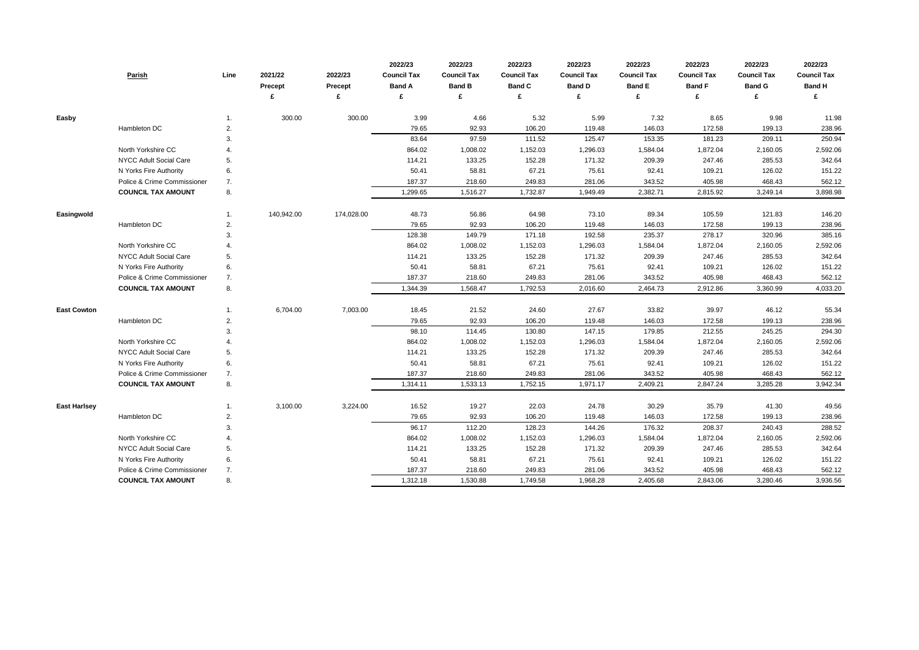|                     | <b>Parish</b>               | Line | 2021/22<br><b>Precept</b> | 2022/23<br><b>Precept</b> | 2022/23<br><b>Council Tax</b><br><b>Band A</b><br>£ | 2022/23<br><b>Council Tax</b><br><b>Band B</b> | 2022/23<br><b>Council Tax</b><br><b>Band C</b> | 2022/23<br><b>Council Tax</b><br><b>Band D</b> | 2022/23<br><b>Council Tax</b><br><b>Band E</b><br>£ | 2022/23<br><b>Council Tax</b><br><b>Band F</b><br>£ | 2022/23<br><b>Council Tax</b><br><b>Band G</b> | 2022/23<br><b>Council Tax</b><br><b>Band H</b><br>£ |
|---------------------|-----------------------------|------|---------------------------|---------------------------|-----------------------------------------------------|------------------------------------------------|------------------------------------------------|------------------------------------------------|-----------------------------------------------------|-----------------------------------------------------|------------------------------------------------|-----------------------------------------------------|
|                     |                             |      |                           |                           |                                                     |                                                |                                                |                                                |                                                     |                                                     |                                                |                                                     |
| Easby               |                             | 1.   | 300.00                    | 300.00                    | 3.99                                                | 4.66                                           | 5.32                                           | 5.99                                           | 7.32                                                | 8.65                                                | 9.98                                           | 11.98                                               |
|                     | Hambleton DC                | 2.   |                           |                           | 79.65                                               | 92.93                                          | 106.20                                         | 119.48                                         | 146.03                                              | 172.58                                              | 199.13                                         | 238.96                                              |
|                     |                             | 3.   |                           |                           | 83.64                                               | 97.59                                          | 111.52                                         | 125.47                                         | 153.35                                              | 181.23                                              | 209.11                                         | 250.94                                              |
|                     | North Yorkshire CC          |      |                           |                           | 864.02                                              | 1,008.02                                       | 1,152.03                                       | 1,296.03                                       | 1,584.04                                            | 1,872.04                                            | 2,160.05                                       | 2,592.06                                            |
|                     | NYCC Adult Social Care      | 5.   |                           |                           | 114.21                                              | 133.25                                         | 152.28                                         | 171.32                                         | 209.39                                              | 247.46                                              | 285.53                                         | 342.64                                              |
|                     | N Yorks Fire Authority      | 6.   |                           |                           | 50.41                                               | 58.81                                          | 67.21                                          | 75.61                                          | 92.41                                               | 109.21                                              | 126.02                                         | 151.22                                              |
|                     | Police & Crime Commissioner | 7.   |                           |                           | 187.37                                              | 218.60                                         | 249.83                                         | 281.06                                         | 343.52                                              | 405.98                                              | 468.43                                         | 562.12                                              |
|                     | <b>COUNCIL TAX AMOUNT</b>   | 8.   |                           |                           | 1,299.65                                            | 1,516.27                                       | 1,732.87                                       | 1,949.49                                       | 2,382.71                                            | 2,815.92                                            | 3,249.14                                       | 3,898.98                                            |
| Easingwold          |                             | 1.   | 140,942.00                | 174,028.00                | 48.73                                               | 56.86                                          | 64.98                                          | 73.10                                          | 89.34                                               | 105.59                                              | 121.83                                         | 146.20                                              |
|                     | Hambleton DC                | 2.   |                           |                           | 79.65                                               | 92.93                                          | 106.20                                         | 119.48                                         | 146.03                                              | 172.58                                              | 199.13                                         | 238.96                                              |
|                     |                             | 3.   |                           |                           | 128.38                                              | 149.79                                         | 171.18                                         | 192.58                                         | 235.37                                              | 278.17                                              | 320.96                                         | 385.16                                              |
|                     | North Yorkshire CC          |      |                           |                           | 864.02                                              | 1,008.02                                       | 1,152.03                                       | 1,296.03                                       | 1,584.04                                            | 1,872.04                                            | 2,160.05                                       | 2,592.06                                            |
|                     | NYCC Adult Social Care      | 5.   |                           |                           | 114.21                                              | 133.25                                         | 152.28                                         | 171.32                                         | 209.39                                              | 247.46                                              | 285.53                                         | 342.64                                              |
|                     | N Yorks Fire Authority      | 6.   |                           |                           | 50.41                                               | 58.81                                          | 67.21                                          | 75.61                                          | 92.41                                               | 109.21                                              | 126.02                                         | 151.22                                              |
|                     | Police & Crime Commissioner | 7.   |                           |                           | 187.37                                              | 218.60                                         | 249.83                                         | 281.06                                         | 343.52                                              | 405.98                                              | 468.43                                         | 562.12                                              |
|                     | <b>COUNCIL TAX AMOUNT</b>   | 8.   |                           |                           | 1,344.39                                            | 1,568.47                                       | 1,792.53                                       | 2,016.60                                       | 2,464.73                                            | 2,912.86                                            | 3,360.99                                       | 4,033.20                                            |
| <b>East Cowton</b>  |                             | 1.   | 6,704.00                  | 7,003.00                  | 18.45                                               | 21.52                                          | 24.60                                          | 27.67                                          | 33.82                                               | 39.97                                               | 46.12                                          | 55.34                                               |
|                     | Hambleton DC                | 2.   |                           |                           | 79.65                                               | 92.93                                          | 106.20                                         | 119.48                                         | 146.03                                              | 172.58                                              | 199.13                                         | 238.96                                              |
|                     |                             | 3.   |                           |                           | 98.10                                               | 114.45                                         | 130.80                                         | 147.15                                         | 179.85                                              | 212.55                                              | 245.25                                         | 294.30                                              |
|                     | North Yorkshire CC          |      |                           |                           | 864.02                                              | 1,008.02                                       | 1,152.03                                       | 1,296.03                                       | 1,584.04                                            | 1,872.04                                            | 2,160.05                                       | 2,592.06                                            |
|                     | NYCC Adult Social Care      | 5.   |                           |                           | 114.21                                              | 133.25                                         | 152.28                                         | 171.32                                         | 209.39                                              | 247.46                                              | 285.53                                         | 342.64                                              |
|                     | N Yorks Fire Authority      | 6.   |                           |                           | 50.41                                               | 58.81                                          | 67.21                                          | 75.61                                          | 92.41                                               | 109.21                                              | 126.02                                         | 151.22                                              |
|                     | Police & Crime Commissioner | 7.   |                           |                           | 187.37                                              | 218.60                                         | 249.83                                         | 281.06                                         | 343.52                                              | 405.98                                              | 468.43                                         | 562.12                                              |
|                     | <b>COUNCIL TAX AMOUNT</b>   | 8.   |                           |                           | 1,314.11                                            | 1,533.13                                       | 1,752.15                                       | 1,971.17                                       | 2,409.21                                            | 2,847.24                                            | 3,285.28                                       | 3,942.34                                            |
|                     |                             |      |                           |                           |                                                     |                                                |                                                |                                                |                                                     |                                                     |                                                |                                                     |
| <b>East Harlsey</b> |                             | 1.   | 3,100.00                  | 3,224.00                  | 16.52                                               | 19.27                                          | 22.03                                          | 24.78                                          | 30.29                                               | 35.79                                               | 41.30                                          | 49.56                                               |
|                     | Hambleton DC                | 2.   |                           |                           | 79.65                                               | 92.93                                          | 106.20                                         | 119.48                                         | 146.03                                              | 172.58                                              | 199.13                                         | 238.96                                              |
|                     |                             | 3.   |                           |                           | 96.17                                               | 112.20                                         | 128.23                                         | 144.26                                         | 176.32                                              | 208.37                                              | 240.43                                         | 288.52                                              |
|                     | North Yorkshire CC          | 4.   |                           |                           | 864.02                                              | 1,008.02                                       | 1,152.03                                       | 1,296.03                                       | 1,584.04                                            | 1,872.04                                            | 2,160.05                                       | 2,592.06                                            |
|                     | NYCC Adult Social Care      | 5.   |                           |                           | 114.21                                              | 133.25                                         | 152.28                                         | 171.32                                         | 209.39                                              | 247.46                                              | 285.53                                         | 342.64                                              |
|                     | N Yorks Fire Authority      | 6.   |                           |                           | 50.41                                               | 58.81                                          | 67.21                                          | 75.61                                          | 92.41                                               | 109.21                                              | 126.02                                         | 151.22                                              |
|                     | Police & Crime Commissioner | 7.   |                           |                           | 187.37                                              | 218.60                                         | 249.83                                         | 281.06                                         | 343.52                                              | 405.98                                              | 468.43                                         | 562.12                                              |
|                     | <b>COUNCIL TAX AMOUNT</b>   | 8.   |                           |                           | 1,312.18                                            | 1,530.88                                       | 1,749.58                                       | 1,968.28                                       | 2,405.68                                            | 2,843.06                                            | 3,280.46                                       | 3,936.56                                            |

| 2022/23            | 2022/23            | 2022/23            |
|--------------------|--------------------|--------------------|
| <b>Council Tax</b> | <b>Council Tax</b> | <b>Council Tax</b> |
| <b>Band F</b>      | <b>Band G</b>      | <b>Band H</b>      |
| £                  | £                  | £                  |
|                    |                    |                    |
| 8.65               | 9.98               | 11.98              |
| 172.58             | 199.13             | 238.96             |
| 181.23             | 209.11             | 250.94             |
| 1,872.04           | 2,160.05           | 2,592.06           |
| 247.46             | 285.53             | 342.64             |
| 109.21             | 126.02             | 151.22             |
| 405.98             | 468.43             | 562.12             |
| 2,815.92           | 3,249.14           | 3,898.98           |
|                    |                    |                    |
| 105.59             | 121.83             | 146.20             |
| 172.58             | 199.13             | 238.96             |
| 278.17             | 320.96             | 385.16             |
| 1,872.04           | 2,160.05           | 2,592.06           |
| 247.46             | 285.53             | 342.64             |
| 109.21             | 126.02             | 151.22             |
| 405.98             | 468.43             | 562.12             |
| 2,912.86           | 3,360.99           | 4,033.20           |
|                    |                    |                    |
| 39.97              | 46.12              | 55.34              |
| 172.58             | 199.13             | 238.96             |
| 212.55             | 245.25             | 294.30             |
| 1,872.04           | 2,160.05           | 2,592.06           |
| 247.46             | 285.53             | 342.64             |
| 109.21             | 126.02             | 151.22             |
| 405.98             | 468.43             | 562.12             |
| 2,847.24           | 3,285.28           | 3,942.34           |
|                    |                    |                    |
| 35.79              | 41.30              | 49.56              |
| 172.58             | 199.13             | 238.96             |
| 208.37             | 240.43             | 288.52             |
| 1,872.04           | 2,160.05           | 2,592.06           |
| 247.46             | 285.53             | 342.64             |
| 109.21             | 126.02             | 151.22             |
| 405.98             | 468.43             | 562.12             |
| 2,843.06           | 3,280.46           | 3,936.56           |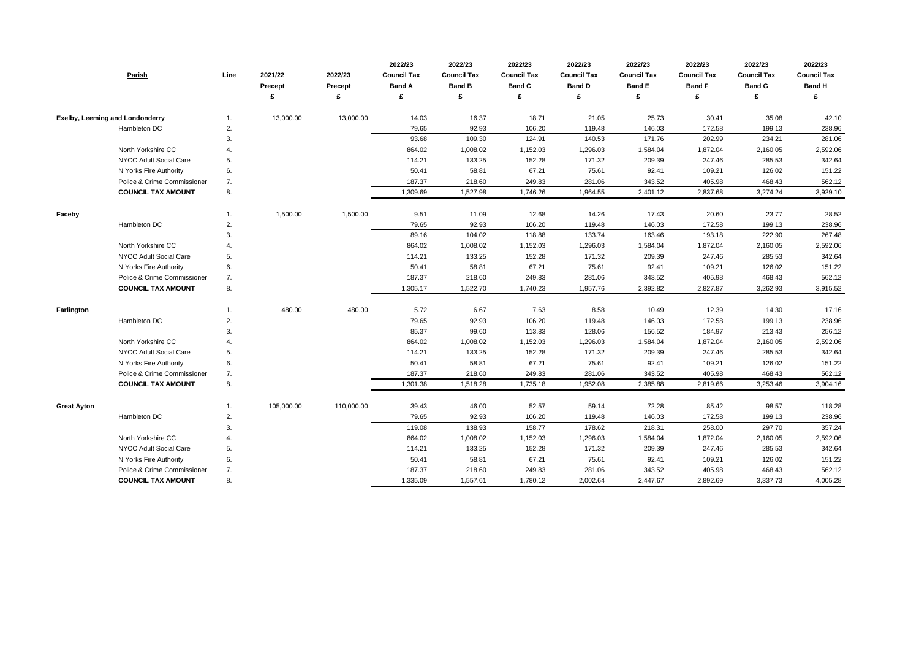| Parish                                 | Line           | 2021/22<br><b>Precept</b> | 2022/23<br>Precept<br>£ | 2022/23<br><b>Council Tax</b><br><b>Band A</b><br>£ | 2022/23<br><b>Council Tax</b><br><b>Band B</b> | 2022/23<br><b>Council Tax</b><br><b>Band C</b> | 2022/23<br><b>Council Tax</b><br><b>Band D</b> | 2022/23<br><b>Council Tax</b><br><b>Band E</b><br>£ | 2022/23<br><b>Council Tax</b><br><b>Band F</b><br>£ | 2022/23<br><b>Council Tax</b><br><b>Band G</b> | 2022/23<br><b>Council Tax</b><br><b>Band H</b><br>£ |
|----------------------------------------|----------------|---------------------------|-------------------------|-----------------------------------------------------|------------------------------------------------|------------------------------------------------|------------------------------------------------|-----------------------------------------------------|-----------------------------------------------------|------------------------------------------------|-----------------------------------------------------|
|                                        |                |                           |                         |                                                     |                                                |                                                |                                                |                                                     |                                                     |                                                |                                                     |
| <b>Exelby, Leeming and Londonderry</b> |                | 13,000.00                 | 13,000.00               | 14.03                                               | 16.37                                          | 18.71                                          | 21.05                                          | 25.73                                               | 30.41                                               | 35.08                                          | 42.10                                               |
| Hambleton DC                           | 2.             |                           |                         | 79.65                                               | 92.93                                          | 106.20                                         | 119.48                                         | 146.03                                              | 172.58                                              | 199.13                                         | 238.96                                              |
|                                        | 3.             |                           |                         | 93.68                                               | 109.30                                         | 124.91                                         | 140.53                                         | 171.76                                              | 202.99                                              | 234.21                                         | 281.06                                              |
| North Yorkshire CC                     |                |                           |                         | 864.02                                              | 1,008.02                                       | 1,152.03                                       | 1,296.03                                       | 1,584.04                                            | 1,872.04                                            | 2,160.05                                       | 2,592.06                                            |
| NYCC Adult Social Care                 | 5.             |                           |                         | 114.21                                              | 133.25                                         | 152.28                                         | 171.32                                         | 209.39                                              | 247.46                                              | 285.53                                         | 342.64                                              |
| N Yorks Fire Authority                 | 6.             |                           |                         | 50.41                                               | 58.81                                          | 67.21                                          | 75.61                                          | 92.41                                               | 109.21                                              | 126.02                                         | 151.22                                              |
| Police & Crime Commissioner            | 7.             |                           |                         | 187.37                                              | 218.60                                         | 249.83                                         | 281.06                                         | 343.52                                              | 405.98                                              | 468.43                                         | 562.12                                              |
| <b>COUNCIL TAX AMOUNT</b>              | 8.             |                           |                         | 1,309.69                                            | 1,527.98                                       | 1,746.26                                       | 1,964.55                                       | 2,401.12                                            | 2,837.68                                            | 3,274.24                                       | 3,929.10                                            |
| Faceby                                 |                | 1,500.00                  | 1,500.00                | 9.51                                                | 11.09                                          | 12.68                                          | 14.26                                          | 17.43                                               | 20.60                                               | 23.77                                          | 28.52                                               |
| Hambleton DC                           | 2.             |                           |                         | 79.65                                               | 92.93                                          | 106.20                                         | 119.48                                         | 146.03                                              | 172.58                                              | 199.13                                         | 238.96                                              |
|                                        | 3.             |                           |                         | 89.16                                               | 104.02                                         | 118.88                                         | 133.74                                         | 163.46                                              | 193.18                                              | 222.90                                         | 267.48                                              |
| North Yorkshire CC                     |                |                           |                         | 864.02                                              | 1,008.02                                       | 1,152.03                                       | 1,296.03                                       | 1,584.04                                            | 1,872.04                                            | 2,160.05                                       | 2,592.06                                            |
| NYCC Adult Social Care                 | 5.             |                           |                         | 114.21                                              | 133.25                                         | 152.28                                         | 171.32                                         | 209.39                                              | 247.46                                              | 285.53                                         | 342.64                                              |
| N Yorks Fire Authority                 | 6.             |                           |                         | 50.41                                               | 58.81                                          | 67.21                                          | 75.61                                          | 92.41                                               | 109.21                                              | 126.02                                         | 151.22                                              |
| Police & Crime Commissioner            | 7.             |                           |                         | 187.37                                              | 218.60                                         | 249.83                                         | 281.06                                         | 343.52                                              | 405.98                                              | 468.43                                         | 562.12                                              |
| <b>COUNCIL TAX AMOUNT</b>              | 8.             |                           |                         | 1,305.17                                            | 1,522.70                                       | 1,740.23                                       | 1,957.76                                       | 2,392.82                                            | 2,827.87                                            | 3,262.93                                       | 3,915.52                                            |
| Farlington                             |                | 480.00                    | 480.00                  | 5.72                                                | 6.67                                           | 7.63                                           | 8.58                                           | 10.49                                               | 12.39                                               | 14.30                                          | 17.16                                               |
| Hambleton DC                           | 2.             |                           |                         | 79.65                                               | 92.93                                          | 106.20                                         | 119.48                                         | 146.03                                              | 172.58                                              | 199.13                                         | 238.96                                              |
|                                        | 3.             |                           |                         | 85.37                                               | 99.60                                          | 113.83                                         | 128.06                                         | 156.52                                              | 184.97                                              | 213.43                                         | 256.12                                              |
| North Yorkshire CC                     | $\overline{4}$ |                           |                         | 864.02                                              | 1,008.02                                       | 1,152.03                                       | 1,296.03                                       | 1,584.04                                            | 1,872.04                                            | 2,160.05                                       | 2,592.06                                            |
| NYCC Adult Social Care                 | 5.             |                           |                         | 114.21                                              | 133.25                                         | 152.28                                         | 171.32                                         | 209.39                                              | 247.46                                              | 285.53                                         | 342.64                                              |
| N Yorks Fire Authority                 | 6.             |                           |                         | 50.41                                               | 58.81                                          | 67.21                                          | 75.61                                          | 92.41                                               | 109.21                                              | 126.02                                         | 151.22                                              |
| Police & Crime Commissioner            | 7.             |                           |                         | 187.37                                              | 218.60                                         | 249.83                                         | 281.06                                         | 343.52                                              | 405.98                                              | 468.43                                         | 562.12                                              |
| <b>COUNCIL TAX AMOUNT</b>              | 8.             |                           |                         | 1,301.38                                            | 1,518.28                                       | 1,735.18                                       | 1,952.08                                       | 2,385.88                                            | 2,819.66                                            | 3,253.46                                       | 3,904.16                                            |
| <b>Great Ayton</b>                     | 1.             | 105,000.00                | 110,000.00              | 39.43                                               | 46.00                                          | 52.57                                          | 59.14                                          | 72.28                                               | 85.42                                               | 98.57                                          | 118.28                                              |
| Hambleton DC                           | 2.             |                           |                         | 79.65                                               | 92.93                                          | 106.20                                         | 119.48                                         | 146.03                                              | 172.58                                              | 199.13                                         | 238.96                                              |
|                                        | 3.             |                           |                         | 119.08                                              | 138.93                                         | 158.77                                         | 178.62                                         | 218.31                                              | 258.00                                              | 297.70                                         | 357.24                                              |
| North Yorkshire CC                     | 4.             |                           |                         | 864.02                                              | 1,008.02                                       | 1,152.03                                       | 1,296.03                                       | 1,584.04                                            | 1,872.04                                            | 2,160.05                                       | 2,592.06                                            |
| <b>NYCC Adult Social Care</b>          | 5.             |                           |                         | 114.21                                              | 133.25                                         | 152.28                                         | 171.32                                         | 209.39                                              | 247.46                                              | 285.53                                         | 342.64                                              |
| N Yorks Fire Authority                 | 6.             |                           |                         | 50.41                                               | 58.81                                          | 67.21                                          | 75.61                                          | 92.41                                               | 109.21                                              | 126.02                                         | 151.22                                              |
| Police & Crime Commissioner            | 7.             |                           |                         | 187.37                                              | 218.60                                         | 249.83                                         | 281.06                                         | 343.52                                              | 405.98                                              | 468.43                                         | 562.12                                              |
| <b>COUNCIL TAX AMOUNT</b>              | 8.             |                           |                         | 1,335.09                                            | 1,557.61                                       | 1,780.12                                       | 2,002.64                                       | 2,447.67                                            | 2,892.69                                            | 3,337.73                                       | 4,005.28                                            |

| 2022/23            | 2022/23            | 2022/23            |
|--------------------|--------------------|--------------------|
| <b>Council Tax</b> | <b>Council Tax</b> | <b>Council Tax</b> |
| <b>Band F</b>      | <b>Band G</b>      | <b>Band H</b>      |
| £                  | £                  | £                  |
|                    |                    |                    |
| 30.41              | 35.08              | 42.10              |
| 172.58             | 199.13             | 238.96             |
| 202.99             | 234.21             | 281.06             |
| 1,872.04           | 2,160.05           | 2,592.06           |
| 247.46             | 285.53             | 342.64             |
| 109.21             | 126.02             | 151.22             |
| 405.98             | 468.43             | 562.12             |
| 2,837.68           | 3,274.24           | 3,929.10           |
|                    |                    |                    |
| 20.60              | 23.77              | 28.52              |
| 172.58             | 199.13             | 238.96             |
| 193.18             | 222.90             | 267.48             |
| 1,872.04           | 2,160.05           | 2,592.06           |
| 247.46             | 285.53             | 342.64             |
| 109.21             | 126.02             | 151.22             |
| 405.98             | 468.43             | 562.12             |
| 2,827.87           | 3,262.93           | 3,915.52           |
|                    |                    |                    |
| 12.39              | 14.30              | 17.16              |
| 172.58             | 199.13             | 238.96             |
| 184.97             | 213.43             | 256.12             |
| 1,872.04           | 2,160.05           | 2,592.06           |
| 247.46             | 285.53             | 342.64             |
| 109.21             | 126.02             | 151.22             |
| 405.98             | 468.43             | 562.12             |
| 2,819.66           | 3,253.46           | 3,904.16           |
|                    |                    |                    |
| 85.42              | 98.57              | 118.28             |
| 172.58             | 199.13             | 238.96             |
| 258.00             | 297.70             | 357.24             |
| 1,872.04           | 2,160.05           | 2,592.06           |
| 247.46             | 285.53             | 342.64             |
| 109.21             | 126.02             | 151.22             |
| 405.98             | 468.43             | 562.12             |
| 2,892.69           | 3,337.73           | 4,005.28           |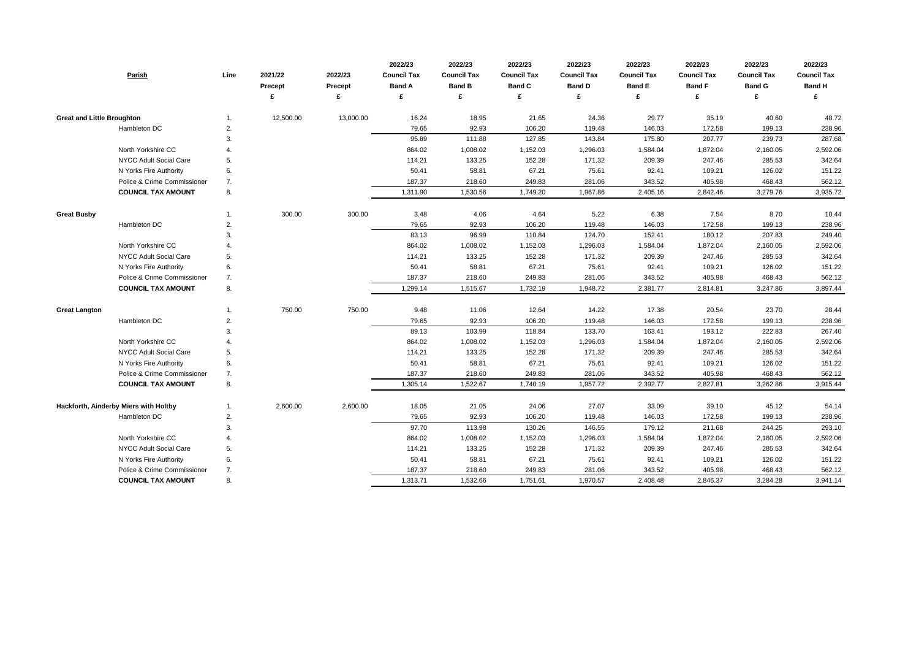| Parish                                | Line        | 2021/22<br><b>Precept</b> | 2022/23<br><b>Precept</b><br>£ | 2022/23<br><b>Council Tax</b><br><b>Band A</b><br>£ | 2022/23<br><b>Council Tax</b><br><b>Band B</b><br>£ | 2022/23<br><b>Council Tax</b><br><b>Band C</b> | 2022/23<br><b>Council Tax</b><br><b>Band D</b><br>£ | 2022/23<br><b>Council Tax</b><br><b>Band E</b><br>£ | 2022/23<br><b>Council Tax</b><br><b>Band F</b><br>£ | 2022/23<br><b>Council Tax</b><br><b>Band G</b> | 2022/23<br><b>Council Tax</b><br><b>Band H</b><br>£ |
|---------------------------------------|-------------|---------------------------|--------------------------------|-----------------------------------------------------|-----------------------------------------------------|------------------------------------------------|-----------------------------------------------------|-----------------------------------------------------|-----------------------------------------------------|------------------------------------------------|-----------------------------------------------------|
|                                       |             |                           |                                |                                                     |                                                     |                                                |                                                     |                                                     |                                                     |                                                |                                                     |
| <b>Great and Little Broughton</b>     | -1.         | 12,500.00                 | 13,000.00                      | 16.24                                               | 18.95                                               | 21.65                                          | 24.36                                               | 29.77                                               | 35.19                                               | 40.60                                          | 48.72                                               |
| Hambleton DC                          | 2.          |                           |                                | 79.65                                               | 92.93                                               | 106.20                                         | 119.48                                              | 146.03                                              | 172.58                                              | 199.13                                         | 238.96                                              |
|                                       | 3.          |                           |                                | 95.89                                               | 111.88                                              | 127.85                                         | 143.84                                              | 175.80                                              | 207.77                                              | 239.73                                         | 287.68                                              |
| North Yorkshire CC                    | 4.          |                           |                                | 864.02                                              | 1,008.02                                            | 1,152.03                                       | 1,296.03                                            | 1,584.04                                            | 1,872.04                                            | 2,160.05                                       | 2,592.06                                            |
| <b>NYCC Adult Social Care</b>         | 5.          |                           |                                | 114.21                                              | 133.25                                              | 152.28                                         | 171.32                                              | 209.39                                              | 247.46                                              | 285.53                                         | 342.64                                              |
| N Yorks Fire Authority                | 6.          |                           |                                | 50.41                                               | 58.81                                               | 67.21                                          | 75.61                                               | 92.41                                               | 109.21                                              | 126.02                                         | 151.22                                              |
| Police & Crime Commissioner           | 7.          |                           |                                | 187.37                                              | 218.60                                              | 249.83                                         | 281.06                                              | 343.52                                              | 405.98                                              | 468.43                                         | 562.12                                              |
| <b>COUNCIL TAX AMOUNT</b>             | 8.          |                           |                                | 1,311.90                                            | 1,530.56                                            | 1,749.20                                       | 1,967.86                                            | 2,405.16                                            | 2,842.46                                            | 3,279.76                                       | 3,935.72                                            |
| <b>Great Busby</b>                    | -1.         | 300.00                    | 300.00                         | 3.48                                                | 4.06                                                | 4.64                                           | 5.22                                                | 6.38                                                | 7.54                                                | 8.70                                           | 10.44                                               |
| Hambleton DC                          | 2.          |                           |                                | 79.65                                               | 92.93                                               | 106.20                                         | 119.48                                              | 146.03                                              | 172.58                                              | 199.13                                         | 238.96                                              |
|                                       | 3.          |                           |                                | 83.13                                               | 96.99                                               | 110.84                                         | 124.70                                              | 152.41                                              | 180.12                                              | 207.83                                         | 249.40                                              |
| North Yorkshire CC                    | 4.          |                           |                                | 864.02                                              | 1,008.02                                            | 1,152.03                                       | 1,296.03                                            | 1,584.04                                            | 1,872.04                                            | 2,160.05                                       | 2,592.06                                            |
| NYCC Adult Social Care                | 5.          |                           |                                | 114.21                                              | 133.25                                              | 152.28                                         | 171.32                                              | 209.39                                              | 247.46                                              | 285.53                                         | 342.64                                              |
| N Yorks Fire Authority                | 6.          |                           |                                | 50.41                                               | 58.81                                               | 67.21                                          | 75.61                                               | 92.41                                               | 109.21                                              | 126.02                                         | 151.22                                              |
| Police & Crime Commissioner           | 7.          |                           |                                | 187.37                                              | 218.60                                              | 249.83                                         | 281.06                                              | 343.52                                              | 405.98                                              | 468.43                                         | 562.12                                              |
| <b>COUNCIL TAX AMOUNT</b>             | 8.          |                           |                                | 1,299.14                                            | 1,515.67                                            | 1,732.19                                       | 1,948.72                                            | 2,381.77                                            | 2,814.81                                            | 3,247.86                                       | 3,897.44                                            |
| <b>Great Langton</b>                  | -1.         | 750.00                    | 750.00                         | 9.48                                                | 11.06                                               | 12.64                                          | 14.22                                               | 17.38                                               | 20.54                                               | 23.70                                          | 28.44                                               |
| Hambleton DC                          | 2.          |                           |                                | 79.65                                               | 92.93                                               | 106.20                                         | 119.48                                              | 146.03                                              | 172.58                                              | 199.13                                         | 238.96                                              |
|                                       | 3.          |                           |                                | 89.13                                               | 103.99                                              | 118.84                                         | 133.70                                              | 163.41                                              | 193.12                                              | 222.83                                         | 267.40                                              |
| North Yorkshire CC                    | $\mathbf 4$ |                           |                                | 864.02                                              | 1,008.02                                            | 1,152.03                                       | 1,296.03                                            | 1,584.04                                            | 1,872.04                                            | 2,160.05                                       | 2,592.06                                            |
| <b>NYCC Adult Social Care</b>         | 5.          |                           |                                | 114.21                                              | 133.25                                              | 152.28                                         | 171.32                                              | 209.39                                              | 247.46                                              | 285.53                                         | 342.64                                              |
| N Yorks Fire Authority                | 6.          |                           |                                | 50.41                                               | 58.81                                               | 67.21                                          | 75.61                                               | 92.41                                               | 109.21                                              | 126.02                                         | 151.22                                              |
| Police & Crime Commissioner           | 7.          |                           |                                | 187.37                                              | 218.60                                              | 249.83                                         | 281.06                                              | 343.52                                              | 405.98                                              | 468.43                                         | 562.12                                              |
| <b>COUNCIL TAX AMOUNT</b>             | 8.          |                           |                                | 1,305.14                                            | 1,522.67                                            | 1,740.19                                       | 1,957.72                                            | 2,392.77                                            | 2,827.81                                            | 3,262.86                                       | 3,915.44                                            |
| Hackforth, Ainderby Miers with Holtby | 1.          | 2,600.00                  | 2,600.00                       | 18.05                                               | 21.05                                               | 24.06                                          | 27.07                                               | 33.09                                               | 39.10                                               | 45.12                                          | 54.14                                               |
| Hambleton DC                          | 2.          |                           |                                | 79.65                                               | 92.93                                               | 106.20                                         | 119.48                                              | 146.03                                              | 172.58                                              | 199.13                                         | 238.96                                              |
|                                       | 3.          |                           |                                | 97.70                                               | 113.98                                              | 130.26                                         | 146.55                                              | 179.12                                              | 211.68                                              | 244.25                                         | 293.10                                              |
| North Yorkshire CC                    | 4.          |                           |                                | 864.02                                              | 1,008.02                                            | 1,152.03                                       | 1,296.03                                            | 1,584.04                                            | 1,872.04                                            | 2,160.05                                       | 2,592.06                                            |
| <b>NYCC Adult Social Care</b>         | 5.          |                           |                                | 114.21                                              | 133.25                                              | 152.28                                         | 171.32                                              | 209.39                                              | 247.46                                              | 285.53                                         | 342.64                                              |
| N Yorks Fire Authority                | 6.          |                           |                                | 50.41                                               | 58.81                                               | 67.21                                          | 75.61                                               | 92.41                                               | 109.21                                              | 126.02                                         | 151.22                                              |
| Police & Crime Commissioner           | 7.          |                           |                                | 187.37                                              | 218.60                                              | 249.83                                         | 281.06                                              | 343.52                                              | 405.98                                              | 468.43                                         | 562.12                                              |
| <b>COUNCIL TAX AMOUNT</b>             | 8.          |                           |                                | 1,313.71                                            | 1,532.66                                            | 1,751.61                                       | 1,970.57                                            | 2,408.48                                            | 2,846.37                                            | 3,284.28                                       | 3,941.14                                            |

| 2022/23            | 2022/23            | 2022/23            |
|--------------------|--------------------|--------------------|
| <b>Council Tax</b> | <b>Council Tax</b> | <b>Council Tax</b> |
| <b>Band F</b>      | <b>Band G</b>      | <b>Band H</b>      |
| £                  | £                  | £                  |
|                    |                    |                    |
| 35.19              | 40.60              | 48.72              |
| 172.58             | 199.13             | 238.96             |
| 207.77             | 239.73             | 287.68             |
| 1,872.04           | 2,160.05           | 2,592.06           |
| 247.46             | 285.53             | 342.64             |
| 109.21             | 126.02             | 151.22             |
| 405.98             | 468.43             | 562.12             |
| 2,842.46           | 3,279.76           | 3,935.72           |
|                    |                    |                    |
| 7.54               | 8.70               | 10.44              |
| 172.58             | 199.13             | 238.96             |
| 180.12             | 207.83             | 249.40             |
| 1,872.04           | 2,160.05           | 2,592.06           |
| 247.46             | 285.53             | 342.64             |
| 109.21             | 126.02             | 151.22             |
| 405.98             | 468.43             | 562.12             |
| 2,814.81           | 3,247.86           | 3,897.44           |
|                    |                    |                    |
| 20.54              | 23.70              | 28.44              |
| 172.58             | 199.13             | 238.96             |
| 193.12             | 222.83             | 267.40             |
| 1,872.04           | 2,160.05           | 2,592.06           |
| 247.46             | 285.53             | 342.64             |
| 109.21             | 126.02             | 151.22             |
| 405.98             | 468.43             | 562.12             |
| 2,827.81           | 3,262.86           | 3,915.44           |
|                    |                    |                    |
| 39.10              | 45.12              | 54.14              |
| 172.58             | 199.13             | 238.96             |
| 211.68             | 244.25             | 293.10             |
| 1,872.04           | 2,160.05           | 2,592.06           |
| 247.46             | 285.53             | 342.64             |
| 109.21             | 126.02             | 151.22             |
| 405.98             | 468.43             | 562.12             |
| 2,846.37           | 3,284.28           | 3,941.14           |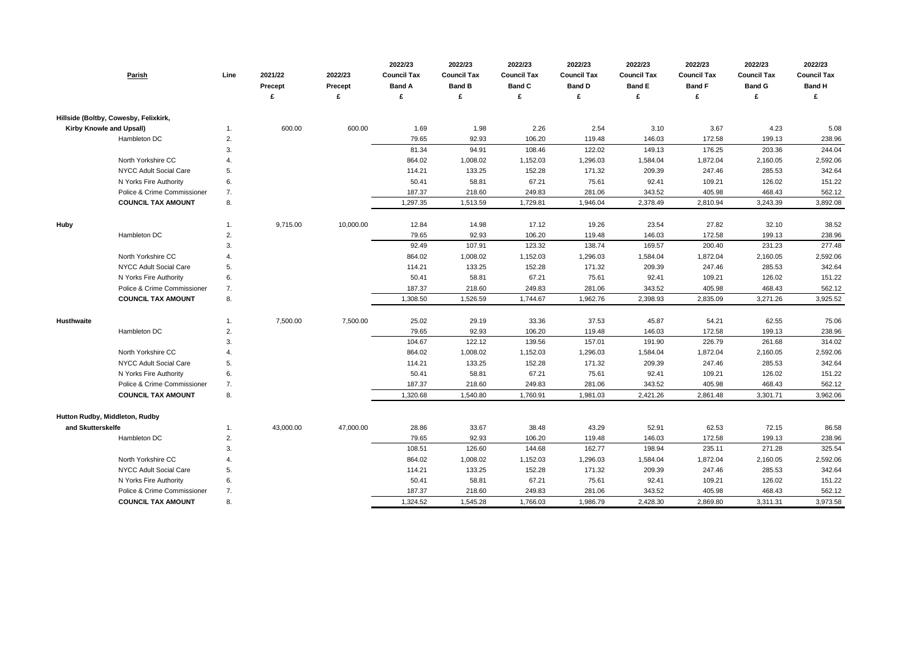| Hillside (Boltby, Cowesby, Felixkirk,<br>600.00<br>600.00<br>1.69<br>1.98<br>2.26<br>2.54<br>3.10<br>3.67<br>4.23<br>5.08<br><b>Kirby Knowle and Upsall)</b><br>Hambleton DC<br>2.<br>79.65<br>92.93<br>106.20<br>119.48<br>146.03<br>172.58<br>199.13<br>238.96<br>122.02<br>244.04<br>81.34<br>94.91<br>108.46<br>149.13<br>176.25<br>203.36<br>3.<br>North Yorkshire CC<br>864.02<br>1,008.02<br>1,152.03<br>1,296.03<br>1,584.04<br>1,872.04<br>2,160.05<br>2,592.06<br>171.32<br>285.53<br>342.64<br>NYCC Adult Social Care<br>114.21<br>133.25<br>152.28<br>209.39<br>247.46<br>5.<br>6.<br>50.41<br>58.81<br>67.21<br>75.61<br>92.41<br>126.02<br>151.22<br>N Yorks Fire Authority<br>109.21<br>7.<br>187.37<br>281.06<br>468.43<br>Police & Crime Commissioner<br>218.60<br>249.83<br>343.52<br>405.98<br>562.12<br>8.<br>1,946.04<br>3,892.08<br><b>COUNCIL TAX AMOUNT</b><br>1,297.35<br>1,513.59<br>1,729.81<br>2,378.49<br>2,810.94<br>3,243.39<br>17.12<br>19.26<br>27.82<br><b>Huby</b><br>9,715.00<br>10,000.00<br>12.84<br>14.98<br>23.54<br>32.10<br>38.52<br>$\mathbf{1}$ .<br>Hambleton DC<br>2.<br>79.65<br>92.93<br>106.20<br>119.48<br>146.03<br>172.58<br>199.13<br>238.96<br>3.<br>92.49<br>107.91<br>123.32<br>138.74<br>169.57<br>200.40<br>231.23<br>277.48<br>North Yorkshire CC<br>1,296.03<br>2,592.06<br>864.02<br>1,008.02<br>1,152.03<br>1,584.04<br>1,872.04<br>2,160.05<br>NYCC Adult Social Care<br>342.64<br>5.<br>114.21<br>133.25<br>152.28<br>171.32<br>209.39<br>247.46<br>285.53<br>67.21<br>75.61<br>126.02<br>151.22<br>N Yorks Fire Authority<br>6.<br>50.41<br>58.81<br>92.41<br>109.21<br>562.12<br>Police & Crime Commissioner<br>7.<br>187.37<br>218.60<br>249.83<br>281.06<br>343.52<br>405.98<br>468.43<br>8.<br>1,962.76<br><b>COUNCIL TAX AMOUNT</b><br>1,308.50<br>1,526.59<br>1,744.67<br>2,398.93<br>2,835.09<br>3,271.26<br>3,925.52<br>7,500.00<br>7,500.00<br>25.02<br>29.19<br>33.36<br>37.53<br>45.87<br>54.21<br>62.55<br>75.06<br><b>Husthwaite</b><br>1.<br>Hambleton DC<br>79.65<br>92.93<br>106.20<br>119.48<br>172.58<br>199.13<br>238.96<br>2.<br>146.03<br>157.01<br>104.67<br>122.12<br>139.56<br>191.90<br>226.79<br>261.68<br>314.02<br>3.<br>North Yorkshire CC<br>864.02<br>1,152.03<br>1,296.03<br>1,872.04<br>2,592.06<br>4.<br>1,008.02<br>1,584.04<br>2,160.05<br><b>NYCC Adult Social Care</b><br>152.28<br>171.32<br>342.64<br>5.<br>114.21<br>133.25<br>209.39<br>247.46<br>285.53<br>N Yorks Fire Authority<br>67.21<br>151.22<br>6.<br>50.41<br>58.81<br>75.61<br>92.41<br>109.21<br>126.02<br>Police & Crime Commissioner<br>7.<br>187.37<br>218.60<br>249.83<br>281.06<br>343.52<br>405.98<br>468.43<br>562.12<br><b>COUNCIL TAX AMOUNT</b><br>1,320.68<br>1,540.80<br>1,981.03<br>2,421.26<br>2,861.48<br>3,301.71<br>3,962.06<br>8.<br>1,760.91<br>Hutton Rudby, Middleton, Rudby<br>43,000.00<br>47,000.00<br>28.86<br>62.53<br>86.58<br>and Skutterskelfe<br>33.67<br>38.48<br>43.29<br>52.91<br>72.15<br>1.<br>Hambleton DC<br>2.<br>79.65<br>92.93<br>106.20<br>119.48<br>146.03<br>172.58<br>199.13<br>238.96<br>126.60<br>162.77<br>198.94<br>271.28<br>325.54<br>3.<br>108.51<br>144.68<br>235.11<br>North Yorkshire CC<br>864.02<br>1,008.02<br>1,296.03<br>1,872.04<br>2,592.06<br>1,152.03<br>1,584.04<br>2,160.05<br>171.32<br>342.64<br>NYCC Adult Social Care<br>114.21<br>133.25<br>152.28<br>209.39<br>247.46<br>285.53<br>5.<br>67.21<br>N Yorks Fire Authority<br>6.<br>50.41<br>58.81<br>75.61<br>92.41<br>126.02<br>151.22<br>109.21<br>Police & Crime Commissioner<br>281.06<br>7.<br>187.37<br>218.60<br>249.83<br>343.52<br>405.98<br>468.43<br>562.12<br><b>COUNCIL TAX AMOUNT</b><br>8.<br>1,986.79<br>3,973.58<br>1,324.52<br>1,545.28<br>1,766.03<br>2,428.30<br>2,869.80<br>3,311.31 | Parish | Line | 2021/22<br><b>Precept</b> | 2022/23<br>Precept<br>£ | 2022/23<br><b>Council Tax</b><br><b>Band A</b><br>£ | 2022/23<br><b>Council Tax</b><br><b>Band B</b><br>£ | 2022/23<br><b>Council Tax</b><br><b>Band C</b> | 2022/23<br><b>Council Tax</b><br><b>Band D</b><br>£ | 2022/23<br><b>Council Tax</b><br><b>Band E</b><br>£ | 2022/23<br><b>Council Tax</b><br><b>Band F</b><br>£ | 2022/23<br><b>Council Tax</b><br><b>Band G</b> | 2022/23<br><b>Council Tax</b><br><b>Band H</b><br>£ |
|--------------------------------------------------------------------------------------------------------------------------------------------------------------------------------------------------------------------------------------------------------------------------------------------------------------------------------------------------------------------------------------------------------------------------------------------------------------------------------------------------------------------------------------------------------------------------------------------------------------------------------------------------------------------------------------------------------------------------------------------------------------------------------------------------------------------------------------------------------------------------------------------------------------------------------------------------------------------------------------------------------------------------------------------------------------------------------------------------------------------------------------------------------------------------------------------------------------------------------------------------------------------------------------------------------------------------------------------------------------------------------------------------------------------------------------------------------------------------------------------------------------------------------------------------------------------------------------------------------------------------------------------------------------------------------------------------------------------------------------------------------------------------------------------------------------------------------------------------------------------------------------------------------------------------------------------------------------------------------------------------------------------------------------------------------------------------------------------------------------------------------------------------------------------------------------------------------------------------------------------------------------------------------------------------------------------------------------------------------------------------------------------------------------------------------------------------------------------------------------------------------------------------------------------------------------------------------------------------------------------------------------------------------------------------------------------------------------------------------------------------------------------------------------------------------------------------------------------------------------------------------------------------------------------------------------------------------------------------------------------------------------------------------------------------------------------------------------------------------------------------------------------------------------------------------------------------------------------------------------------------------------------------------------------------------------------------------------------------------------------------------------------------------------------------------------------------------------------------------------------------------------------------------------------------------------------------------------------------------------------------------------------------------------------------------------------------------------------------------------------------------------------------------------------------------|--------|------|---------------------------|-------------------------|-----------------------------------------------------|-----------------------------------------------------|------------------------------------------------|-----------------------------------------------------|-----------------------------------------------------|-----------------------------------------------------|------------------------------------------------|-----------------------------------------------------|
|                                                                                                                                                                                                                                                                                                                                                                                                                                                                                                                                                                                                                                                                                                                                                                                                                                                                                                                                                                                                                                                                                                                                                                                                                                                                                                                                                                                                                                                                                                                                                                                                                                                                                                                                                                                                                                                                                                                                                                                                                                                                                                                                                                                                                                                                                                                                                                                                                                                                                                                                                                                                                                                                                                                                                                                                                                                                                                                                                                                                                                                                                                                                                                                                                                                                                                                                                                                                                                                                                                                                                                                                                                                                                                                                                                                                        |        |      |                           |                         |                                                     |                                                     |                                                |                                                     |                                                     |                                                     |                                                |                                                     |
|                                                                                                                                                                                                                                                                                                                                                                                                                                                                                                                                                                                                                                                                                                                                                                                                                                                                                                                                                                                                                                                                                                                                                                                                                                                                                                                                                                                                                                                                                                                                                                                                                                                                                                                                                                                                                                                                                                                                                                                                                                                                                                                                                                                                                                                                                                                                                                                                                                                                                                                                                                                                                                                                                                                                                                                                                                                                                                                                                                                                                                                                                                                                                                                                                                                                                                                                                                                                                                                                                                                                                                                                                                                                                                                                                                                                        |        |      |                           |                         |                                                     |                                                     |                                                |                                                     |                                                     |                                                     |                                                |                                                     |
|                                                                                                                                                                                                                                                                                                                                                                                                                                                                                                                                                                                                                                                                                                                                                                                                                                                                                                                                                                                                                                                                                                                                                                                                                                                                                                                                                                                                                                                                                                                                                                                                                                                                                                                                                                                                                                                                                                                                                                                                                                                                                                                                                                                                                                                                                                                                                                                                                                                                                                                                                                                                                                                                                                                                                                                                                                                                                                                                                                                                                                                                                                                                                                                                                                                                                                                                                                                                                                                                                                                                                                                                                                                                                                                                                                                                        |        |      |                           |                         |                                                     |                                                     |                                                |                                                     |                                                     |                                                     |                                                |                                                     |
|                                                                                                                                                                                                                                                                                                                                                                                                                                                                                                                                                                                                                                                                                                                                                                                                                                                                                                                                                                                                                                                                                                                                                                                                                                                                                                                                                                                                                                                                                                                                                                                                                                                                                                                                                                                                                                                                                                                                                                                                                                                                                                                                                                                                                                                                                                                                                                                                                                                                                                                                                                                                                                                                                                                                                                                                                                                                                                                                                                                                                                                                                                                                                                                                                                                                                                                                                                                                                                                                                                                                                                                                                                                                                                                                                                                                        |        |      |                           |                         |                                                     |                                                     |                                                |                                                     |                                                     |                                                     |                                                |                                                     |
|                                                                                                                                                                                                                                                                                                                                                                                                                                                                                                                                                                                                                                                                                                                                                                                                                                                                                                                                                                                                                                                                                                                                                                                                                                                                                                                                                                                                                                                                                                                                                                                                                                                                                                                                                                                                                                                                                                                                                                                                                                                                                                                                                                                                                                                                                                                                                                                                                                                                                                                                                                                                                                                                                                                                                                                                                                                                                                                                                                                                                                                                                                                                                                                                                                                                                                                                                                                                                                                                                                                                                                                                                                                                                                                                                                                                        |        |      |                           |                         |                                                     |                                                     |                                                |                                                     |                                                     |                                                     |                                                |                                                     |
|                                                                                                                                                                                                                                                                                                                                                                                                                                                                                                                                                                                                                                                                                                                                                                                                                                                                                                                                                                                                                                                                                                                                                                                                                                                                                                                                                                                                                                                                                                                                                                                                                                                                                                                                                                                                                                                                                                                                                                                                                                                                                                                                                                                                                                                                                                                                                                                                                                                                                                                                                                                                                                                                                                                                                                                                                                                                                                                                                                                                                                                                                                                                                                                                                                                                                                                                                                                                                                                                                                                                                                                                                                                                                                                                                                                                        |        |      |                           |                         |                                                     |                                                     |                                                |                                                     |                                                     |                                                     |                                                |                                                     |
|                                                                                                                                                                                                                                                                                                                                                                                                                                                                                                                                                                                                                                                                                                                                                                                                                                                                                                                                                                                                                                                                                                                                                                                                                                                                                                                                                                                                                                                                                                                                                                                                                                                                                                                                                                                                                                                                                                                                                                                                                                                                                                                                                                                                                                                                                                                                                                                                                                                                                                                                                                                                                                                                                                                                                                                                                                                                                                                                                                                                                                                                                                                                                                                                                                                                                                                                                                                                                                                                                                                                                                                                                                                                                                                                                                                                        |        |      |                           |                         |                                                     |                                                     |                                                |                                                     |                                                     |                                                     |                                                |                                                     |
|                                                                                                                                                                                                                                                                                                                                                                                                                                                                                                                                                                                                                                                                                                                                                                                                                                                                                                                                                                                                                                                                                                                                                                                                                                                                                                                                                                                                                                                                                                                                                                                                                                                                                                                                                                                                                                                                                                                                                                                                                                                                                                                                                                                                                                                                                                                                                                                                                                                                                                                                                                                                                                                                                                                                                                                                                                                                                                                                                                                                                                                                                                                                                                                                                                                                                                                                                                                                                                                                                                                                                                                                                                                                                                                                                                                                        |        |      |                           |                         |                                                     |                                                     |                                                |                                                     |                                                     |                                                     |                                                |                                                     |
|                                                                                                                                                                                                                                                                                                                                                                                                                                                                                                                                                                                                                                                                                                                                                                                                                                                                                                                                                                                                                                                                                                                                                                                                                                                                                                                                                                                                                                                                                                                                                                                                                                                                                                                                                                                                                                                                                                                                                                                                                                                                                                                                                                                                                                                                                                                                                                                                                                                                                                                                                                                                                                                                                                                                                                                                                                                                                                                                                                                                                                                                                                                                                                                                                                                                                                                                                                                                                                                                                                                                                                                                                                                                                                                                                                                                        |        |      |                           |                         |                                                     |                                                     |                                                |                                                     |                                                     |                                                     |                                                |                                                     |
|                                                                                                                                                                                                                                                                                                                                                                                                                                                                                                                                                                                                                                                                                                                                                                                                                                                                                                                                                                                                                                                                                                                                                                                                                                                                                                                                                                                                                                                                                                                                                                                                                                                                                                                                                                                                                                                                                                                                                                                                                                                                                                                                                                                                                                                                                                                                                                                                                                                                                                                                                                                                                                                                                                                                                                                                                                                                                                                                                                                                                                                                                                                                                                                                                                                                                                                                                                                                                                                                                                                                                                                                                                                                                                                                                                                                        |        |      |                           |                         |                                                     |                                                     |                                                |                                                     |                                                     |                                                     |                                                |                                                     |
|                                                                                                                                                                                                                                                                                                                                                                                                                                                                                                                                                                                                                                                                                                                                                                                                                                                                                                                                                                                                                                                                                                                                                                                                                                                                                                                                                                                                                                                                                                                                                                                                                                                                                                                                                                                                                                                                                                                                                                                                                                                                                                                                                                                                                                                                                                                                                                                                                                                                                                                                                                                                                                                                                                                                                                                                                                                                                                                                                                                                                                                                                                                                                                                                                                                                                                                                                                                                                                                                                                                                                                                                                                                                                                                                                                                                        |        |      |                           |                         |                                                     |                                                     |                                                |                                                     |                                                     |                                                     |                                                |                                                     |
|                                                                                                                                                                                                                                                                                                                                                                                                                                                                                                                                                                                                                                                                                                                                                                                                                                                                                                                                                                                                                                                                                                                                                                                                                                                                                                                                                                                                                                                                                                                                                                                                                                                                                                                                                                                                                                                                                                                                                                                                                                                                                                                                                                                                                                                                                                                                                                                                                                                                                                                                                                                                                                                                                                                                                                                                                                                                                                                                                                                                                                                                                                                                                                                                                                                                                                                                                                                                                                                                                                                                                                                                                                                                                                                                                                                                        |        |      |                           |                         |                                                     |                                                     |                                                |                                                     |                                                     |                                                     |                                                |                                                     |
|                                                                                                                                                                                                                                                                                                                                                                                                                                                                                                                                                                                                                                                                                                                                                                                                                                                                                                                                                                                                                                                                                                                                                                                                                                                                                                                                                                                                                                                                                                                                                                                                                                                                                                                                                                                                                                                                                                                                                                                                                                                                                                                                                                                                                                                                                                                                                                                                                                                                                                                                                                                                                                                                                                                                                                                                                                                                                                                                                                                                                                                                                                                                                                                                                                                                                                                                                                                                                                                                                                                                                                                                                                                                                                                                                                                                        |        |      |                           |                         |                                                     |                                                     |                                                |                                                     |                                                     |                                                     |                                                |                                                     |
|                                                                                                                                                                                                                                                                                                                                                                                                                                                                                                                                                                                                                                                                                                                                                                                                                                                                                                                                                                                                                                                                                                                                                                                                                                                                                                                                                                                                                                                                                                                                                                                                                                                                                                                                                                                                                                                                                                                                                                                                                                                                                                                                                                                                                                                                                                                                                                                                                                                                                                                                                                                                                                                                                                                                                                                                                                                                                                                                                                                                                                                                                                                                                                                                                                                                                                                                                                                                                                                                                                                                                                                                                                                                                                                                                                                                        |        |      |                           |                         |                                                     |                                                     |                                                |                                                     |                                                     |                                                     |                                                |                                                     |
|                                                                                                                                                                                                                                                                                                                                                                                                                                                                                                                                                                                                                                                                                                                                                                                                                                                                                                                                                                                                                                                                                                                                                                                                                                                                                                                                                                                                                                                                                                                                                                                                                                                                                                                                                                                                                                                                                                                                                                                                                                                                                                                                                                                                                                                                                                                                                                                                                                                                                                                                                                                                                                                                                                                                                                                                                                                                                                                                                                                                                                                                                                                                                                                                                                                                                                                                                                                                                                                                                                                                                                                                                                                                                                                                                                                                        |        |      |                           |                         |                                                     |                                                     |                                                |                                                     |                                                     |                                                     |                                                |                                                     |
|                                                                                                                                                                                                                                                                                                                                                                                                                                                                                                                                                                                                                                                                                                                                                                                                                                                                                                                                                                                                                                                                                                                                                                                                                                                                                                                                                                                                                                                                                                                                                                                                                                                                                                                                                                                                                                                                                                                                                                                                                                                                                                                                                                                                                                                                                                                                                                                                                                                                                                                                                                                                                                                                                                                                                                                                                                                                                                                                                                                                                                                                                                                                                                                                                                                                                                                                                                                                                                                                                                                                                                                                                                                                                                                                                                                                        |        |      |                           |                         |                                                     |                                                     |                                                |                                                     |                                                     |                                                     |                                                |                                                     |
|                                                                                                                                                                                                                                                                                                                                                                                                                                                                                                                                                                                                                                                                                                                                                                                                                                                                                                                                                                                                                                                                                                                                                                                                                                                                                                                                                                                                                                                                                                                                                                                                                                                                                                                                                                                                                                                                                                                                                                                                                                                                                                                                                                                                                                                                                                                                                                                                                                                                                                                                                                                                                                                                                                                                                                                                                                                                                                                                                                                                                                                                                                                                                                                                                                                                                                                                                                                                                                                                                                                                                                                                                                                                                                                                                                                                        |        |      |                           |                         |                                                     |                                                     |                                                |                                                     |                                                     |                                                     |                                                |                                                     |
|                                                                                                                                                                                                                                                                                                                                                                                                                                                                                                                                                                                                                                                                                                                                                                                                                                                                                                                                                                                                                                                                                                                                                                                                                                                                                                                                                                                                                                                                                                                                                                                                                                                                                                                                                                                                                                                                                                                                                                                                                                                                                                                                                                                                                                                                                                                                                                                                                                                                                                                                                                                                                                                                                                                                                                                                                                                                                                                                                                                                                                                                                                                                                                                                                                                                                                                                                                                                                                                                                                                                                                                                                                                                                                                                                                                                        |        |      |                           |                         |                                                     |                                                     |                                                |                                                     |                                                     |                                                     |                                                |                                                     |
|                                                                                                                                                                                                                                                                                                                                                                                                                                                                                                                                                                                                                                                                                                                                                                                                                                                                                                                                                                                                                                                                                                                                                                                                                                                                                                                                                                                                                                                                                                                                                                                                                                                                                                                                                                                                                                                                                                                                                                                                                                                                                                                                                                                                                                                                                                                                                                                                                                                                                                                                                                                                                                                                                                                                                                                                                                                                                                                                                                                                                                                                                                                                                                                                                                                                                                                                                                                                                                                                                                                                                                                                                                                                                                                                                                                                        |        |      |                           |                         |                                                     |                                                     |                                                |                                                     |                                                     |                                                     |                                                |                                                     |
|                                                                                                                                                                                                                                                                                                                                                                                                                                                                                                                                                                                                                                                                                                                                                                                                                                                                                                                                                                                                                                                                                                                                                                                                                                                                                                                                                                                                                                                                                                                                                                                                                                                                                                                                                                                                                                                                                                                                                                                                                                                                                                                                                                                                                                                                                                                                                                                                                                                                                                                                                                                                                                                                                                                                                                                                                                                                                                                                                                                                                                                                                                                                                                                                                                                                                                                                                                                                                                                                                                                                                                                                                                                                                                                                                                                                        |        |      |                           |                         |                                                     |                                                     |                                                |                                                     |                                                     |                                                     |                                                |                                                     |
|                                                                                                                                                                                                                                                                                                                                                                                                                                                                                                                                                                                                                                                                                                                                                                                                                                                                                                                                                                                                                                                                                                                                                                                                                                                                                                                                                                                                                                                                                                                                                                                                                                                                                                                                                                                                                                                                                                                                                                                                                                                                                                                                                                                                                                                                                                                                                                                                                                                                                                                                                                                                                                                                                                                                                                                                                                                                                                                                                                                                                                                                                                                                                                                                                                                                                                                                                                                                                                                                                                                                                                                                                                                                                                                                                                                                        |        |      |                           |                         |                                                     |                                                     |                                                |                                                     |                                                     |                                                     |                                                |                                                     |
|                                                                                                                                                                                                                                                                                                                                                                                                                                                                                                                                                                                                                                                                                                                                                                                                                                                                                                                                                                                                                                                                                                                                                                                                                                                                                                                                                                                                                                                                                                                                                                                                                                                                                                                                                                                                                                                                                                                                                                                                                                                                                                                                                                                                                                                                                                                                                                                                                                                                                                                                                                                                                                                                                                                                                                                                                                                                                                                                                                                                                                                                                                                                                                                                                                                                                                                                                                                                                                                                                                                                                                                                                                                                                                                                                                                                        |        |      |                           |                         |                                                     |                                                     |                                                |                                                     |                                                     |                                                     |                                                |                                                     |
|                                                                                                                                                                                                                                                                                                                                                                                                                                                                                                                                                                                                                                                                                                                                                                                                                                                                                                                                                                                                                                                                                                                                                                                                                                                                                                                                                                                                                                                                                                                                                                                                                                                                                                                                                                                                                                                                                                                                                                                                                                                                                                                                                                                                                                                                                                                                                                                                                                                                                                                                                                                                                                                                                                                                                                                                                                                                                                                                                                                                                                                                                                                                                                                                                                                                                                                                                                                                                                                                                                                                                                                                                                                                                                                                                                                                        |        |      |                           |                         |                                                     |                                                     |                                                |                                                     |                                                     |                                                     |                                                |                                                     |
|                                                                                                                                                                                                                                                                                                                                                                                                                                                                                                                                                                                                                                                                                                                                                                                                                                                                                                                                                                                                                                                                                                                                                                                                                                                                                                                                                                                                                                                                                                                                                                                                                                                                                                                                                                                                                                                                                                                                                                                                                                                                                                                                                                                                                                                                                                                                                                                                                                                                                                                                                                                                                                                                                                                                                                                                                                                                                                                                                                                                                                                                                                                                                                                                                                                                                                                                                                                                                                                                                                                                                                                                                                                                                                                                                                                                        |        |      |                           |                         |                                                     |                                                     |                                                |                                                     |                                                     |                                                     |                                                |                                                     |
|                                                                                                                                                                                                                                                                                                                                                                                                                                                                                                                                                                                                                                                                                                                                                                                                                                                                                                                                                                                                                                                                                                                                                                                                                                                                                                                                                                                                                                                                                                                                                                                                                                                                                                                                                                                                                                                                                                                                                                                                                                                                                                                                                                                                                                                                                                                                                                                                                                                                                                                                                                                                                                                                                                                                                                                                                                                                                                                                                                                                                                                                                                                                                                                                                                                                                                                                                                                                                                                                                                                                                                                                                                                                                                                                                                                                        |        |      |                           |                         |                                                     |                                                     |                                                |                                                     |                                                     |                                                     |                                                |                                                     |
|                                                                                                                                                                                                                                                                                                                                                                                                                                                                                                                                                                                                                                                                                                                                                                                                                                                                                                                                                                                                                                                                                                                                                                                                                                                                                                                                                                                                                                                                                                                                                                                                                                                                                                                                                                                                                                                                                                                                                                                                                                                                                                                                                                                                                                                                                                                                                                                                                                                                                                                                                                                                                                                                                                                                                                                                                                                                                                                                                                                                                                                                                                                                                                                                                                                                                                                                                                                                                                                                                                                                                                                                                                                                                                                                                                                                        |        |      |                           |                         |                                                     |                                                     |                                                |                                                     |                                                     |                                                     |                                                |                                                     |
|                                                                                                                                                                                                                                                                                                                                                                                                                                                                                                                                                                                                                                                                                                                                                                                                                                                                                                                                                                                                                                                                                                                                                                                                                                                                                                                                                                                                                                                                                                                                                                                                                                                                                                                                                                                                                                                                                                                                                                                                                                                                                                                                                                                                                                                                                                                                                                                                                                                                                                                                                                                                                                                                                                                                                                                                                                                                                                                                                                                                                                                                                                                                                                                                                                                                                                                                                                                                                                                                                                                                                                                                                                                                                                                                                                                                        |        |      |                           |                         |                                                     |                                                     |                                                |                                                     |                                                     |                                                     |                                                |                                                     |
|                                                                                                                                                                                                                                                                                                                                                                                                                                                                                                                                                                                                                                                                                                                                                                                                                                                                                                                                                                                                                                                                                                                                                                                                                                                                                                                                                                                                                                                                                                                                                                                                                                                                                                                                                                                                                                                                                                                                                                                                                                                                                                                                                                                                                                                                                                                                                                                                                                                                                                                                                                                                                                                                                                                                                                                                                                                                                                                                                                                                                                                                                                                                                                                                                                                                                                                                                                                                                                                                                                                                                                                                                                                                                                                                                                                                        |        |      |                           |                         |                                                     |                                                     |                                                |                                                     |                                                     |                                                     |                                                |                                                     |
|                                                                                                                                                                                                                                                                                                                                                                                                                                                                                                                                                                                                                                                                                                                                                                                                                                                                                                                                                                                                                                                                                                                                                                                                                                                                                                                                                                                                                                                                                                                                                                                                                                                                                                                                                                                                                                                                                                                                                                                                                                                                                                                                                                                                                                                                                                                                                                                                                                                                                                                                                                                                                                                                                                                                                                                                                                                                                                                                                                                                                                                                                                                                                                                                                                                                                                                                                                                                                                                                                                                                                                                                                                                                                                                                                                                                        |        |      |                           |                         |                                                     |                                                     |                                                |                                                     |                                                     |                                                     |                                                |                                                     |
|                                                                                                                                                                                                                                                                                                                                                                                                                                                                                                                                                                                                                                                                                                                                                                                                                                                                                                                                                                                                                                                                                                                                                                                                                                                                                                                                                                                                                                                                                                                                                                                                                                                                                                                                                                                                                                                                                                                                                                                                                                                                                                                                                                                                                                                                                                                                                                                                                                                                                                                                                                                                                                                                                                                                                                                                                                                                                                                                                                                                                                                                                                                                                                                                                                                                                                                                                                                                                                                                                                                                                                                                                                                                                                                                                                                                        |        |      |                           |                         |                                                     |                                                     |                                                |                                                     |                                                     |                                                     |                                                |                                                     |
|                                                                                                                                                                                                                                                                                                                                                                                                                                                                                                                                                                                                                                                                                                                                                                                                                                                                                                                                                                                                                                                                                                                                                                                                                                                                                                                                                                                                                                                                                                                                                                                                                                                                                                                                                                                                                                                                                                                                                                                                                                                                                                                                                                                                                                                                                                                                                                                                                                                                                                                                                                                                                                                                                                                                                                                                                                                                                                                                                                                                                                                                                                                                                                                                                                                                                                                                                                                                                                                                                                                                                                                                                                                                                                                                                                                                        |        |      |                           |                         |                                                     |                                                     |                                                |                                                     |                                                     |                                                     |                                                |                                                     |
|                                                                                                                                                                                                                                                                                                                                                                                                                                                                                                                                                                                                                                                                                                                                                                                                                                                                                                                                                                                                                                                                                                                                                                                                                                                                                                                                                                                                                                                                                                                                                                                                                                                                                                                                                                                                                                                                                                                                                                                                                                                                                                                                                                                                                                                                                                                                                                                                                                                                                                                                                                                                                                                                                                                                                                                                                                                                                                                                                                                                                                                                                                                                                                                                                                                                                                                                                                                                                                                                                                                                                                                                                                                                                                                                                                                                        |        |      |                           |                         |                                                     |                                                     |                                                |                                                     |                                                     |                                                     |                                                |                                                     |
|                                                                                                                                                                                                                                                                                                                                                                                                                                                                                                                                                                                                                                                                                                                                                                                                                                                                                                                                                                                                                                                                                                                                                                                                                                                                                                                                                                                                                                                                                                                                                                                                                                                                                                                                                                                                                                                                                                                                                                                                                                                                                                                                                                                                                                                                                                                                                                                                                                                                                                                                                                                                                                                                                                                                                                                                                                                                                                                                                                                                                                                                                                                                                                                                                                                                                                                                                                                                                                                                                                                                                                                                                                                                                                                                                                                                        |        |      |                           |                         |                                                     |                                                     |                                                |                                                     |                                                     |                                                     |                                                |                                                     |
|                                                                                                                                                                                                                                                                                                                                                                                                                                                                                                                                                                                                                                                                                                                                                                                                                                                                                                                                                                                                                                                                                                                                                                                                                                                                                                                                                                                                                                                                                                                                                                                                                                                                                                                                                                                                                                                                                                                                                                                                                                                                                                                                                                                                                                                                                                                                                                                                                                                                                                                                                                                                                                                                                                                                                                                                                                                                                                                                                                                                                                                                                                                                                                                                                                                                                                                                                                                                                                                                                                                                                                                                                                                                                                                                                                                                        |        |      |                           |                         |                                                     |                                                     |                                                |                                                     |                                                     |                                                     |                                                |                                                     |
|                                                                                                                                                                                                                                                                                                                                                                                                                                                                                                                                                                                                                                                                                                                                                                                                                                                                                                                                                                                                                                                                                                                                                                                                                                                                                                                                                                                                                                                                                                                                                                                                                                                                                                                                                                                                                                                                                                                                                                                                                                                                                                                                                                                                                                                                                                                                                                                                                                                                                                                                                                                                                                                                                                                                                                                                                                                                                                                                                                                                                                                                                                                                                                                                                                                                                                                                                                                                                                                                                                                                                                                                                                                                                                                                                                                                        |        |      |                           |                         |                                                     |                                                     |                                                |                                                     |                                                     |                                                     |                                                |                                                     |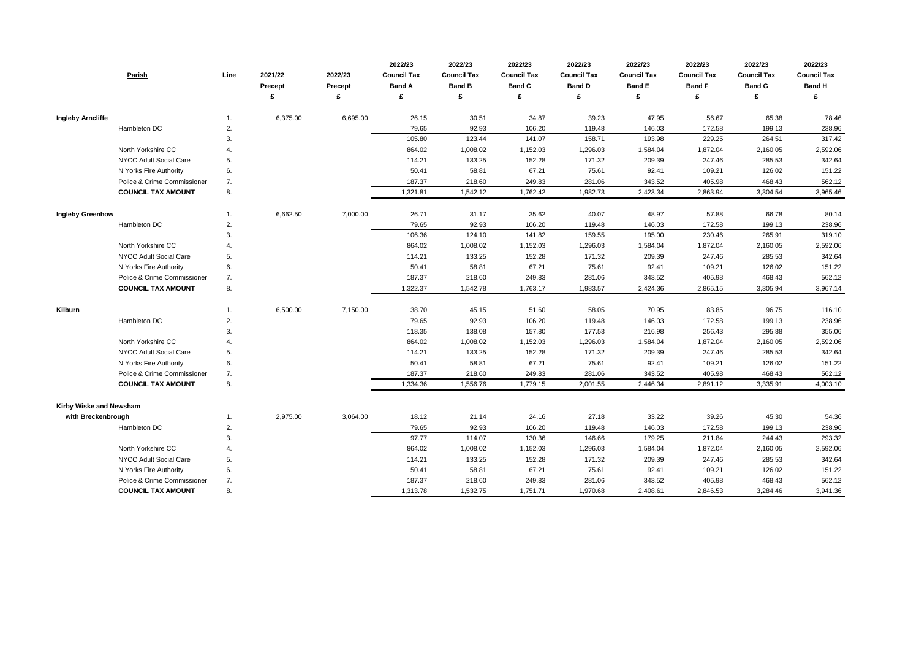| Parish                      | Line | 2021/22<br>Precept | 2022/23<br><b>Precept</b> | 2022/23<br><b>Council Tax</b><br><b>Band A</b> | 2022/23<br><b>Council Tax</b><br><b>Band B</b> | 2022/23<br><b>Council Tax</b><br><b>Band C</b> | 2022/23<br><b>Council Tax</b><br><b>Band D</b> | 2022/23<br><b>Council Tax</b><br><b>Band E</b> | 2022/23<br><b>Council Tax</b><br><b>Band F</b> | 2022/23<br><b>Council Tax</b><br><b>Band G</b> | 2022/23<br><b>Council Tax</b><br><b>Band H</b> |
|-----------------------------|------|--------------------|---------------------------|------------------------------------------------|------------------------------------------------|------------------------------------------------|------------------------------------------------|------------------------------------------------|------------------------------------------------|------------------------------------------------|------------------------------------------------|
|                             |      |                    | £                         | £                                              | £                                              | £                                              | £                                              | £                                              | £                                              | £                                              | £                                              |
| <b>Ingleby Arncliffe</b>    | 1.   | 6,375.00           | 6,695.00                  | 26.15                                          | 30.51                                          | 34.87                                          | 39.23                                          | 47.95                                          | 56.67                                          | 65.38                                          | 78.46                                          |
| Hambleton DC                | 2.   |                    |                           | 79.65                                          | 92.93                                          | 106.20                                         | 119.48                                         | 146.03                                         | 172.58                                         | 199.13                                         | 238.96                                         |
|                             | 3.   |                    |                           | 105.80                                         | 123.44                                         | 141.07                                         | 158.71                                         | 193.98                                         | 229.25                                         | 264.51                                         | 317.42                                         |
| North Yorkshire CC          |      |                    |                           | 864.02                                         | 1,008.02                                       | 1,152.03                                       | 1,296.03                                       | 1,584.04                                       | 1,872.04                                       | 2,160.05                                       | 2,592.06                                       |
| NYCC Adult Social Care      | 5.   |                    |                           | 114.21                                         | 133.25                                         | 152.28                                         | 171.32                                         | 209.39                                         | 247.46                                         | 285.53                                         | 342.64                                         |
| N Yorks Fire Authority      | 6.   |                    |                           | 50.41                                          | 58.81                                          | 67.21                                          | 75.61                                          | 92.41                                          | 109.21                                         | 126.02                                         | 151.22                                         |
| Police & Crime Commissioner | 7.   |                    |                           | 187.37                                         | 218.60                                         | 249.83                                         | 281.06                                         | 343.52                                         | 405.98                                         | 468.43                                         | 562.12                                         |
| <b>COUNCIL TAX AMOUNT</b>   | 8.   |                    |                           | 1,321.81                                       | 1,542.12                                       | 1,762.42                                       | 1,982.73                                       | 2,423.34                                       | 2,863.94                                       | 3,304.54                                       | 3,965.46                                       |
| <b>Ingleby Greenhow</b>     | 1.   | 6,662.50           | 7,000.00                  | 26.71                                          | 31.17                                          | 35.62                                          | 40.07                                          | 48.97                                          | 57.88                                          | 66.78                                          | 80.14                                          |
| Hambleton DC                | 2.   |                    |                           | 79.65                                          | 92.93                                          | 106.20                                         | 119.48                                         | 146.03                                         | 172.58                                         | 199.13                                         | 238.96                                         |
|                             | 3.   |                    |                           | 106.36                                         | 124.10                                         | 141.82                                         | 159.55                                         | 195.00                                         | 230.46                                         | 265.91                                         | 319.10                                         |
| North Yorkshire CC          |      |                    |                           | 864.02                                         | 1,008.02                                       | 1,152.03                                       | 1,296.03                                       | 1,584.04                                       | 1,872.04                                       | 2,160.05                                       | 2,592.06                                       |
| NYCC Adult Social Care      | 5.   |                    |                           | 114.21                                         | 133.25                                         | 152.28                                         | 171.32                                         | 209.39                                         | 247.46                                         | 285.53                                         | 342.64                                         |
| N Yorks Fire Authority      | 6.   |                    |                           | 50.41                                          | 58.81                                          | 67.21                                          | 75.61                                          | 92.41                                          | 109.21                                         | 126.02                                         | 151.22                                         |
| Police & Crime Commissioner | 7.   |                    |                           | 187.37                                         | 218.60                                         | 249.83                                         | 281.06                                         | 343.52                                         | 405.98                                         | 468.43                                         | 562.12                                         |
| <b>COUNCIL TAX AMOUNT</b>   | 8.   |                    |                           | 1,322.37                                       | 1,542.78                                       | 1,763.17                                       | 1,983.57                                       | 2,424.36                                       | 2,865.15                                       | 3,305.94                                       | 3,967.14                                       |
| <b>Kilburn</b>              | 1.   | 6,500.00           | 7,150.00                  | 38.70                                          | 45.15                                          | 51.60                                          | 58.05                                          | 70.95                                          | 83.85                                          | 96.75                                          | 116.10                                         |
| Hambleton DC                | 2.   |                    |                           | 79.65                                          | 92.93                                          | 106.20                                         | 119.48                                         | 146.03                                         | 172.58                                         | 199.13                                         | 238.96                                         |
|                             | 3.   |                    |                           | 118.35                                         | 138.08                                         | 157.80                                         | 177.53                                         | 216.98                                         | 256.43                                         | 295.88                                         | 355.06                                         |
| North Yorkshire CC          |      |                    |                           | 864.02                                         | 1,008.02                                       | 1,152.03                                       | 1,296.03                                       | 1,584.04                                       | 1,872.04                                       | 2,160.05                                       | 2,592.06                                       |
| NYCC Adult Social Care      | 5.   |                    |                           | 114.21                                         | 133.25                                         | 152.28                                         | 171.32                                         | 209.39                                         | 247.46                                         | 285.53                                         | 342.64                                         |
| N Yorks Fire Authority      | 6.   |                    |                           | 50.41                                          | 58.81                                          | 67.21                                          | 75.61                                          | 92.41                                          | 109.21                                         | 126.02                                         | 151.22                                         |
| Police & Crime Commissioner | 7.   |                    |                           | 187.37                                         | 218.60                                         | 249.83                                         | 281.06                                         | 343.52                                         | 405.98                                         | 468.43                                         | 562.12                                         |
| <b>COUNCIL TAX AMOUNT</b>   | 8.   |                    |                           | 1,334.36                                       | 1,556.76                                       | 1,779.15                                       | 2,001.55                                       | 2,446.34                                       | 2,891.12                                       | 3,335.91                                       | 4,003.10                                       |
| Kirby Wiske and Newsham     |      |                    |                           |                                                |                                                |                                                |                                                |                                                |                                                |                                                |                                                |
| with Breckenbrough          | 1.   | 2,975.00           | 3,064.00                  | 18.12                                          | 21.14                                          | 24.16                                          | 27.18                                          | 33.22                                          | 39.26                                          | 45.30                                          | 54.36                                          |
| Hambleton DC                | 2.   |                    |                           | 79.65                                          | 92.93                                          | 106.20                                         | 119.48                                         | 146.03                                         | 172.58                                         | 199.13                                         | 238.96                                         |
|                             | 3.   |                    |                           | 97.77                                          | 114.07                                         | 130.36                                         | 146.66                                         | 179.25                                         | 211.84                                         | 244.43                                         | 293.32                                         |
| North Yorkshire CC          | 4.   |                    |                           | 864.02                                         | 1,008.02                                       | 1,152.03                                       | 1,296.03                                       | 1,584.04                                       | 1,872.04                                       | 2,160.05                                       | 2,592.06                                       |
| NYCC Adult Social Care      | 5.   |                    |                           | 114.21                                         | 133.25                                         | 152.28                                         | 171.32                                         | 209.39                                         | 247.46                                         | 285.53                                         | 342.64                                         |
| N Yorks Fire Authority      | 6.   |                    |                           | 50.41                                          | 58.81                                          | 67.21                                          | 75.61                                          | 92.41                                          | 109.21                                         | 126.02                                         | 151.22                                         |
| Police & Crime Commissioner | 7.   |                    |                           | 187.37                                         | 218.60                                         | 249.83                                         | 281.06                                         | 343.52                                         | 405.98                                         | 468.43                                         | 562.12                                         |
| <b>COUNCIL TAX AMOUNT</b>   | 8.   |                    |                           | 1,313.78                                       | 1,532.75                                       | 1,751.71                                       | 1,970.68                                       | 2,408.61                                       | 2,846.53                                       | 3,284.46                                       | 3,941.36                                       |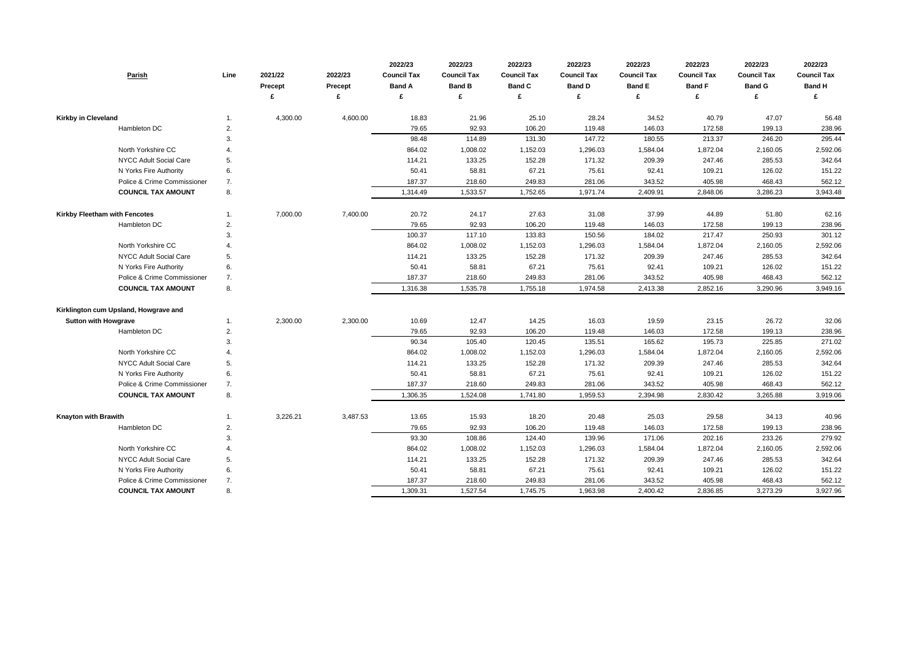| 4,300.00<br>4,600.00<br>21.96<br>28.24<br>34.52<br>40.79<br>47.07<br><b>Kirkby in Cleveland</b><br>18.83<br>25.10<br>56.48<br>-1.<br>92.93<br>106.20<br>Hambleton DC<br>79.65<br>119.48<br>146.03<br>172.58<br>199.13<br>238.96<br>2.<br>295.44<br>3.<br>98.48<br>114.89<br>131.30<br>147.72<br>180.55<br>213.37<br>246.20<br>1,872.04<br>North Yorkshire CC<br>864.02<br>1,008.02<br>1,152.03<br>1,296.03<br>1,584.04<br>2,160.05<br>2,592.06<br>4.<br>171.32<br><b>NYCC Adult Social Care</b><br>5.<br>114.21<br>133.25<br>152.28<br>209.39<br>247.46<br>285.53<br>342.64<br>N Yorks Fire Authority<br>6.<br>50.41<br>58.81<br>67.21<br>75.61<br>92.41<br>109.21<br>126.02<br>151.22<br>Police & Crime Commissioner<br>7.<br>187.37<br>218.60<br>249.83<br>281.06<br>343.52<br>405.98<br>468.43<br>562.12<br>1,971.74<br>8.<br>1,314.49<br>1,533.57<br>1,752.65<br>2,848.06<br>3,286.23<br><b>COUNCIL TAX AMOUNT</b><br>2,409.91<br>3,943.48<br>20.72<br>Kirkby Fleetham with Fencotes<br>7,000.00<br>7,400.00<br>24.17<br>27.63<br>31.08<br>37.99<br>44.89<br>51.80<br>62.16<br>-1.<br>92.93<br>Hambleton DC<br>79.65<br>106.20<br>119.48<br>146.03<br>172.58<br>199.13<br>238.96<br>2.<br>3.<br>100.37<br>117.10<br>133.83<br>150.56<br>184.02<br>217.47<br>250.93<br>301.12<br>North Yorkshire CC<br>1,296.03<br>864.02<br>1,008.02<br>1,152.03<br>1,584.04<br>1,872.04<br>2,160.05<br>2,592.06<br>$\overline{4}$<br>171.32<br>NYCC Adult Social Care<br>5.<br>114.21<br>133.25<br>152.28<br>209.39<br>247.46<br>285.53<br>342.64<br>67.21<br>151.22<br>N Yorks Fire Authority<br>6.<br>50.41<br>58.81<br>75.61<br>92.41<br>126.02<br>109.21<br>Police & Crime Commissioner<br>468.43<br>562.12<br>7.<br>187.37<br>218.60<br>249.83<br>281.06<br>343.52<br>405.98<br><b>COUNCIL TAX AMOUNT</b><br>8.<br>1,316.38<br>1,535.78<br>1,755.18<br>1,974.58<br>2,852.16<br>3,290.96<br>3,949.16<br>2,413.38<br>Kirklington cum Upsland, Howgrave and<br>10.69<br>14.25<br>16.03<br>19.59<br>23.15<br>26.72<br>32.06<br><b>Sutton with Howgrave</b><br>2,300.00<br>2,300.00<br>12.47<br>-1.<br>92.93<br>106.20<br>119.48<br>146.03<br>172.58<br>199.13<br>Hambleton DC<br>2.<br>79.65<br>238.96<br>271.02<br>90.34<br>105.40<br>120.45<br>135.51<br>165.62<br>195.73<br>225.85<br>3.<br>North Yorkshire CC<br>1,008.02<br>1,152.03<br>1,296.03<br>1,872.04<br>2,160.05<br>2,592.06<br>864.02<br>1,584.04<br>152.28<br>171.32<br>NYCC Adult Social Care<br>5.<br>114.21<br>133.25<br>209.39<br>247.46<br>285.53<br>342.64<br>N Yorks Fire Authority<br>58.81<br>67.21<br>75.61<br>126.02<br>151.22<br>6.<br>50.41<br>92.41<br>109.21<br>Police & Crime Commissioner<br>7.<br>187.37<br>218.60<br>249.83<br>281.06<br>343.52<br>405.98<br>468.43<br>562.12<br><b>COUNCIL TAX AMOUNT</b><br>8.<br>1,306.35<br>1,524.08<br>1,741.80<br>1,959.53<br>2,394.98<br>2,830.42<br>3,265.88<br>3,919.06<br>3,487.53<br><b>Knayton with Brawith</b><br>3,226.21<br>13.65<br>15.93<br>18.20<br>20.48<br>25.03<br>29.58<br>34.13<br>40.96<br>1.<br>Hambleton DC<br>2.<br>79.65<br>92.93<br>106.20<br>119.48<br>146.03<br>172.58<br>199.13<br>238.96<br>3.<br>93.30<br>108.86<br>124.40<br>139.96<br>171.06<br>202.16<br>233.26<br>279.92<br>2,592.06<br>North Yorkshire CC<br>864.02<br>1,008.02<br>1,152.03<br>1,296.03<br>1,584.04<br>1,872.04<br>2,160.05<br>4.<br>5.<br>171.32<br>285.53<br>342.64<br><b>NYCC Adult Social Care</b><br>114.21<br>133.25<br>152.28<br>209.39<br>247.46<br>6.<br>67.21<br>N Yorks Fire Authority<br>50.41<br>58.81<br>75.61<br>92.41<br>126.02<br>151.22<br>109.21<br>Police & Crime Commissioner<br>562.12<br>187.37<br>218.60<br>249.83<br>281.06<br>343.52<br>405.98<br>468.43<br>7.<br><b>COUNCIL TAX AMOUNT</b><br>8.<br>1,309.31<br>1,527.54<br>1,745.75<br>1,963.98<br>2,836.85<br>3,273.29<br>3,927.96<br>2,400.42 | Parish | Line | 2021/22<br><b>Precept</b> | 2022/23<br><b>Precept</b><br>£ | 2022/23<br><b>Council Tax</b><br><b>Band A</b><br>£ | 2022/23<br><b>Council Tax</b><br><b>Band B</b> | 2022/23<br><b>Council Tax</b><br><b>Band C</b> | 2022/23<br><b>Council Tax</b><br><b>Band D</b><br>£ | 2022/23<br><b>Council Tax</b><br><b>Band E</b><br>£ | 2022/23<br><b>Council Tax</b><br><b>Band F</b><br>£ | 2022/23<br><b>Council Tax</b><br><b>Band G</b> | 2022/23<br><b>Council Tax</b><br><b>Band H</b><br>£ |
|--------------------------------------------------------------------------------------------------------------------------------------------------------------------------------------------------------------------------------------------------------------------------------------------------------------------------------------------------------------------------------------------------------------------------------------------------------------------------------------------------------------------------------------------------------------------------------------------------------------------------------------------------------------------------------------------------------------------------------------------------------------------------------------------------------------------------------------------------------------------------------------------------------------------------------------------------------------------------------------------------------------------------------------------------------------------------------------------------------------------------------------------------------------------------------------------------------------------------------------------------------------------------------------------------------------------------------------------------------------------------------------------------------------------------------------------------------------------------------------------------------------------------------------------------------------------------------------------------------------------------------------------------------------------------------------------------------------------------------------------------------------------------------------------------------------------------------------------------------------------------------------------------------------------------------------------------------------------------------------------------------------------------------------------------------------------------------------------------------------------------------------------------------------------------------------------------------------------------------------------------------------------------------------------------------------------------------------------------------------------------------------------------------------------------------------------------------------------------------------------------------------------------------------------------------------------------------------------------------------------------------------------------------------------------------------------------------------------------------------------------------------------------------------------------------------------------------------------------------------------------------------------------------------------------------------------------------------------------------------------------------------------------------------------------------------------------------------------------------------------------------------------------------------------------------------------------------------------------------------------------------------------------------------------------------------------------------------------------------------------------------------------------------------------------------------------------------------------------------------------------------------------------------------------------------------------------------------------------------------------------------------------------------------------------------------------------------------------------------------------------------------------------------------------------------------------------------------------|--------|------|---------------------------|--------------------------------|-----------------------------------------------------|------------------------------------------------|------------------------------------------------|-----------------------------------------------------|-----------------------------------------------------|-----------------------------------------------------|------------------------------------------------|-----------------------------------------------------|
|                                                                                                                                                                                                                                                                                                                                                                                                                                                                                                                                                                                                                                                                                                                                                                                                                                                                                                                                                                                                                                                                                                                                                                                                                                                                                                                                                                                                                                                                                                                                                                                                                                                                                                                                                                                                                                                                                                                                                                                                                                                                                                                                                                                                                                                                                                                                                                                                                                                                                                                                                                                                                                                                                                                                                                                                                                                                                                                                                                                                                                                                                                                                                                                                                                                                                                                                                                                                                                                                                                                                                                                                                                                                                                                                                                                                                                            |        |      |                           |                                |                                                     |                                                |                                                |                                                     |                                                     |                                                     |                                                |                                                     |
|                                                                                                                                                                                                                                                                                                                                                                                                                                                                                                                                                                                                                                                                                                                                                                                                                                                                                                                                                                                                                                                                                                                                                                                                                                                                                                                                                                                                                                                                                                                                                                                                                                                                                                                                                                                                                                                                                                                                                                                                                                                                                                                                                                                                                                                                                                                                                                                                                                                                                                                                                                                                                                                                                                                                                                                                                                                                                                                                                                                                                                                                                                                                                                                                                                                                                                                                                                                                                                                                                                                                                                                                                                                                                                                                                                                                                                            |        |      |                           |                                |                                                     |                                                |                                                |                                                     |                                                     |                                                     |                                                |                                                     |
|                                                                                                                                                                                                                                                                                                                                                                                                                                                                                                                                                                                                                                                                                                                                                                                                                                                                                                                                                                                                                                                                                                                                                                                                                                                                                                                                                                                                                                                                                                                                                                                                                                                                                                                                                                                                                                                                                                                                                                                                                                                                                                                                                                                                                                                                                                                                                                                                                                                                                                                                                                                                                                                                                                                                                                                                                                                                                                                                                                                                                                                                                                                                                                                                                                                                                                                                                                                                                                                                                                                                                                                                                                                                                                                                                                                                                                            |        |      |                           |                                |                                                     |                                                |                                                |                                                     |                                                     |                                                     |                                                |                                                     |
|                                                                                                                                                                                                                                                                                                                                                                                                                                                                                                                                                                                                                                                                                                                                                                                                                                                                                                                                                                                                                                                                                                                                                                                                                                                                                                                                                                                                                                                                                                                                                                                                                                                                                                                                                                                                                                                                                                                                                                                                                                                                                                                                                                                                                                                                                                                                                                                                                                                                                                                                                                                                                                                                                                                                                                                                                                                                                                                                                                                                                                                                                                                                                                                                                                                                                                                                                                                                                                                                                                                                                                                                                                                                                                                                                                                                                                            |        |      |                           |                                |                                                     |                                                |                                                |                                                     |                                                     |                                                     |                                                |                                                     |
|                                                                                                                                                                                                                                                                                                                                                                                                                                                                                                                                                                                                                                                                                                                                                                                                                                                                                                                                                                                                                                                                                                                                                                                                                                                                                                                                                                                                                                                                                                                                                                                                                                                                                                                                                                                                                                                                                                                                                                                                                                                                                                                                                                                                                                                                                                                                                                                                                                                                                                                                                                                                                                                                                                                                                                                                                                                                                                                                                                                                                                                                                                                                                                                                                                                                                                                                                                                                                                                                                                                                                                                                                                                                                                                                                                                                                                            |        |      |                           |                                |                                                     |                                                |                                                |                                                     |                                                     |                                                     |                                                |                                                     |
|                                                                                                                                                                                                                                                                                                                                                                                                                                                                                                                                                                                                                                                                                                                                                                                                                                                                                                                                                                                                                                                                                                                                                                                                                                                                                                                                                                                                                                                                                                                                                                                                                                                                                                                                                                                                                                                                                                                                                                                                                                                                                                                                                                                                                                                                                                                                                                                                                                                                                                                                                                                                                                                                                                                                                                                                                                                                                                                                                                                                                                                                                                                                                                                                                                                                                                                                                                                                                                                                                                                                                                                                                                                                                                                                                                                                                                            |        |      |                           |                                |                                                     |                                                |                                                |                                                     |                                                     |                                                     |                                                |                                                     |
|                                                                                                                                                                                                                                                                                                                                                                                                                                                                                                                                                                                                                                                                                                                                                                                                                                                                                                                                                                                                                                                                                                                                                                                                                                                                                                                                                                                                                                                                                                                                                                                                                                                                                                                                                                                                                                                                                                                                                                                                                                                                                                                                                                                                                                                                                                                                                                                                                                                                                                                                                                                                                                                                                                                                                                                                                                                                                                                                                                                                                                                                                                                                                                                                                                                                                                                                                                                                                                                                                                                                                                                                                                                                                                                                                                                                                                            |        |      |                           |                                |                                                     |                                                |                                                |                                                     |                                                     |                                                     |                                                |                                                     |
|                                                                                                                                                                                                                                                                                                                                                                                                                                                                                                                                                                                                                                                                                                                                                                                                                                                                                                                                                                                                                                                                                                                                                                                                                                                                                                                                                                                                                                                                                                                                                                                                                                                                                                                                                                                                                                                                                                                                                                                                                                                                                                                                                                                                                                                                                                                                                                                                                                                                                                                                                                                                                                                                                                                                                                                                                                                                                                                                                                                                                                                                                                                                                                                                                                                                                                                                                                                                                                                                                                                                                                                                                                                                                                                                                                                                                                            |        |      |                           |                                |                                                     |                                                |                                                |                                                     |                                                     |                                                     |                                                |                                                     |
|                                                                                                                                                                                                                                                                                                                                                                                                                                                                                                                                                                                                                                                                                                                                                                                                                                                                                                                                                                                                                                                                                                                                                                                                                                                                                                                                                                                                                                                                                                                                                                                                                                                                                                                                                                                                                                                                                                                                                                                                                                                                                                                                                                                                                                                                                                                                                                                                                                                                                                                                                                                                                                                                                                                                                                                                                                                                                                                                                                                                                                                                                                                                                                                                                                                                                                                                                                                                                                                                                                                                                                                                                                                                                                                                                                                                                                            |        |      |                           |                                |                                                     |                                                |                                                |                                                     |                                                     |                                                     |                                                |                                                     |
|                                                                                                                                                                                                                                                                                                                                                                                                                                                                                                                                                                                                                                                                                                                                                                                                                                                                                                                                                                                                                                                                                                                                                                                                                                                                                                                                                                                                                                                                                                                                                                                                                                                                                                                                                                                                                                                                                                                                                                                                                                                                                                                                                                                                                                                                                                                                                                                                                                                                                                                                                                                                                                                                                                                                                                                                                                                                                                                                                                                                                                                                                                                                                                                                                                                                                                                                                                                                                                                                                                                                                                                                                                                                                                                                                                                                                                            |        |      |                           |                                |                                                     |                                                |                                                |                                                     |                                                     |                                                     |                                                |                                                     |
|                                                                                                                                                                                                                                                                                                                                                                                                                                                                                                                                                                                                                                                                                                                                                                                                                                                                                                                                                                                                                                                                                                                                                                                                                                                                                                                                                                                                                                                                                                                                                                                                                                                                                                                                                                                                                                                                                                                                                                                                                                                                                                                                                                                                                                                                                                                                                                                                                                                                                                                                                                                                                                                                                                                                                                                                                                                                                                                                                                                                                                                                                                                                                                                                                                                                                                                                                                                                                                                                                                                                                                                                                                                                                                                                                                                                                                            |        |      |                           |                                |                                                     |                                                |                                                |                                                     |                                                     |                                                     |                                                |                                                     |
|                                                                                                                                                                                                                                                                                                                                                                                                                                                                                                                                                                                                                                                                                                                                                                                                                                                                                                                                                                                                                                                                                                                                                                                                                                                                                                                                                                                                                                                                                                                                                                                                                                                                                                                                                                                                                                                                                                                                                                                                                                                                                                                                                                                                                                                                                                                                                                                                                                                                                                                                                                                                                                                                                                                                                                                                                                                                                                                                                                                                                                                                                                                                                                                                                                                                                                                                                                                                                                                                                                                                                                                                                                                                                                                                                                                                                                            |        |      |                           |                                |                                                     |                                                |                                                |                                                     |                                                     |                                                     |                                                |                                                     |
|                                                                                                                                                                                                                                                                                                                                                                                                                                                                                                                                                                                                                                                                                                                                                                                                                                                                                                                                                                                                                                                                                                                                                                                                                                                                                                                                                                                                                                                                                                                                                                                                                                                                                                                                                                                                                                                                                                                                                                                                                                                                                                                                                                                                                                                                                                                                                                                                                                                                                                                                                                                                                                                                                                                                                                                                                                                                                                                                                                                                                                                                                                                                                                                                                                                                                                                                                                                                                                                                                                                                                                                                                                                                                                                                                                                                                                            |        |      |                           |                                |                                                     |                                                |                                                |                                                     |                                                     |                                                     |                                                |                                                     |
|                                                                                                                                                                                                                                                                                                                                                                                                                                                                                                                                                                                                                                                                                                                                                                                                                                                                                                                                                                                                                                                                                                                                                                                                                                                                                                                                                                                                                                                                                                                                                                                                                                                                                                                                                                                                                                                                                                                                                                                                                                                                                                                                                                                                                                                                                                                                                                                                                                                                                                                                                                                                                                                                                                                                                                                                                                                                                                                                                                                                                                                                                                                                                                                                                                                                                                                                                                                                                                                                                                                                                                                                                                                                                                                                                                                                                                            |        |      |                           |                                |                                                     |                                                |                                                |                                                     |                                                     |                                                     |                                                |                                                     |
|                                                                                                                                                                                                                                                                                                                                                                                                                                                                                                                                                                                                                                                                                                                                                                                                                                                                                                                                                                                                                                                                                                                                                                                                                                                                                                                                                                                                                                                                                                                                                                                                                                                                                                                                                                                                                                                                                                                                                                                                                                                                                                                                                                                                                                                                                                                                                                                                                                                                                                                                                                                                                                                                                                                                                                                                                                                                                                                                                                                                                                                                                                                                                                                                                                                                                                                                                                                                                                                                                                                                                                                                                                                                                                                                                                                                                                            |        |      |                           |                                |                                                     |                                                |                                                |                                                     |                                                     |                                                     |                                                |                                                     |
|                                                                                                                                                                                                                                                                                                                                                                                                                                                                                                                                                                                                                                                                                                                                                                                                                                                                                                                                                                                                                                                                                                                                                                                                                                                                                                                                                                                                                                                                                                                                                                                                                                                                                                                                                                                                                                                                                                                                                                                                                                                                                                                                                                                                                                                                                                                                                                                                                                                                                                                                                                                                                                                                                                                                                                                                                                                                                                                                                                                                                                                                                                                                                                                                                                                                                                                                                                                                                                                                                                                                                                                                                                                                                                                                                                                                                                            |        |      |                           |                                |                                                     |                                                |                                                |                                                     |                                                     |                                                     |                                                |                                                     |
|                                                                                                                                                                                                                                                                                                                                                                                                                                                                                                                                                                                                                                                                                                                                                                                                                                                                                                                                                                                                                                                                                                                                                                                                                                                                                                                                                                                                                                                                                                                                                                                                                                                                                                                                                                                                                                                                                                                                                                                                                                                                                                                                                                                                                                                                                                                                                                                                                                                                                                                                                                                                                                                                                                                                                                                                                                                                                                                                                                                                                                                                                                                                                                                                                                                                                                                                                                                                                                                                                                                                                                                                                                                                                                                                                                                                                                            |        |      |                           |                                |                                                     |                                                |                                                |                                                     |                                                     |                                                     |                                                |                                                     |
|                                                                                                                                                                                                                                                                                                                                                                                                                                                                                                                                                                                                                                                                                                                                                                                                                                                                                                                                                                                                                                                                                                                                                                                                                                                                                                                                                                                                                                                                                                                                                                                                                                                                                                                                                                                                                                                                                                                                                                                                                                                                                                                                                                                                                                                                                                                                                                                                                                                                                                                                                                                                                                                                                                                                                                                                                                                                                                                                                                                                                                                                                                                                                                                                                                                                                                                                                                                                                                                                                                                                                                                                                                                                                                                                                                                                                                            |        |      |                           |                                |                                                     |                                                |                                                |                                                     |                                                     |                                                     |                                                |                                                     |
|                                                                                                                                                                                                                                                                                                                                                                                                                                                                                                                                                                                                                                                                                                                                                                                                                                                                                                                                                                                                                                                                                                                                                                                                                                                                                                                                                                                                                                                                                                                                                                                                                                                                                                                                                                                                                                                                                                                                                                                                                                                                                                                                                                                                                                                                                                                                                                                                                                                                                                                                                                                                                                                                                                                                                                                                                                                                                                                                                                                                                                                                                                                                                                                                                                                                                                                                                                                                                                                                                                                                                                                                                                                                                                                                                                                                                                            |        |      |                           |                                |                                                     |                                                |                                                |                                                     |                                                     |                                                     |                                                |                                                     |
|                                                                                                                                                                                                                                                                                                                                                                                                                                                                                                                                                                                                                                                                                                                                                                                                                                                                                                                                                                                                                                                                                                                                                                                                                                                                                                                                                                                                                                                                                                                                                                                                                                                                                                                                                                                                                                                                                                                                                                                                                                                                                                                                                                                                                                                                                                                                                                                                                                                                                                                                                                                                                                                                                                                                                                                                                                                                                                                                                                                                                                                                                                                                                                                                                                                                                                                                                                                                                                                                                                                                                                                                                                                                                                                                                                                                                                            |        |      |                           |                                |                                                     |                                                |                                                |                                                     |                                                     |                                                     |                                                |                                                     |
|                                                                                                                                                                                                                                                                                                                                                                                                                                                                                                                                                                                                                                                                                                                                                                                                                                                                                                                                                                                                                                                                                                                                                                                                                                                                                                                                                                                                                                                                                                                                                                                                                                                                                                                                                                                                                                                                                                                                                                                                                                                                                                                                                                                                                                                                                                                                                                                                                                                                                                                                                                                                                                                                                                                                                                                                                                                                                                                                                                                                                                                                                                                                                                                                                                                                                                                                                                                                                                                                                                                                                                                                                                                                                                                                                                                                                                            |        |      |                           |                                |                                                     |                                                |                                                |                                                     |                                                     |                                                     |                                                |                                                     |
|                                                                                                                                                                                                                                                                                                                                                                                                                                                                                                                                                                                                                                                                                                                                                                                                                                                                                                                                                                                                                                                                                                                                                                                                                                                                                                                                                                                                                                                                                                                                                                                                                                                                                                                                                                                                                                                                                                                                                                                                                                                                                                                                                                                                                                                                                                                                                                                                                                                                                                                                                                                                                                                                                                                                                                                                                                                                                                                                                                                                                                                                                                                                                                                                                                                                                                                                                                                                                                                                                                                                                                                                                                                                                                                                                                                                                                            |        |      |                           |                                |                                                     |                                                |                                                |                                                     |                                                     |                                                     |                                                |                                                     |
|                                                                                                                                                                                                                                                                                                                                                                                                                                                                                                                                                                                                                                                                                                                                                                                                                                                                                                                                                                                                                                                                                                                                                                                                                                                                                                                                                                                                                                                                                                                                                                                                                                                                                                                                                                                                                                                                                                                                                                                                                                                                                                                                                                                                                                                                                                                                                                                                                                                                                                                                                                                                                                                                                                                                                                                                                                                                                                                                                                                                                                                                                                                                                                                                                                                                                                                                                                                                                                                                                                                                                                                                                                                                                                                                                                                                                                            |        |      |                           |                                |                                                     |                                                |                                                |                                                     |                                                     |                                                     |                                                |                                                     |
|                                                                                                                                                                                                                                                                                                                                                                                                                                                                                                                                                                                                                                                                                                                                                                                                                                                                                                                                                                                                                                                                                                                                                                                                                                                                                                                                                                                                                                                                                                                                                                                                                                                                                                                                                                                                                                                                                                                                                                                                                                                                                                                                                                                                                                                                                                                                                                                                                                                                                                                                                                                                                                                                                                                                                                                                                                                                                                                                                                                                                                                                                                                                                                                                                                                                                                                                                                                                                                                                                                                                                                                                                                                                                                                                                                                                                                            |        |      |                           |                                |                                                     |                                                |                                                |                                                     |                                                     |                                                     |                                                |                                                     |
|                                                                                                                                                                                                                                                                                                                                                                                                                                                                                                                                                                                                                                                                                                                                                                                                                                                                                                                                                                                                                                                                                                                                                                                                                                                                                                                                                                                                                                                                                                                                                                                                                                                                                                                                                                                                                                                                                                                                                                                                                                                                                                                                                                                                                                                                                                                                                                                                                                                                                                                                                                                                                                                                                                                                                                                                                                                                                                                                                                                                                                                                                                                                                                                                                                                                                                                                                                                                                                                                                                                                                                                                                                                                                                                                                                                                                                            |        |      |                           |                                |                                                     |                                                |                                                |                                                     |                                                     |                                                     |                                                |                                                     |
|                                                                                                                                                                                                                                                                                                                                                                                                                                                                                                                                                                                                                                                                                                                                                                                                                                                                                                                                                                                                                                                                                                                                                                                                                                                                                                                                                                                                                                                                                                                                                                                                                                                                                                                                                                                                                                                                                                                                                                                                                                                                                                                                                                                                                                                                                                                                                                                                                                                                                                                                                                                                                                                                                                                                                                                                                                                                                                                                                                                                                                                                                                                                                                                                                                                                                                                                                                                                                                                                                                                                                                                                                                                                                                                                                                                                                                            |        |      |                           |                                |                                                     |                                                |                                                |                                                     |                                                     |                                                     |                                                |                                                     |
|                                                                                                                                                                                                                                                                                                                                                                                                                                                                                                                                                                                                                                                                                                                                                                                                                                                                                                                                                                                                                                                                                                                                                                                                                                                                                                                                                                                                                                                                                                                                                                                                                                                                                                                                                                                                                                                                                                                                                                                                                                                                                                                                                                                                                                                                                                                                                                                                                                                                                                                                                                                                                                                                                                                                                                                                                                                                                                                                                                                                                                                                                                                                                                                                                                                                                                                                                                                                                                                                                                                                                                                                                                                                                                                                                                                                                                            |        |      |                           |                                |                                                     |                                                |                                                |                                                     |                                                     |                                                     |                                                |                                                     |
|                                                                                                                                                                                                                                                                                                                                                                                                                                                                                                                                                                                                                                                                                                                                                                                                                                                                                                                                                                                                                                                                                                                                                                                                                                                                                                                                                                                                                                                                                                                                                                                                                                                                                                                                                                                                                                                                                                                                                                                                                                                                                                                                                                                                                                                                                                                                                                                                                                                                                                                                                                                                                                                                                                                                                                                                                                                                                                                                                                                                                                                                                                                                                                                                                                                                                                                                                                                                                                                                                                                                                                                                                                                                                                                                                                                                                                            |        |      |                           |                                |                                                     |                                                |                                                |                                                     |                                                     |                                                     |                                                |                                                     |
|                                                                                                                                                                                                                                                                                                                                                                                                                                                                                                                                                                                                                                                                                                                                                                                                                                                                                                                                                                                                                                                                                                                                                                                                                                                                                                                                                                                                                                                                                                                                                                                                                                                                                                                                                                                                                                                                                                                                                                                                                                                                                                                                                                                                                                                                                                                                                                                                                                                                                                                                                                                                                                                                                                                                                                                                                                                                                                                                                                                                                                                                                                                                                                                                                                                                                                                                                                                                                                                                                                                                                                                                                                                                                                                                                                                                                                            |        |      |                           |                                |                                                     |                                                |                                                |                                                     |                                                     |                                                     |                                                |                                                     |
|                                                                                                                                                                                                                                                                                                                                                                                                                                                                                                                                                                                                                                                                                                                                                                                                                                                                                                                                                                                                                                                                                                                                                                                                                                                                                                                                                                                                                                                                                                                                                                                                                                                                                                                                                                                                                                                                                                                                                                                                                                                                                                                                                                                                                                                                                                                                                                                                                                                                                                                                                                                                                                                                                                                                                                                                                                                                                                                                                                                                                                                                                                                                                                                                                                                                                                                                                                                                                                                                                                                                                                                                                                                                                                                                                                                                                                            |        |      |                           |                                |                                                     |                                                |                                                |                                                     |                                                     |                                                     |                                                |                                                     |
|                                                                                                                                                                                                                                                                                                                                                                                                                                                                                                                                                                                                                                                                                                                                                                                                                                                                                                                                                                                                                                                                                                                                                                                                                                                                                                                                                                                                                                                                                                                                                                                                                                                                                                                                                                                                                                                                                                                                                                                                                                                                                                                                                                                                                                                                                                                                                                                                                                                                                                                                                                                                                                                                                                                                                                                                                                                                                                                                                                                                                                                                                                                                                                                                                                                                                                                                                                                                                                                                                                                                                                                                                                                                                                                                                                                                                                            |        |      |                           |                                |                                                     |                                                |                                                |                                                     |                                                     |                                                     |                                                |                                                     |
|                                                                                                                                                                                                                                                                                                                                                                                                                                                                                                                                                                                                                                                                                                                                                                                                                                                                                                                                                                                                                                                                                                                                                                                                                                                                                                                                                                                                                                                                                                                                                                                                                                                                                                                                                                                                                                                                                                                                                                                                                                                                                                                                                                                                                                                                                                                                                                                                                                                                                                                                                                                                                                                                                                                                                                                                                                                                                                                                                                                                                                                                                                                                                                                                                                                                                                                                                                                                                                                                                                                                                                                                                                                                                                                                                                                                                                            |        |      |                           |                                |                                                     |                                                |                                                |                                                     |                                                     |                                                     |                                                |                                                     |
|                                                                                                                                                                                                                                                                                                                                                                                                                                                                                                                                                                                                                                                                                                                                                                                                                                                                                                                                                                                                                                                                                                                                                                                                                                                                                                                                                                                                                                                                                                                                                                                                                                                                                                                                                                                                                                                                                                                                                                                                                                                                                                                                                                                                                                                                                                                                                                                                                                                                                                                                                                                                                                                                                                                                                                                                                                                                                                                                                                                                                                                                                                                                                                                                                                                                                                                                                                                                                                                                                                                                                                                                                                                                                                                                                                                                                                            |        |      |                           |                                |                                                     |                                                |                                                |                                                     |                                                     |                                                     |                                                |                                                     |

| 2022/23            | 2022/23            | 2022/23            |
|--------------------|--------------------|--------------------|
| <b>Council Tax</b> | <b>Council Tax</b> | <b>Council Tax</b> |
| <b>Band F</b>      | <b>Band G</b>      | <b>Band H</b>      |
| £                  | £                  | £                  |
|                    |                    |                    |
| 40.79              | 47.07              | 56.48              |
| 172.58             | 199.13             | 238.96             |
| 213.37             | 246.20             | 295.44             |
| 1,872.04           | 2,160.05           | 2,592.06           |
| 247.46             | 285.53             | 342.64             |
| 109.21             | 126.02             | 151.22             |
| 405.98             | 468.43             | 562.12             |
| 2,848.06           | 3,286.23           | 3,943.48           |
|                    |                    |                    |
| 44.89              | 51.80              | 62.16              |
| 172.58             | 199.13             | 238.96             |
| 217.47             | 250.93             | 301.12             |
| 1,872.04           | 2,160.05           | 2,592.06           |
| 247.46             | 285.53             | 342.64             |
| 109.21             | 126.02             | 151.22             |
| 405.98             | 468.43             | 562.12             |
| 2,852.16           | 3,290.96           | 3,949.16           |
|                    |                    |                    |
| 23.15              | 26.72              | 32.06              |
| 172.58             | 199.13             | 238.96             |
| 195.73             | 225.85             | 271.02             |
| 1,872.04           | 2,160.05           | 2,592.06           |
| 247.46             | 285.53             | 342.64             |
| 109.21             | 126.02             | 151.22             |
| 405.98             | 468.43             | 562.12             |
| 2,830.42           | 3,265.88           | 3,919.06           |
|                    |                    |                    |
| 29.58              | 34.13              | 40.96              |
| 172.58             | 199.13             | 238.96             |
| 202.16             | 233.26             | 279.92             |
| 1,872.04           | 2,160.05           | 2,592.06           |
| 247.46             | 285.53             | 342.64             |
| 109.21             | 126.02             | 151.22             |
| 405.98             | 468.43             | 562.12             |
| 2,836.85           | 3,273.29           | 3,927.96           |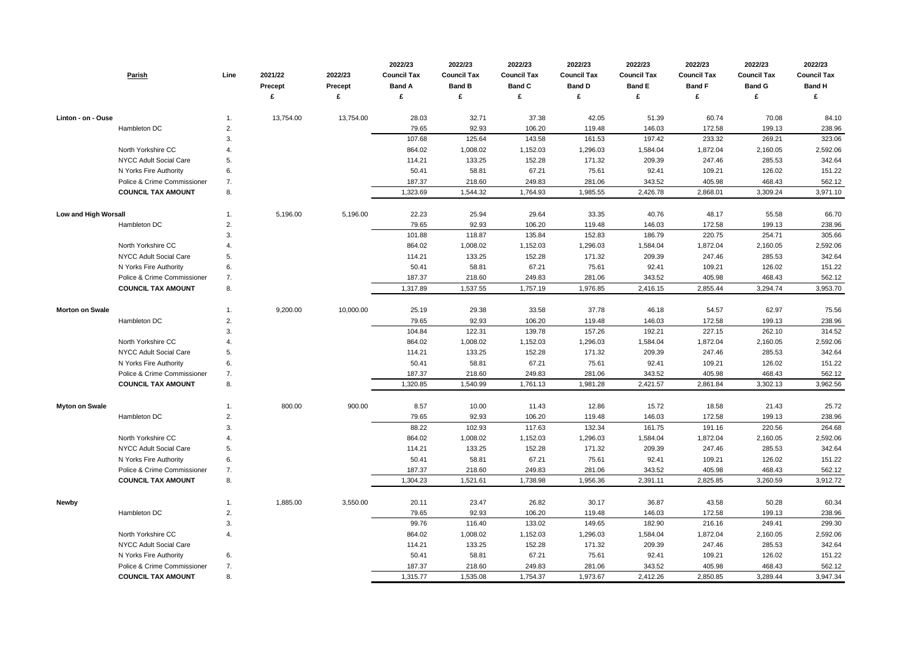|                             | <b>Parish</b>                 | Line        | 2021/22   | 2022/23        | 2022/23<br><b>Council Tax</b> | 2022/23<br><b>Council Tax</b> | 2022/23<br><b>Council Tax</b> | 2022/23<br><b>Council Tax</b> | 2022/23<br><b>Council Tax</b> | 2022/23<br><b>Council Tax</b> | 2022/23<br><b>Council Tax</b> | 2022/23<br><b>Council Tax</b> |
|-----------------------------|-------------------------------|-------------|-----------|----------------|-------------------------------|-------------------------------|-------------------------------|-------------------------------|-------------------------------|-------------------------------|-------------------------------|-------------------------------|
|                             |                               |             | Precept   | <b>Precept</b> | <b>Band A</b>                 | <b>Band B</b>                 | <b>Band C</b>                 | <b>Band D</b>                 | <b>Band E</b>                 | <b>Band F</b>                 | <b>Band G</b>                 | <b>Band H</b>                 |
|                             |                               |             |           | £              | £                             | £                             | £                             | £                             | £                             | £                             | £                             | £                             |
| Linton - on - Ouse          |                               | 1.          | 13,754.00 | 13,754.00      | 28.03                         | 32.71                         | 37.38                         | 42.05                         | 51.39                         | 60.74                         | 70.08                         | 84.10                         |
|                             | Hambleton DC                  | 2.          |           |                | 79.65                         | 92.93                         | 106.20                        | 119.48                        | 146.03                        | 172.58                        | 199.13                        | 238.96                        |
|                             |                               | 3.          |           |                | 107.68                        | 125.64                        | 143.58                        | 161.53                        | 197.42                        | 233.32                        | 269.21                        | 323.06                        |
|                             | North Yorkshire CC            | 4.          |           |                | 864.02                        | 1,008.02                      | 1,152.03                      | 1,296.03                      | 1,584.04                      | 1,872.04                      | 2,160.05                      | 2,592.06                      |
|                             | NYCC Adult Social Care        | 5.          |           |                | 114.21                        | 133.25                        | 152.28                        | 171.32                        | 209.39                        | 247.46                        | 285.53                        | 342.64                        |
|                             | N Yorks Fire Authority        | 6.          |           |                | 50.41                         | 58.81                         | 67.21                         | 75.61                         | 92.41                         | 109.21                        | 126.02                        | 151.22                        |
|                             | Police & Crime Commissioner   | 7.          |           |                | 187.37                        | 218.60                        | 249.83                        | 281.06                        | 343.52                        | 405.98                        | 468.43                        | 562.12                        |
|                             | <b>COUNCIL TAX AMOUNT</b>     | 8.          |           |                | 1,323.69                      | 1,544.32                      | 1,764.93                      | 1,985.55                      | 2,426.78                      | 2,868.01                      | 3,309.24                      | 3,971.10                      |
| <b>Low and High Worsall</b> |                               | -1.         | 5,196.00  | 5,196.00       | 22.23                         | 25.94                         | 29.64                         | 33.35                         | 40.76                         | 48.17                         | 55.58                         | 66.70                         |
|                             | Hambleton DC                  | 2.          |           |                | 79.65                         | 92.93                         | 106.20                        | 119.48                        | 146.03                        | 172.58                        | 199.13                        | 238.96                        |
|                             |                               | 3.          |           |                | 101.88                        | 118.87                        | 135.84                        | 152.83                        | 186.79                        | 220.75                        | 254.71                        | 305.66                        |
|                             | North Yorkshire CC            | 4.          |           |                | 864.02                        | 1,008.02                      | 1,152.03                      | 1,296.03                      | 1,584.04                      | 1,872.04                      | 2,160.05                      | 2,592.06                      |
|                             | <b>NYCC Adult Social Care</b> | 5.          |           |                | 114.21                        | 133.25                        | 152.28                        | 171.32                        | 209.39                        | 247.46                        | 285.53                        | 342.64                        |
|                             | N Yorks Fire Authority        | 6.          |           |                | 50.41                         | 58.81                         | 67.21                         | 75.61                         | 92.41                         | 109.21                        | 126.02                        | 151.22                        |
|                             | Police & Crime Commissioner   | 7.          |           |                | 187.37                        | 218.60                        | 249.83                        | 281.06                        | 343.52                        | 405.98                        | 468.43                        | 562.12                        |
|                             | <b>COUNCIL TAX AMOUNT</b>     | 8.          |           |                | 1,317.89                      | 1,537.55                      | 1,757.19                      | 1,976.85                      | 2,416.15                      | 2,855.44                      | 3,294.74                      | 3,953.70                      |
| <b>Morton on Swale</b>      |                               | -1.         | 9,200.00  | 10,000.00      | 25.19                         | 29.38                         | 33.58                         | 37.78                         | 46.18                         | 54.57                         | 62.97                         | 75.56                         |
|                             | Hambleton DC                  | 2.          |           |                | 79.65                         | 92.93                         | 106.20                        | 119.48                        | 146.03                        | 172.58                        | 199.13                        | 238.96                        |
|                             |                               | 3.          |           |                | 104.84                        | 122.31                        | 139.78                        | 157.26                        | 192.21                        | 227.15                        | 262.10                        | 314.52                        |
|                             | North Yorkshire CC            | $\mathbf 4$ |           |                | 864.02                        | 1,008.02                      | 1,152.03                      | 1,296.03                      | 1,584.04                      | 1,872.04                      | 2,160.05                      | 2,592.06                      |
|                             | NYCC Adult Social Care        | 5.          |           |                | 114.21                        | 133.25                        | 152.28                        | 171.32                        | 209.39                        | 247.46                        | 285.53                        | 342.64                        |
|                             | N Yorks Fire Authority        | 6.          |           |                | 50.41                         | 58.81                         | 67.21                         | 75.61                         | 92.41                         | 109.21                        | 126.02                        | 151.22                        |
|                             | Police & Crime Commissioner   | 7.          |           |                | 187.37                        | 218.60                        | 249.83                        | 281.06                        | 343.52                        | 405.98                        | 468.43                        | 562.12                        |
|                             | <b>COUNCIL TAX AMOUNT</b>     | 8.          |           |                | 1,320.85                      | 1,540.99                      | 1,761.13                      | 1,981.28                      | 2,421.57                      | 2,861.84                      | 3,302.13                      | 3,962.56                      |
| <b>Myton on Swale</b>       |                               | 1.          | 800.00    | 900.00         | 8.57                          | 10.00                         | 11.43                         | 12.86                         | 15.72                         | 18.58                         | 21.43                         | 25.72                         |
|                             | Hambleton DC                  | 2.          |           |                | 79.65                         | 92.93                         | 106.20                        | 119.48                        | 146.03                        | 172.58                        | 199.13                        | 238.96                        |
|                             |                               | 3.          |           |                | 88.22                         | 102.93                        | 117.63                        | 132.34                        | 161.75                        | 191.16                        | 220.56                        | 264.68                        |
|                             | North Yorkshire CC            | 4.          |           |                | 864.02                        | 1,008.02                      | 1,152.03                      | 1,296.03                      | 1,584.04                      | 1,872.04                      | 2,160.05                      | 2,592.06                      |
|                             | <b>NYCC Adult Social Care</b> | 5.          |           |                | 114.21                        | 133.25                        | 152.28                        | 171.32                        | 209.39                        | 247.46                        | 285.53                        | 342.64                        |
|                             | N Yorks Fire Authority        | 6.          |           |                | 50.41                         | 58.81                         | 67.21                         | 75.61                         | 92.41                         | 109.21                        | 126.02                        | 151.22                        |
|                             | Police & Crime Commissioner   | 7.          |           |                | 187.37                        | 218.60                        | 249.83                        | 281.06                        | 343.52                        | 405.98                        | 468.43                        | 562.12                        |
|                             | <b>COUNCIL TAX AMOUNT</b>     | 8.          |           |                | 1,304.23                      | 1,521.61                      | 1,738.98                      | 1,956.36                      | 2,391.11                      | 2,825.85                      | 3,260.59                      | 3,912.72                      |
| <b>Newby</b>                |                               | 1.          | 1,885.00  | 3,550.00       | 20.11                         | 23.47                         | 26.82                         | 30.17                         | 36.87                         | 43.58                         | 50.28                         | 60.34                         |
|                             | Hambleton DC                  | 2.          |           |                | 79.65                         | 92.93                         | 106.20                        | 119.48                        | 146.03                        | 172.58                        | 199.13                        | 238.96                        |
|                             |                               | 3.          |           |                | 99.76                         | 116.40                        | 133.02                        | 149.65                        | 182.90                        | 216.16                        | 249.41                        | 299.30                        |
|                             | North Yorkshire CC            | 4.          |           |                | 864.02                        | 1,008.02                      | 1,152.03                      | 1,296.03                      | 1,584.04                      | 1,872.04                      | 2,160.05                      | 2,592.06                      |
|                             | NYCC Adult Social Care        |             |           |                | 114.21                        | 133.25                        | 152.28                        | 171.32                        | 209.39                        | 247.46                        | 285.53                        | 342.64                        |
|                             | N Yorks Fire Authority        | 6.          |           |                | 50.41                         | 58.81                         | 67.21                         | 75.61                         | 92.41                         | 109.21                        | 126.02                        | 151.22                        |
|                             | Police & Crime Commissioner   | 7.          |           |                | 187.37                        | 218.60                        | 249.83                        | 281.06                        | 343.52                        | 405.98                        | 468.43                        | 562.12                        |
|                             | <b>COUNCIL TAX AMOUNT</b>     | 8.          |           |                | 1,315.77                      | 1,535.08                      | 1,754.37                      | 1,973.67                      | 2,412.26                      | 2,850.85                      | 3,289.44                      | 3,947.34                      |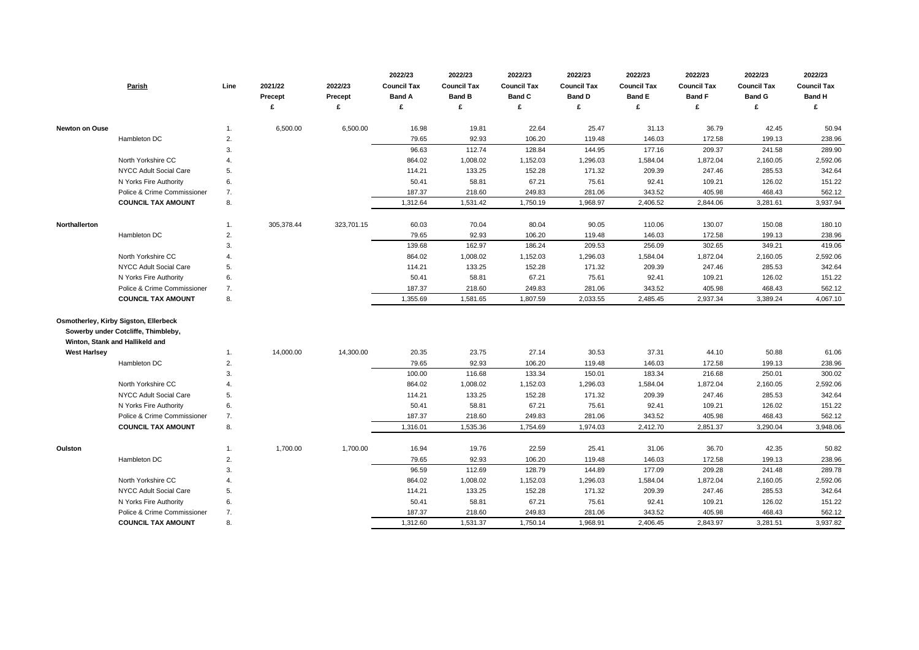|                       | Parish                                       | Line        | 2021/22<br><b>Precept</b> | 2022/23<br><b>Precept</b> | 2022/23<br><b>Council Tax</b><br><b>Band A</b> | 2022/23<br><b>Council Tax</b><br><b>Band B</b> | 2022/23<br><b>Council Tax</b><br><b>Band C</b> | 2022/23<br><b>Council Tax</b><br><b>Band D</b> | 2022/23<br><b>Council Tax</b><br><b>Band E</b> | 2022/23<br><b>Council Tax</b><br><b>Band F</b> | 2022/23<br><b>Council Tax</b><br><b>Band G</b> | 2022/23<br><b>Council Tax</b><br><b>Band H</b> |
|-----------------------|----------------------------------------------|-------------|---------------------------|---------------------------|------------------------------------------------|------------------------------------------------|------------------------------------------------|------------------------------------------------|------------------------------------------------|------------------------------------------------|------------------------------------------------|------------------------------------------------|
|                       |                                              |             |                           | £                         | £                                              | £                                              | £                                              |                                                | £                                              | £                                              | £                                              | £                                              |
| <b>Newton on Ouse</b> |                                              | 1.          | 6,500.00                  | 6,500.00                  | 16.98                                          | 19.81                                          | 22.64                                          | 25.47                                          | 31.13                                          | 36.79                                          | 42.45                                          | 50.94                                          |
|                       | Hambleton DC                                 | 2.          |                           |                           | 79.65                                          | 92.93                                          | 106.20                                         | 119.48                                         | 146.03                                         | 172.58                                         | 199.13                                         | 238.96                                         |
|                       |                                              | 3.          |                           |                           | 96.63                                          | 112.74                                         | 128.84                                         | 144.95                                         | 177.16                                         | 209.37                                         | 241.58                                         | 289.90                                         |
|                       | North Yorkshire CC                           | 4.          |                           |                           | 864.02                                         | 1,008.02                                       | 1,152.03                                       | 1,296.03                                       | 1,584.04                                       | 1,872.04                                       | 2,160.05                                       | 2,592.06                                       |
|                       | <b>NYCC Adult Social Care</b>                | 5.          |                           |                           | 114.21                                         | 133.25                                         | 152.28                                         | 171.32                                         | 209.39                                         | 247.46                                         | 285.53                                         | 342.64                                         |
|                       | N Yorks Fire Authority                       | 6.          |                           |                           | 50.41                                          | 58.81                                          | 67.21                                          | 75.61                                          | 92.41                                          | 109.21                                         | 126.02                                         | 151.22                                         |
|                       | Police & Crime Commissioner                  | 7.          |                           |                           | 187.37                                         | 218.60                                         | 249.83                                         | 281.06                                         | 343.52                                         | 405.98                                         | 468.43                                         | 562.12                                         |
|                       | <b>COUNCIL TAX AMOUNT</b>                    | 8.          |                           |                           | 1,312.64                                       | 1,531.42                                       | 1,750.19                                       | 1,968.97                                       | 2,406.52                                       | 2,844.06                                       | 3,281.61                                       | 3,937.94                                       |
| Northallerton         |                                              | 1.          | 305,378.44                | 323,701.15                | 60.03                                          | 70.04                                          | 80.04                                          | 90.05                                          | 110.06                                         | 130.07                                         | 150.08                                         | 180.10                                         |
|                       | Hambleton DC                                 | 2.          |                           |                           | 79.65                                          | 92.93                                          | 106.20                                         | 119.48                                         | 146.03                                         | 172.58                                         | 199.13                                         | 238.96                                         |
|                       |                                              | 3.          |                           |                           | 139.68                                         | 162.97                                         | 186.24                                         | 209.53                                         | 256.09                                         | 302.65                                         | 349.21                                         | 419.06                                         |
|                       | North Yorkshire CC                           | 4.          |                           |                           | 864.02                                         | 1,008.02                                       | 1,152.03                                       | 1,296.03                                       | 1,584.04                                       | 1,872.04                                       | 2,160.05                                       | 2,592.06                                       |
|                       | <b>NYCC Adult Social Care</b>                | 5.          |                           |                           | 114.21                                         | 133.25                                         | 152.28                                         | 171.32                                         | 209.39                                         | 247.46                                         | 285.53                                         | 342.64                                         |
|                       | N Yorks Fire Authority                       | 6.          |                           |                           | 50.41                                          | 58.81                                          | 67.21                                          | 75.61                                          | 92.41                                          | 109.21                                         | 126.02                                         | 151.22                                         |
|                       | Police & Crime Commissioner                  | 7.          |                           |                           | 187.37                                         | 218.60                                         | 249.83                                         | 281.06                                         | 343.52                                         | 405.98                                         | 468.43                                         | 562.12                                         |
|                       | <b>COUNCIL TAX AMOUNT</b>                    | 8.          |                           |                           | 1,355.69                                       | 1,581.65                                       | 1,807.59                                       | 2,033.55                                       | 2,485.45                                       | 2,937.34                                       | 3,389.24                                       | 4,067.10                                       |
|                       | <b>Osmotherley, Kirby Sigston, Ellerbeck</b> |             |                           |                           |                                                |                                                |                                                |                                                |                                                |                                                |                                                |                                                |
|                       | Sowerby under Cotcliffe, Thimbleby,          |             |                           |                           |                                                |                                                |                                                |                                                |                                                |                                                |                                                |                                                |
|                       | Winton, Stank and Hallikeld and              |             |                           |                           |                                                |                                                |                                                |                                                |                                                |                                                |                                                |                                                |
| <b>West Harlsey</b>   |                                              | 1.          | 14,000.00                 | 14,300.00                 | 20.35                                          | 23.75                                          | 27.14                                          | 30.53                                          | 37.31                                          | 44.10                                          | 50.88                                          | 61.06                                          |
|                       | Hambleton DC                                 | 2.          |                           |                           | 79.65                                          | 92.93                                          | 106.20                                         | 119.48                                         | 146.03                                         | 172.58                                         | 199.13                                         | 238.96                                         |
|                       |                                              | 3.          |                           |                           | 100.00                                         | 116.68                                         | 133.34                                         | 150.01                                         | 183.34                                         | 216.68                                         | 250.01                                         | 300.02                                         |
|                       | North Yorkshire CC                           | $\mathbf 4$ |                           |                           | 864.02                                         | 1,008.02                                       | 1,152.03                                       | 1,296.03                                       | 1,584.04                                       | 1,872.04                                       | 2,160.05                                       | 2,592.06                                       |
|                       | NYCC Adult Social Care                       | 5.          |                           |                           | 114.21                                         | 133.25                                         | 152.28                                         | 171.32                                         | 209.39                                         | 247.46                                         | 285.53                                         | 342.64                                         |
|                       | N Yorks Fire Authority                       | 6.          |                           |                           | 50.41                                          | 58.81                                          | 67.21                                          | 75.61                                          | 92.41                                          | 109.21                                         | 126.02                                         | 151.22                                         |
|                       | Police & Crime Commissioner                  | 7.          |                           |                           | 187.37                                         | 218.60                                         | 249.83                                         | 281.06                                         | 343.52                                         | 405.98                                         | 468.43                                         | 562.12                                         |
|                       | <b>COUNCIL TAX AMOUNT</b>                    | 8.          |                           |                           | 1,316.01                                       | 1,535.36                                       | 1,754.69                                       | 1,974.03                                       | 2,412.70                                       | 2,851.37                                       | 3,290.04                                       | 3,948.06                                       |
| Oulston               |                                              | 1.          | 1,700.00                  | 1,700.00                  | 16.94                                          | 19.76                                          | 22.59                                          | 25.41                                          | 31.06                                          | 36.70                                          | 42.35                                          | 50.82                                          |
|                       | Hambleton DC                                 | 2.          |                           |                           | 79.65                                          | 92.93                                          | 106.20                                         | 119.48                                         | 146.03                                         | 172.58                                         | 199.13                                         | 238.96                                         |
|                       |                                              | 3.          |                           |                           | 96.59                                          | 112.69                                         | 128.79                                         | 144.89                                         | 177.09                                         | 209.28                                         | 241.48                                         | 289.78                                         |
|                       | North Yorkshire CC                           | 4.          |                           |                           | 864.02                                         | 1,008.02                                       | 1,152.03                                       | 1,296.03                                       | 1,584.04                                       | 1,872.04                                       | 2,160.05                                       | 2,592.06                                       |
|                       | NYCC Adult Social Care                       | 5.          |                           |                           | 114.21                                         | 133.25                                         | 152.28                                         | 171.32                                         | 209.39                                         | 247.46                                         | 285.53                                         | 342.64                                         |
|                       | N Yorks Fire Authority                       | 6.          |                           |                           | 50.41                                          | 58.81                                          | 67.21                                          | 75.61                                          | 92.41                                          | 109.21                                         | 126.02                                         | 151.22                                         |
|                       | Police & Crime Commissioner                  | 7.          |                           |                           | 187.37                                         | 218.60                                         | 249.83                                         | 281.06                                         | 343.52                                         | 405.98                                         | 468.43                                         | 562.12                                         |
|                       | <b>COUNCIL TAX AMOUNT</b>                    | 8.          |                           |                           | 1,312.60                                       | 1,531.37                                       | 1,750.14                                       | 1,968.91                                       | 2,406.45                                       | 2,843.97                                       | 3,281.51                                       | 3,937.82                                       |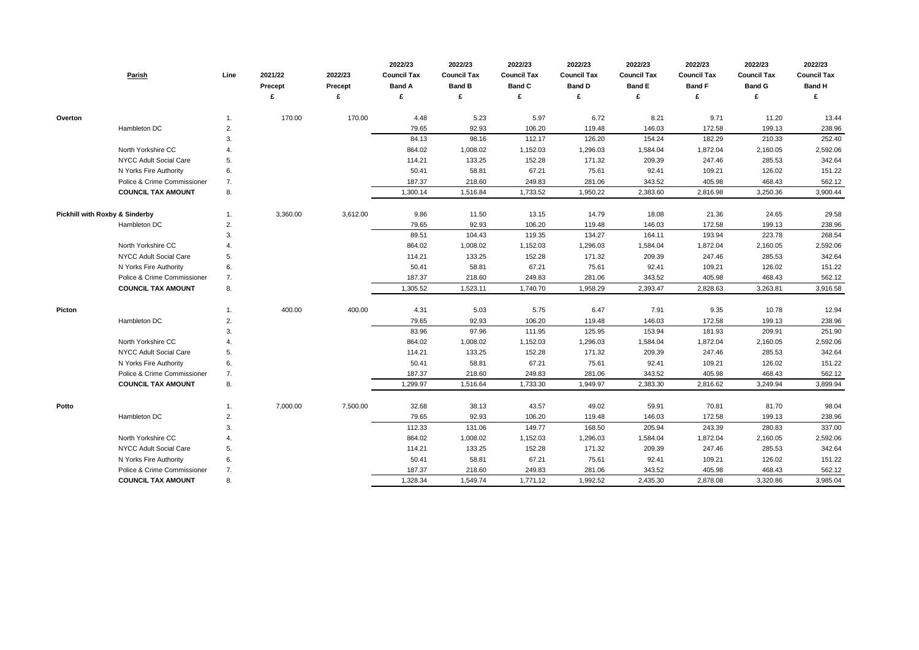| Parish                                    | Line | 2021/22<br><b>Precept</b> | 2022/23<br><b>Precept</b> | 2022/23<br><b>Council Tax</b><br><b>Band A</b><br>£ | 2022/23<br><b>Council Tax</b><br><b>Band B</b> | 2022/23<br><b>Council Tax</b><br><b>Band C</b> | 2022/23<br><b>Council Tax</b><br><b>Band D</b> | 2022/23<br><b>Council Tax</b><br><b>Band E</b><br>£ | 2022/23<br><b>Council Tax</b><br><b>Band F</b><br>£ | 2022/23<br><b>Council Tax</b><br><b>Band G</b> | 2022/23<br><b>Council Tax</b><br><b>Band H</b><br>£ |
|-------------------------------------------|------|---------------------------|---------------------------|-----------------------------------------------------|------------------------------------------------|------------------------------------------------|------------------------------------------------|-----------------------------------------------------|-----------------------------------------------------|------------------------------------------------|-----------------------------------------------------|
|                                           |      |                           |                           |                                                     |                                                |                                                |                                                |                                                     |                                                     |                                                |                                                     |
| Overton                                   | 1.   | 170.00                    | 170.00                    | 4.48                                                | 5.23                                           | 5.97                                           | 6.72                                           | 8.21                                                | 9.71                                                | 11.20                                          | 13.44                                               |
| Hambleton DC                              | 2.   |                           |                           | 79.65                                               | 92.93                                          | 106.20                                         | 119.48                                         | 146.03                                              | 172.58                                              | 199.13                                         | 238.96                                              |
|                                           | 3.   |                           |                           | 84.13                                               | 98.16                                          | 112.17                                         | 126.20                                         | 154.24                                              | 182.29                                              | 210.33                                         | 252.40                                              |
| North Yorkshire CC                        |      |                           |                           | 864.02                                              | 1,008.02                                       | 1,152.03                                       | 1,296.03                                       | 1,584.04                                            | 1,872.04                                            | 2,160.05                                       | 2,592.06                                            |
| NYCC Adult Social Care                    | 5.   |                           |                           | 114.21                                              | 133.25                                         | 152.28                                         | 171.32                                         | 209.39                                              | 247.46                                              | 285.53                                         | 342.64                                              |
| N Yorks Fire Authority                    | 6.   |                           |                           | 50.41                                               | 58.81                                          | 67.21                                          | 75.61                                          | 92.41                                               | 109.21                                              | 126.02                                         | 151.22                                              |
| Police & Crime Commissioner               | 7.   |                           |                           | 187.37                                              | 218.60                                         | 249.83                                         | 281.06                                         | 343.52                                              | 405.98                                              | 468.43                                         | 562.12                                              |
| <b>COUNCIL TAX AMOUNT</b>                 | 8.   |                           |                           | 1,300.14                                            | 1,516.84                                       | 1,733.52                                       | 1,950.22                                       | 2,383.60                                            | 2,816.98                                            | 3,250.36                                       | 3,900.44                                            |
| <b>Pickhill with Roxby &amp; Sinderby</b> |      | 3,360.00                  | 3,612.00                  | 9.86                                                | 11.50                                          | 13.15                                          | 14.79                                          | 18.08                                               | 21.36                                               | 24.65                                          | 29.58                                               |
| Hambleton DC                              | 2.   |                           |                           | 79.65                                               | 92.93                                          | 106.20                                         | 119.48                                         | 146.03                                              | 172.58                                              | 199.13                                         | 238.96                                              |
|                                           | 3.   |                           |                           | 89.51                                               | 104.43                                         | 119.35                                         | 134.27                                         | 164.11                                              | 193.94                                              | 223.78                                         | 268.54                                              |
| North Yorkshire CC                        |      |                           |                           | 864.02                                              | 1,008.02                                       | 1,152.03                                       | 1,296.03                                       | 1,584.04                                            | 1,872.04                                            | 2,160.05                                       | 2,592.06                                            |
| NYCC Adult Social Care                    | 5.   |                           |                           | 114.21                                              | 133.25                                         | 152.28                                         | 171.32                                         | 209.39                                              | 247.46                                              | 285.53                                         | 342.64                                              |
| N Yorks Fire Authority                    | 6.   |                           |                           | 50.41                                               | 58.81                                          | 67.21                                          | 75.61                                          | 92.41                                               | 109.21                                              | 126.02                                         | 151.22                                              |
| Police & Crime Commissioner               | 7.   |                           |                           | 187.37                                              | 218.60                                         | 249.83                                         | 281.06                                         | 343.52                                              | 405.98                                              | 468.43                                         | 562.12                                              |
| <b>COUNCIL TAX AMOUNT</b>                 | 8.   |                           |                           | 1,305.52                                            | 1,523.11                                       | 1,740.70                                       | 1,958.29                                       | 2,393.47                                            | 2,828.63                                            | 3,263.81                                       | 3,916.58                                            |
| <b>Picton</b>                             |      | 400.00                    | 400.00                    | 4.31                                                | 5.03                                           | 5.75                                           | 6.47                                           | 7.91                                                | 9.35                                                | 10.78                                          | 12.94                                               |
| Hambleton DC                              | 2.   |                           |                           | 79.65                                               | 92.93                                          | 106.20                                         | 119.48                                         | 146.03                                              | 172.58                                              | 199.13                                         | 238.96                                              |
|                                           | 3.   |                           |                           | 83.96                                               | 97.96                                          | 111.95                                         | 125.95                                         | 153.94                                              | 181.93                                              | 209.91                                         | 251.90                                              |
| North Yorkshire CC                        |      |                           |                           | 864.02                                              | 1,008.02                                       | 1,152.03                                       | 1,296.03                                       | 1,584.04                                            | 1,872.04                                            | 2,160.05                                       | 2,592.06                                            |
| NYCC Adult Social Care                    | 5.   |                           |                           | 114.21                                              | 133.25                                         | 152.28                                         | 171.32                                         | 209.39                                              | 247.46                                              | 285.53                                         | 342.64                                              |
| N Yorks Fire Authority                    | 6.   |                           |                           | 50.41                                               | 58.81                                          | 67.21                                          | 75.61                                          | 92.41                                               | 109.21                                              | 126.02                                         | 151.22                                              |
| Police & Crime Commissioner               | 7.   |                           |                           | 187.37                                              | 218.60                                         | 249.83                                         | 281.06                                         | 343.52                                              | 405.98                                              | 468.43                                         | 562.12                                              |
| <b>COUNCIL TAX AMOUNT</b>                 | 8.   |                           |                           | 1,299.97                                            | 1,516.64                                       | 1,733.30                                       | 1,949.97                                       | 2,383.30                                            | 2,816.62                                            | 3,249.94                                       | 3,899.94                                            |
| Potto                                     | 1.   | 7,000.00                  | 7,500.00                  | 32.68                                               | 38.13                                          | 43.57                                          | 49.02                                          | 59.91                                               | 70.81                                               | 81.70                                          | 98.04                                               |
| Hambleton DC                              | 2.   |                           |                           | 79.65                                               | 92.93                                          | 106.20                                         | 119.48                                         | 146.03                                              | 172.58                                              | 199.13                                         | 238.96                                              |
|                                           | 3.   |                           |                           | 112.33                                              | 131.06                                         | 149.77                                         | 168.50                                         | 205.94                                              | 243.39                                              | 280.83                                         | 337.00                                              |
| North Yorkshire CC                        | 4.   |                           |                           | 864.02                                              | 1,008.02                                       | 1,152.03                                       | 1,296.03                                       | 1,584.04                                            | 1,872.04                                            | 2,160.05                                       | 2,592.06                                            |
| NYCC Adult Social Care                    | 5.   |                           |                           | 114.21                                              | 133.25                                         | 152.28                                         | 171.32                                         | 209.39                                              | 247.46                                              | 285.53                                         | 342.64                                              |
| N Yorks Fire Authority                    | 6.   |                           |                           | 50.41                                               | 58.81                                          | 67.21                                          | 75.61                                          | 92.41                                               | 109.21                                              | 126.02                                         | 151.22                                              |
| Police & Crime Commissioner               | 7.   |                           |                           | 187.37                                              | 218.60                                         | 249.83                                         | 281.06                                         | 343.52                                              | 405.98                                              | 468.43                                         | 562.12                                              |
| <b>COUNCIL TAX AMOUNT</b>                 | 8.   |                           |                           | 1,328.34                                            | 1,549.74                                       | 1,771.12                                       | 1,992.52                                       | 2,435.30                                            | 2,878.08                                            | 3,320.86                                       | 3,985.04                                            |

| 2022/23            | 2022/23            | 2022/23            |
|--------------------|--------------------|--------------------|
| <b>Council Tax</b> | <b>Council Tax</b> | <b>Council Tax</b> |
| <b>Band F</b>      | <b>Band G</b>      | <b>Band H</b>      |
| £                  | £                  | £                  |
|                    |                    |                    |
| 9.71               | 11.20              | 13.44              |
| 172.58             | 199.13             | 238.96             |
| 182.29             | 210.33             | 252.40             |
| 1,872.04           | 2,160.05           | 2,592.06           |
| 247.46             | 285.53             | 342.64             |
| 109.21             | 126.02             | 151.22             |
| 405.98             | 468.43             | 562.12             |
| 2,816.98           | 3,250.36           | 3,900.44           |
|                    |                    |                    |
| 21.36              | 24.65              | 29.58              |
| 172.58             | 199.13             | 238.96             |
| 193.94             | 223.78             | 268.54             |
| 1,872.04           | 2,160.05           | 2,592.06           |
| 247.46             | 285.53             | 342.64             |
| 109.21             | 126.02             | 151.22             |
| 405.98             | 468.43             | 562.12             |
| 2,828.63           | 3,263.81           | 3,916.58           |
|                    |                    |                    |
| 9.35               | 10.78              | 12.94              |
| 172.58             | 199.13             | 238.96             |
| 181.93             | 209.91             | 251.90             |
| 1,872.04           | 2,160.05           | 2,592.06           |
| 247.46             | 285.53             | 342.64             |
| 109.21             | 126.02             | 151.22             |
| 405.98             | 468.43             | 562.12             |
| 2,816.62           | 3,249.94           | 3,899.94           |
|                    |                    |                    |
| 70.81              | 81.70              | 98.04              |
| 172.58             | 199.13             | 238.96             |
| 243.39             | 280.83             | 337.00             |
| 1,872.04           | 2,160.05           | 2,592.06           |
| 247.46             | 285.53             | 342.64             |
| 109.21             | 126.02             | 151.22             |
| 405.98             | 468.43             | 562.12             |
| 2,878.08           | 3,320.86           | 3,985.04           |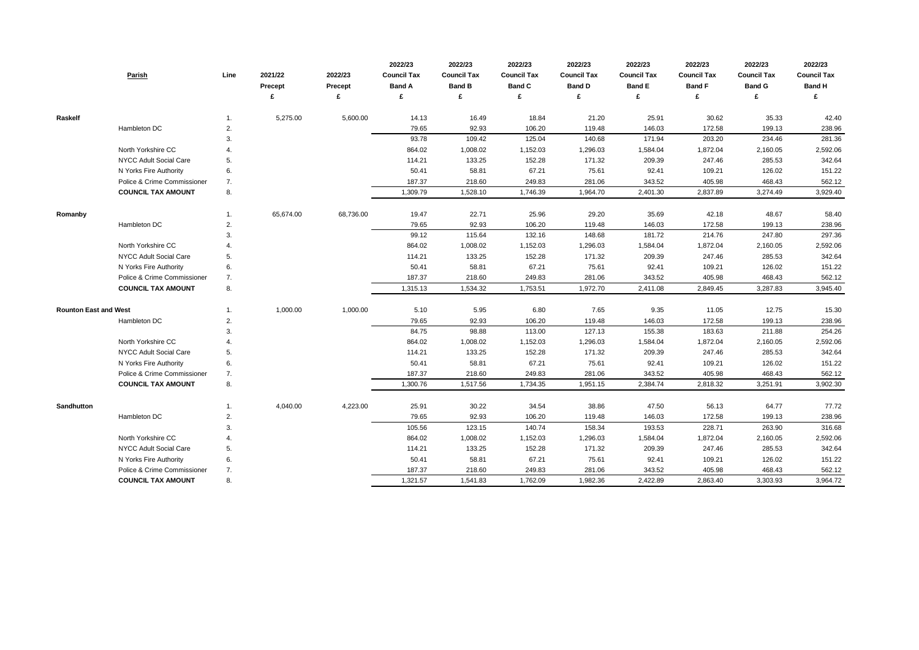|                              | Parish                      | Line | 2021/22<br><b>Precept</b> | 2022/23<br><b>Precept</b><br>£ | 2022/23<br><b>Council Tax</b><br><b>Band A</b><br>£ | 2022/23<br><b>Council Tax</b><br><b>Band B</b><br>£ | 2022/23<br><b>Council Tax</b><br><b>Band C</b><br>£ | 2022/23<br><b>Council Tax</b><br><b>Band D</b><br>£ | 2022/23<br><b>Council Tax</b><br><b>Band E</b><br>£ | 2022/23<br><b>Council Tax</b><br><b>Band F</b><br>£ | 2022/23<br><b>Council Tax</b><br><b>Band G</b><br>£ | 2022/23<br><b>Council Tax</b><br><b>Band H</b><br>£ |
|------------------------------|-----------------------------|------|---------------------------|--------------------------------|-----------------------------------------------------|-----------------------------------------------------|-----------------------------------------------------|-----------------------------------------------------|-----------------------------------------------------|-----------------------------------------------------|-----------------------------------------------------|-----------------------------------------------------|
|                              |                             |      |                           |                                |                                                     |                                                     |                                                     |                                                     |                                                     |                                                     |                                                     |                                                     |
| Raskelf                      |                             |      | 5,275.00                  | 5,600.00                       | 14.13                                               | 16.49                                               | 18.84                                               | 21.20                                               | 25.91                                               | 30.62                                               | 35.33                                               | 42.40                                               |
|                              | Hambleton DC                | 2.   |                           |                                | 79.65                                               | 92.93                                               | 106.20                                              | 119.48                                              | 146.03                                              | 172.58                                              | 199.13                                              | 238.96                                              |
|                              |                             | 3.   |                           |                                | 93.78                                               | 109.42                                              | 125.04                                              | 140.68                                              | 171.94                                              | 203.20                                              | 234.46                                              | 281.36                                              |
|                              | North Yorkshire CC          | 4.   |                           |                                | 864.02                                              | 1,008.02                                            | 1,152.03                                            | 1,296.03                                            | 1,584.04                                            | 1,872.04                                            | 2,160.05                                            | 2,592.06                                            |
|                              | NYCC Adult Social Care      | -5.  |                           |                                | 114.21                                              | 133.25                                              | 152.28                                              | 171.32                                              | 209.39                                              | 247.46                                              | 285.53                                              | 342.64                                              |
|                              | N Yorks Fire Authority      | 6.   |                           |                                | 50.41                                               | 58.81                                               | 67.21                                               | 75.61                                               | 92.41                                               | 109.21                                              | 126.02                                              | 151.22                                              |
|                              | Police & Crime Commissioner | 7.   |                           |                                | 187.37                                              | 218.60                                              | 249.83                                              | 281.06                                              | 343.52                                              | 405.98                                              | 468.43                                              | 562.12                                              |
|                              | <b>COUNCIL TAX AMOUNT</b>   | 8.   |                           |                                | 1,309.79                                            | 1,528.10                                            | 1,746.39                                            | 1,964.70                                            | 2,401.30                                            | 2,837.89                                            | 3,274.49                                            | 3,929.40                                            |
| Romanby                      |                             |      | 65,674.00                 | 68,736.00                      | 19.47                                               | 22.71                                               | 25.96                                               | 29.20                                               | 35.69                                               | 42.18                                               | 48.67                                               | 58.40                                               |
|                              | Hambleton DC                | 2.   |                           |                                | 79.65                                               | 92.93                                               | 106.20                                              | 119.48                                              | 146.03                                              | 172.58                                              | 199.13                                              | 238.96                                              |
|                              |                             | 3.   |                           |                                | 99.12                                               | 115.64                                              | 132.16                                              | 148.68                                              | 181.72                                              | 214.76                                              | 247.80                                              | 297.36                                              |
|                              | North Yorkshire CC          |      |                           |                                | 864.02                                              | 1,008.02                                            | 1,152.03                                            | 1,296.03                                            | 1,584.04                                            | 1,872.04                                            | 2,160.05                                            | 2,592.06                                            |
|                              | NYCC Adult Social Care      | 5.   |                           |                                | 114.21                                              | 133.25                                              | 152.28                                              | 171.32                                              | 209.39                                              | 247.46                                              | 285.53                                              | 342.64                                              |
|                              | N Yorks Fire Authority      | 6.   |                           |                                | 50.41                                               | 58.81                                               | 67.21                                               | 75.61                                               | 92.41                                               | 109.21                                              | 126.02                                              | 151.22                                              |
|                              | Police & Crime Commissioner | 7.   |                           |                                | 187.37                                              | 218.60                                              | 249.83                                              | 281.06                                              | 343.52                                              | 405.98                                              | 468.43                                              | 562.12                                              |
|                              | <b>COUNCIL TAX AMOUNT</b>   | 8.   |                           |                                | 1,315.13                                            | 1,534.32                                            | 1,753.51                                            | 1,972.70                                            | 2,411.08                                            | 2,849.45                                            | 3,287.83                                            | 3,945.40                                            |
| <b>Rounton East and West</b> |                             |      | 1,000.00                  | 1,000.00                       | 5.10                                                | 5.95                                                | 6.80                                                | 7.65                                                | 9.35                                                | 11.05                                               | 12.75                                               | 15.30                                               |
|                              | Hambleton DC                | 2.   |                           |                                | 79.65                                               | 92.93                                               | 106.20                                              | 119.48                                              | 146.03                                              | 172.58                                              | 199.13                                              | 238.96                                              |
|                              |                             | 3.   |                           |                                | 84.75                                               | 98.88                                               | 113.00                                              | 127.13                                              | 155.38                                              | 183.63                                              | 211.88                                              | 254.26                                              |
|                              | North Yorkshire CC          | 4.   |                           |                                | 864.02                                              | 1,008.02                                            | 1,152.03                                            | 1,296.03                                            | 1,584.04                                            | 1,872.04                                            | 2,160.05                                            | 2,592.06                                            |
|                              | NYCC Adult Social Care      | 5.   |                           |                                | 114.21                                              | 133.25                                              | 152.28                                              | 171.32                                              | 209.39                                              | 247.46                                              | 285.53                                              | 342.64                                              |
|                              | N Yorks Fire Authority      | 6.   |                           |                                | 50.41                                               | 58.81                                               | 67.21                                               | 75.61                                               | 92.41                                               | 109.21                                              | 126.02                                              | 151.22                                              |
|                              | Police & Crime Commissioner | 7.   |                           |                                | 187.37                                              | 218.60                                              | 249.83                                              | 281.06                                              | 343.52                                              | 405.98                                              | 468.43                                              | 562.12                                              |
|                              | <b>COUNCIL TAX AMOUNT</b>   | 8.   |                           |                                | 1,300.76                                            | 1,517.56                                            | 1,734.35                                            | 1,951.15                                            | 2,384.74                                            | 2,818.32                                            | 3,251.91                                            | 3,902.30                                            |
| <b>Sandhutton</b>            |                             | 1.   | 4,040.00                  | 4,223.00                       | 25.91                                               | 30.22                                               | 34.54                                               | 38.86                                               | 47.50                                               | 56.13                                               | 64.77                                               | 77.72                                               |
|                              | Hambleton DC                | 2.   |                           |                                | 79.65                                               | 92.93                                               | 106.20                                              | 119.48                                              | 146.03                                              | 172.58                                              | 199.13                                              | 238.96                                              |
|                              |                             | 3.   |                           |                                | 105.56                                              | 123.15                                              | 140.74                                              | 158.34                                              | 193.53                                              | 228.71                                              | 263.90                                              | 316.68                                              |
|                              | North Yorkshire CC          | 4.   |                           |                                | 864.02                                              | 1,008.02                                            | 1,152.03                                            | 1,296.03                                            | 1,584.04                                            | 1,872.04                                            | 2,160.05                                            | 2,592.06                                            |
|                              | NYCC Adult Social Care      | 5.   |                           |                                | 114.21                                              | 133.25                                              | 152.28                                              | 171.32                                              | 209.39                                              | 247.46                                              | 285.53                                              | 342.64                                              |
|                              | N Yorks Fire Authority      | 6.   |                           |                                | 50.41                                               | 58.81                                               | 67.21                                               | 75.61                                               | 92.41                                               | 109.21                                              | 126.02                                              | 151.22                                              |
|                              | Police & Crime Commissioner | 7.   |                           |                                | 187.37                                              | 218.60                                              | 249.83                                              | 281.06                                              | 343.52                                              | 405.98                                              | 468.43                                              | 562.12                                              |
|                              | <b>COUNCIL TAX AMOUNT</b>   | 8.   |                           |                                | 1,321.57                                            | 1,541.83                                            | 1,762.09                                            | 1,982.36                                            | 2,422.89                                            | 2,863.40                                            | 3,303.93                                            | 3,964.72                                            |

| 2022/23            | 2022/23            | 2022/23            |
|--------------------|--------------------|--------------------|
| <b>Council Tax</b> | <b>Council Tax</b> | <b>Council Tax</b> |
| <b>Band F</b>      | <b>Band G</b>      | <b>Band H</b>      |
| £                  | £                  | £                  |
|                    |                    |                    |
| 30.62              | 35.33              | 42.40              |
| 172.58             | 199.13             | 238.96             |
| 203.20             | 234.46             | 281.36             |
| 1,872.04           | 2,160.05           | 2,592.06           |
| 247.46             | 285.53             | 342.64             |
| 109.21             | 126.02             | 151.22             |
| 405.98             | 468.43             | 562.12             |
| 2,837.89           | 3,274.49           | 3,929.40           |
|                    |                    |                    |
| 42.18              | 48.67              | 58.40              |
| 172.58             | 199.13             | 238.96             |
| 214.76             | 247.80             | 297.36             |
| 1,872.04           | 2,160.05           | 2,592.06           |
| 247.46             | 285.53             | 342.64             |
| 109.21             | 126.02             | 151.22             |
| 405.98             | 468.43             | 562.12             |
| 2,849.45           | 3,287.83           | 3,945.40           |
|                    |                    |                    |
| 11.05              | 12.75              | 15.30              |
| 172.58             | 199.13             | 238.96             |
| 183.63             | 211.88             | 254.26             |
| 1,872.04           | 2,160.05           | 2,592.06           |
| 247.46             | 285.53             | 342.64             |
| 109.21             | 126.02             | 151.22             |
| 405.98             | 468.43             | 562.12             |
| 2,818.32           | 3,251.91           | 3,902.30           |
|                    |                    |                    |
| 56.13              | 64.77              | 77.72              |
| 172.58             | 199.13             | 238.96             |
| 228.71             | 263.90             | 316.68             |
| 1,872.04           | 2,160.05           | 2,592.06           |
| 247.46             | 285.53             | 342.64             |
| 109.21             | 126.02             | 151.22             |
| 405.98             | 468.43             | 562.12             |
| 2,863.40           | 3,303.93           | 3,964.72           |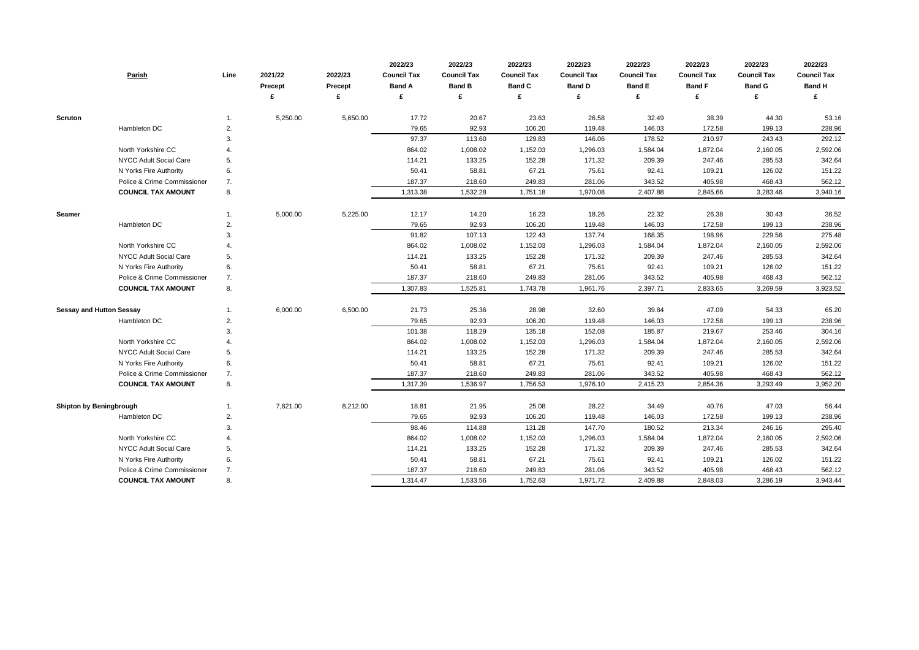| <b>Parish</b>                   | Line | 2021/22<br><b>Precept</b> | 2022/23<br><b>Precept</b> | 2022/23<br><b>Council Tax</b><br><b>Band A</b><br>£ | 2022/23<br><b>Council Tax</b><br><b>Band B</b> | 2022/23<br><b>Council Tax</b><br><b>Band C</b> | 2022/23<br><b>Council Tax</b><br><b>Band D</b> | 2022/23<br><b>Council Tax</b><br><b>Band E</b><br>£ | 2022/23<br><b>Council Tax</b><br><b>Band F</b><br>£ | 2022/23<br><b>Council Tax</b><br><b>Band G</b> | 2022/23<br><b>Council Tax</b><br><b>Band H</b><br>£ |
|---------------------------------|------|---------------------------|---------------------------|-----------------------------------------------------|------------------------------------------------|------------------------------------------------|------------------------------------------------|-----------------------------------------------------|-----------------------------------------------------|------------------------------------------------|-----------------------------------------------------|
|                                 |      |                           |                           |                                                     |                                                |                                                |                                                |                                                     |                                                     |                                                |                                                     |
| <b>Scruton</b>                  |      | 5,250.00                  | 5,650.00                  | 17.72                                               | 20.67                                          | 23.63                                          | 26.58                                          | 32.49                                               | 38.39                                               | 44.30                                          | 53.16                                               |
| Hambleton DC                    | 2.   |                           |                           | 79.65                                               | 92.93                                          | 106.20                                         | 119.48                                         | 146.03                                              | 172.58                                              | 199.13                                         | 238.96                                              |
|                                 | 3.   |                           |                           | 97.37                                               | 113.60                                         | 129.83                                         | 146.06                                         | 178.52                                              | 210.97                                              | 243.43                                         | 292.12                                              |
| North Yorkshire CC              |      |                           |                           | 864.02                                              | 1,008.02                                       | 1,152.03                                       | 1,296.03                                       | 1,584.04                                            | 1,872.04                                            | 2,160.05                                       | 2,592.06                                            |
| NYCC Adult Social Care          | 5.   |                           |                           | 114.21                                              | 133.25                                         | 152.28                                         | 171.32                                         | 209.39                                              | 247.46                                              | 285.53                                         | 342.64                                              |
| N Yorks Fire Authority          | 6.   |                           |                           | 50.41                                               | 58.81                                          | 67.21                                          | 75.61                                          | 92.41                                               | 109.21                                              | 126.02                                         | 151.22                                              |
| Police & Crime Commissioner     | 7.   |                           |                           | 187.37                                              | 218.60                                         | 249.83                                         | 281.06                                         | 343.52                                              | 405.98                                              | 468.43                                         | 562.12                                              |
| <b>COUNCIL TAX AMOUNT</b>       | 8.   |                           |                           | 1,313.38                                            | 1,532.28                                       | 1,751.18                                       | 1,970.08                                       | 2,407.88                                            | 2,845.66                                            | 3,283.46                                       | 3,940.16                                            |
| <b>Seamer</b>                   | 1.   | 5,000.00                  | 5,225.00                  | 12.17                                               | 14.20                                          | 16.23                                          | 18.26                                          | 22.32                                               | 26.38                                               | 30.43                                          | 36.52                                               |
| Hambleton DC                    | 2.   |                           |                           | 79.65                                               | 92.93                                          | 106.20                                         | 119.48                                         | 146.03                                              | 172.58                                              | 199.13                                         | 238.96                                              |
|                                 | 3.   |                           |                           | 91.82                                               | 107.13                                         | 122.43                                         | 137.74                                         | 168.35                                              | 198.96                                              | 229.56                                         | 275.48                                              |
| North Yorkshire CC              |      |                           |                           | 864.02                                              | 1,008.02                                       | 1,152.03                                       | 1,296.03                                       | 1,584.04                                            | 1,872.04                                            | 2,160.05                                       | 2,592.06                                            |
| NYCC Adult Social Care          | 5.   |                           |                           | 114.21                                              | 133.25                                         | 152.28                                         | 171.32                                         | 209.39                                              | 247.46                                              | 285.53                                         | 342.64                                              |
| N Yorks Fire Authority          | 6.   |                           |                           | 50.41                                               | 58.81                                          | 67.21                                          | 75.61                                          | 92.41                                               | 109.21                                              | 126.02                                         | 151.22                                              |
| Police & Crime Commissioner     | 7.   |                           |                           | 187.37                                              | 218.60                                         | 249.83                                         | 281.06                                         | 343.52                                              | 405.98                                              | 468.43                                         | 562.12                                              |
| <b>COUNCIL TAX AMOUNT</b>       | 8.   |                           |                           | 1,307.83                                            | 1,525.81                                       | 1,743.78                                       | 1,961.76                                       | 2,397.71                                            | 2,833.65                                            | 3,269.59                                       | 3,923.52                                            |
| <b>Sessay and Hutton Sessay</b> |      | 6,000.00                  | 6,500.00                  | 21.73                                               | 25.36                                          | 28.98                                          | 32.60                                          | 39.84                                               | 47.09                                               | 54.33                                          | 65.20                                               |
| Hambleton DC                    | 2.   |                           |                           | 79.65                                               | 92.93                                          | 106.20                                         | 119.48                                         | 146.03                                              | 172.58                                              | 199.13                                         | 238.96                                              |
|                                 | 3.   |                           |                           | 101.38                                              | 118.29                                         | 135.18                                         | 152.08                                         | 185.87                                              | 219.67                                              | 253.46                                         | 304.16                                              |
| North Yorkshire CC              |      |                           |                           | 864.02                                              | 1,008.02                                       | 1,152.03                                       | 1,296.03                                       | 1,584.04                                            | 1,872.04                                            | 2,160.05                                       | 2,592.06                                            |
| NYCC Adult Social Care          | 5.   |                           |                           | 114.21                                              | 133.25                                         | 152.28                                         | 171.32                                         | 209.39                                              | 247.46                                              | 285.53                                         | 342.64                                              |
| N Yorks Fire Authority          | 6.   |                           |                           | 50.41                                               | 58.81                                          | 67.21                                          | 75.61                                          | 92.41                                               | 109.21                                              | 126.02                                         | 151.22                                              |
| Police & Crime Commissioner     | 7.   |                           |                           | 187.37                                              | 218.60                                         | 249.83                                         | 281.06                                         | 343.52                                              | 405.98                                              | 468.43                                         | 562.12                                              |
| <b>COUNCIL TAX AMOUNT</b>       | 8.   |                           |                           | 1,317.39                                            | 1,536.97                                       | 1,756.53                                       | 1,976.10                                       | 2,415.23                                            | 2,854.36                                            | 3,293.49                                       | 3,952.20                                            |
| <b>Shipton by Beningbrough</b>  | 1.   | 7,821.00                  | 8,212.00                  | 18.81                                               | 21.95                                          | 25.08                                          | 28.22                                          | 34.49                                               | 40.76                                               | 47.03                                          | 56.44                                               |
| Hambleton DC                    | 2.   |                           |                           | 79.65                                               | 92.93                                          | 106.20                                         | 119.48                                         | 146.03                                              | 172.58                                              | 199.13                                         | 238.96                                              |
|                                 | 3.   |                           |                           | 98.46                                               | 114.88                                         | 131.28                                         | 147.70                                         | 180.52                                              | 213.34                                              | 246.16                                         | 295.40                                              |
| North Yorkshire CC              | 4.   |                           |                           | 864.02                                              | 1,008.02                                       | 1,152.03                                       | 1,296.03                                       | 1,584.04                                            | 1,872.04                                            | 2,160.05                                       | 2,592.06                                            |
| NYCC Adult Social Care          | 5.   |                           |                           | 114.21                                              | 133.25                                         | 152.28                                         | 171.32                                         | 209.39                                              | 247.46                                              | 285.53                                         | 342.64                                              |
| N Yorks Fire Authority          | 6.   |                           |                           | 50.41                                               | 58.81                                          | 67.21                                          | 75.61                                          | 92.41                                               | 109.21                                              | 126.02                                         | 151.22                                              |
| Police & Crime Commissioner     | 7.   |                           |                           | 187.37                                              | 218.60                                         | 249.83                                         | 281.06                                         | 343.52                                              | 405.98                                              | 468.43                                         | 562.12                                              |
| <b>COUNCIL TAX AMOUNT</b>       | 8.   |                           |                           | 1,314.47                                            | 1,533.56                                       | 1,752.63                                       | 1,971.72                                       | 2,409.88                                            | 2,848.03                                            | 3,286.19                                       | 3,943.44                                            |

| 2022/23            | 2022/23            | 2022/23            |
|--------------------|--------------------|--------------------|
| <b>Council Tax</b> | <b>Council Tax</b> | <b>Council Tax</b> |
| <b>Band F</b>      | <b>Band G</b>      | <b>Band H</b>      |
| £                  | £                  | £                  |
|                    |                    |                    |
| 38.39              | 44.30              | 53.16              |
| 172.58             | 199.13             | 238.96             |
| 210.97             | 243.43             | 292.12             |
| 1,872.04           | 2,160.05           | 2,592.06           |
| 247.46             | 285.53             | 342.64             |
| 109.21             | 126.02             | 151.22             |
| 405.98             | 468.43             | 562.12             |
| 2,845.66           | 3,283.46           | 3,940.16           |
|                    |                    |                    |
| 26.38              | 30.43              | 36.52              |
| 172.58             | 199.13             | 238.96             |
| 198.96             | 229.56             | 275.48             |
| 1,872.04           | 2,160.05           | 2,592.06           |
| 247.46             | 285.53             | 342.64             |
| 109.21             | 126.02             | 151.22             |
| 405.98             | 468.43             | 562.12             |
| 2,833.65           | 3,269.59           | 3,923.52           |
|                    |                    |                    |
| 47.09              | 54.33              | 65.20              |
| 172.58             | 199.13             | 238.96             |
| 219.67             | 253.46             | 304.16             |
| 1,872.04           | 2,160.05           | 2,592.06           |
| 247.46             | 285.53             | 342.64             |
| 109.21             | 126.02             | 151.22             |
| 405.98             | 468.43             | 562.12             |
| 2,854.36           | 3,293.49           | 3,952.20           |
|                    |                    |                    |
| 40.76              | 47.03              | 56.44              |
| 172.58             | 199.13             | 238.96             |
| 213.34             | 246.16             | 295.40             |
| 1,872.04           | 2,160.05           | 2,592.06           |
| 247.46             | 285.53             | 342.64             |
| 109.21             | 126.02             | 151.22             |
| 405.98             | 468.43             | 562.12             |
| 2,848.03           | 3,286.19           | 3,943.44           |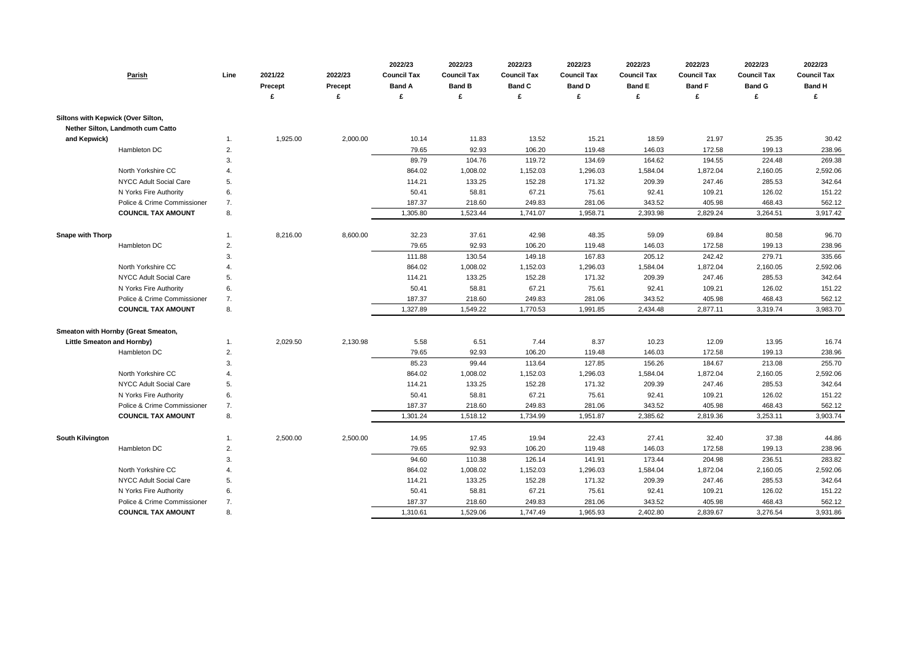| <b>Parish</b>                       | Line | 2021/22<br><b>Precept</b> | 2022/23<br><b>Precept</b><br>£ | 2022/23<br><b>Council Tax</b><br><b>Band A</b><br>£ | 2022/23<br><b>Council Tax</b><br><b>Band B</b><br>£ | 2022/23<br><b>Council Tax</b><br><b>Band C</b><br>£ | 2022/23<br><b>Council Tax</b><br><b>Band D</b> | 2022/23<br><b>Council Tax</b><br><b>Band E</b><br>£ | 2022/23<br><b>Council Tax</b><br><b>Band F</b><br>£ | 2022/23<br><b>Council Tax</b><br><b>Band G</b><br>£ | 2022/23<br><b>Council Tax</b><br><b>Band H</b><br>£ |
|-------------------------------------|------|---------------------------|--------------------------------|-----------------------------------------------------|-----------------------------------------------------|-----------------------------------------------------|------------------------------------------------|-----------------------------------------------------|-----------------------------------------------------|-----------------------------------------------------|-----------------------------------------------------|
| Siltons with Kepwick (Over Silton,  |      |                           |                                |                                                     |                                                     |                                                     |                                                |                                                     |                                                     |                                                     |                                                     |
| Nether Silton, Landmoth cum Catto   |      |                           |                                |                                                     |                                                     |                                                     |                                                |                                                     |                                                     |                                                     |                                                     |
| and Kepwick)                        | 1.   | 1,925.00                  | 2,000.00                       | 10.14                                               | 11.83                                               | 13.52                                               | 15.21                                          | 18.59                                               | 21.97                                               | 25.35                                               | 30.42                                               |
| Hambleton DC                        | 2.   |                           |                                | 79.65                                               | 92.93                                               | 106.20                                              | 119.48                                         | 146.03                                              | 172.58                                              | 199.13                                              | 238.96                                              |
|                                     | 3.   |                           |                                | 89.79                                               | 104.76                                              | 119.72                                              | 134.69                                         | 164.62                                              | 194.55                                              | 224.48                                              | 269.38                                              |
| North Yorkshire CC                  | 4.   |                           |                                | 864.02                                              | 1,008.02                                            | 1,152.03                                            | 1,296.03                                       | 1,584.04                                            | 1,872.04                                            | 2,160.05                                            | 2,592.06                                            |
| <b>NYCC Adult Social Care</b>       | 5.   |                           |                                | 114.21                                              | 133.25                                              | 152.28                                              | 171.32                                         | 209.39                                              | 247.46                                              | 285.53                                              | 342.64                                              |
| N Yorks Fire Authority              | 6.   |                           |                                | 50.41                                               | 58.81                                               | 67.21                                               | 75.61                                          | 92.41                                               | 109.21                                              | 126.02                                              | 151.22                                              |
| Police & Crime Commissioner         | 7.   |                           |                                | 187.37                                              | 218.60                                              | 249.83                                              | 281.06                                         | 343.52                                              | 405.98                                              | 468.43                                              | 562.12                                              |
| <b>COUNCIL TAX AMOUNT</b>           | 8.   |                           |                                | 1,305.80                                            | 1,523.44                                            | 1,741.07                                            | 1,958.71                                       | 2,393.98                                            | 2,829.24                                            | 3,264.51                                            | 3,917.42                                            |
| <b>Snape with Thorp</b>             | 1.   | 8,216.00                  | 8,600.00                       | 32.23                                               | 37.61                                               | 42.98                                               | 48.35                                          | 59.09                                               | 69.84                                               | 80.58                                               | 96.70                                               |
| Hambleton DC                        | 2.   |                           |                                | 79.65                                               | 92.93                                               | 106.20                                              | 119.48                                         | 146.03                                              | 172.58                                              | 199.13                                              | 238.96                                              |
|                                     | 3.   |                           |                                | 111.88                                              | 130.54                                              | 149.18                                              | 167.83                                         | 205.12                                              | 242.42                                              | 279.71                                              | 335.66                                              |
| North Yorkshire CC                  | 4.   |                           |                                | 864.02                                              | 1,008.02                                            | 1,152.03                                            | 1,296.03                                       | 1,584.04                                            | 1,872.04                                            | 2,160.05                                            | 2,592.06                                            |
| NYCC Adult Social Care              | 5.   |                           |                                | 114.21                                              | 133.25                                              | 152.28                                              | 171.32                                         | 209.39                                              | 247.46                                              | 285.53                                              | 342.64                                              |
| N Yorks Fire Authority              | 6.   |                           |                                | 50.41                                               | 58.81                                               | 67.21                                               | 75.61                                          | 92.41                                               | 109.21                                              | 126.02                                              | 151.22                                              |
| Police & Crime Commissioner         | 7.   |                           |                                | 187.37                                              | 218.60                                              | 249.83                                              | 281.06                                         | 343.52                                              | 405.98                                              | 468.43                                              | 562.12                                              |
| <b>COUNCIL TAX AMOUNT</b>           | 8.   |                           |                                | 1,327.89                                            | 1,549.22                                            | 1,770.53                                            | 1,991.85                                       | 2,434.48                                            | 2,877.11                                            | 3,319.74                                            | 3,983.70                                            |
| Smeaton with Hornby (Great Smeaton, |      |                           |                                |                                                     |                                                     |                                                     |                                                |                                                     |                                                     |                                                     |                                                     |
| <b>Little Smeaton and Hornby)</b>   | 1.   | 2,029.50                  | 2,130.98                       | 5.58                                                | 6.51                                                | 7.44                                                | 8.37                                           | 10.23                                               | 12.09                                               | 13.95                                               | 16.74                                               |
| Hambleton DC                        | 2.   |                           |                                | 79.65                                               | 92.93                                               | 106.20                                              | 119.48                                         | 146.03                                              | 172.58                                              | 199.13                                              | 238.96                                              |
|                                     | 3.   |                           |                                | 85.23                                               | 99.44                                               | 113.64                                              | 127.85                                         | 156.26                                              | 184.67                                              | 213.08                                              | 255.70                                              |
| North Yorkshire CC                  | 4.   |                           |                                | 864.02                                              | 1,008.02                                            | 1,152.03                                            | 1,296.03                                       | 1,584.04                                            | 1,872.04                                            | 2,160.05                                            | 2,592.06                                            |
| NYCC Adult Social Care              | 5.   |                           |                                | 114.21                                              | 133.25                                              | 152.28                                              | 171.32                                         | 209.39                                              | 247.46                                              | 285.53                                              | 342.64                                              |
| N Yorks Fire Authority              | 6.   |                           |                                | 50.41                                               | 58.81                                               | 67.21                                               | 75.61                                          | 92.41                                               | 109.21                                              | 126.02                                              | 151.22                                              |
| Police & Crime Commissioner         | 7.   |                           |                                | 187.37                                              | 218.60                                              | 249.83                                              | 281.06                                         | 343.52                                              | 405.98                                              | 468.43                                              | 562.12                                              |
| <b>COUNCIL TAX AMOUNT</b>           | 8.   |                           |                                | 1,301.24                                            | 1,518.12                                            | 1,734.99                                            | 1,951.87                                       | 2,385.62                                            | 2,819.36                                            | 3,253.11                                            | 3,903.74                                            |
| South Kilvington                    | 1.   | 2,500.00                  | 2,500.00                       | 14.95                                               | 17.45                                               | 19.94                                               | 22.43                                          | 27.41                                               | 32.40                                               | 37.38                                               | 44.86                                               |
| Hambleton DC                        | 2.   |                           |                                | 79.65                                               | 92.93                                               | 106.20                                              | 119.48                                         | 146.03                                              | 172.58                                              | 199.13                                              | 238.96                                              |
|                                     | 3.   |                           |                                | 94.60                                               | 110.38                                              | 126.14                                              | 141.91                                         | 173.44                                              | 204.98                                              | 236.51                                              | 283.82                                              |
| North Yorkshire CC                  | 4.   |                           |                                | 864.02                                              | 1,008.02                                            | 1,152.03                                            | 1,296.03                                       | 1,584.04                                            | 1,872.04                                            | 2,160.05                                            | 2,592.06                                            |
| NYCC Adult Social Care              | 5.   |                           |                                | 114.21                                              | 133.25                                              | 152.28                                              | 171.32                                         | 209.39                                              | 247.46                                              | 285.53                                              | 342.64                                              |
| N Yorks Fire Authority              | 6.   |                           |                                | 50.41                                               | 58.81                                               | 67.21                                               | 75.61                                          | 92.41                                               | 109.21                                              | 126.02                                              | 151.22                                              |
| Police & Crime Commissioner         | 7.   |                           |                                | 187.37                                              | 218.60                                              | 249.83                                              | 281.06                                         | 343.52                                              | 405.98                                              | 468.43                                              | 562.12                                              |
| <b>COUNCIL TAX AMOUNT</b>           | 8.   |                           |                                | 1,310.61                                            | 1,529.06                                            | 1,747.49                                            | 1,965.93                                       | 2,402.80                                            | 2,839.67                                            | 3,276.54                                            | 3,931.86                                            |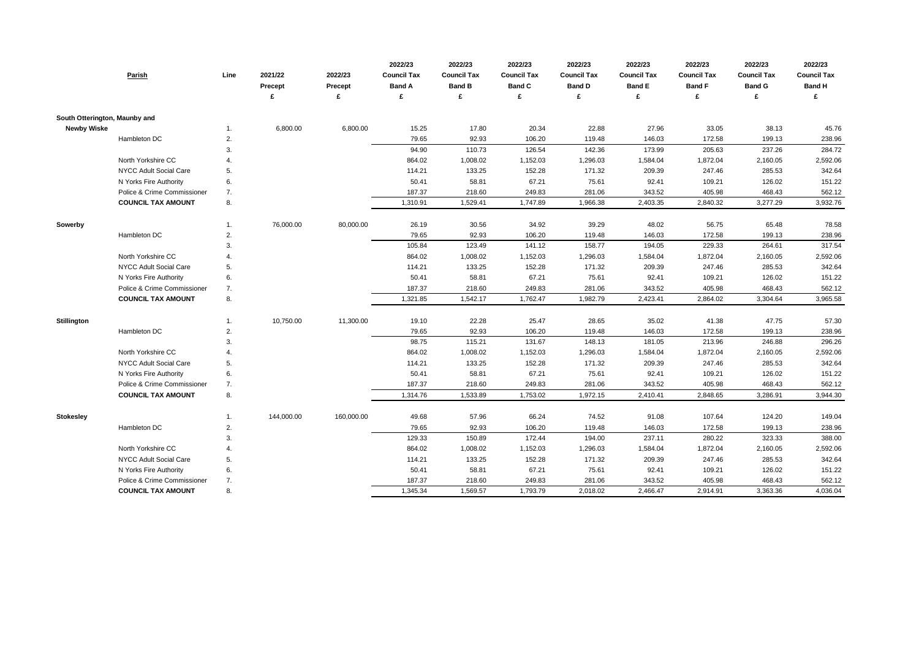|                               | Parish                        | Line           | 2021/22<br><b>Precept</b> | 2022/23<br>Precept<br>£ | 2022/23<br><b>Council Tax</b><br><b>Band A</b><br>£ | 2022/23<br><b>Council Tax</b><br><b>Band B</b><br>£ | 2022/23<br><b>Council Tax</b><br><b>Band C</b> | 2022/23<br><b>Council Tax</b><br><b>Band D</b><br>£ | 2022/23<br><b>Council Tax</b><br><b>Band E</b><br>£ | 2022/23<br><b>Council Tax</b><br><b>Band F</b><br>£ | 2022/23<br><b>Council Tax</b><br><b>Band G</b><br>£ | 2022/23<br><b>Council Tax</b><br><b>Band H</b><br>£ |
|-------------------------------|-------------------------------|----------------|---------------------------|-------------------------|-----------------------------------------------------|-----------------------------------------------------|------------------------------------------------|-----------------------------------------------------|-----------------------------------------------------|-----------------------------------------------------|-----------------------------------------------------|-----------------------------------------------------|
|                               |                               |                |                           |                         |                                                     |                                                     |                                                |                                                     |                                                     |                                                     |                                                     |                                                     |
| South Otterington, Maunby and |                               |                |                           |                         |                                                     |                                                     |                                                |                                                     |                                                     |                                                     |                                                     |                                                     |
| <b>Newby Wiske</b>            |                               | -1.            | 6,800.00                  | 6,800.00                | 15.25                                               | 17.80                                               | 20.34                                          | 22.88                                               | 27.96                                               | 33.05                                               | 38.13                                               | 45.76                                               |
|                               | Hambleton DC                  | 2.             |                           |                         | 79.65                                               | 92.93                                               | 106.20                                         | 119.48                                              | 146.03                                              | 172.58                                              | 199.13                                              | 238.96                                              |
|                               |                               | 3.             |                           |                         | 94.90                                               | 110.73                                              | 126.54                                         | 142.36                                              | 173.99                                              | 205.63                                              | 237.26                                              | 284.72                                              |
|                               | North Yorkshire CC            | $\overline{4}$ |                           |                         | 864.02                                              | 1,008.02                                            | 1,152.03                                       | 1,296.03                                            | 1,584.04                                            | 1,872.04                                            | 2,160.05                                            | 2,592.06                                            |
|                               | <b>NYCC Adult Social Care</b> | 5.             |                           |                         | 114.21                                              | 133.25                                              | 152.28                                         | 171.32                                              | 209.39                                              | 247.46                                              | 285.53                                              | 342.64                                              |
|                               | N Yorks Fire Authority        | 6.             |                           |                         | 50.41                                               | 58.81                                               | 67.21                                          | 75.61                                               | 92.41                                               | 109.21                                              | 126.02                                              | 151.22                                              |
|                               | Police & Crime Commissioner   | 7.             |                           |                         | 187.37                                              | 218.60                                              | 249.83                                         | 281.06                                              | 343.52                                              | 405.98                                              | 468.43                                              | 562.12                                              |
|                               | <b>COUNCIL TAX AMOUNT</b>     | 8.             |                           |                         | 1,310.91                                            | 1,529.41                                            | 1,747.89                                       | 1,966.38                                            | 2,403.35                                            | 2,840.32                                            | 3,277.29                                            | 3,932.76                                            |
| Sowerby                       |                               | -1.            | 76,000.00                 | 80,000.00               | 26.19                                               | 30.56                                               | 34.92                                          | 39.29                                               | 48.02                                               | 56.75                                               | 65.48                                               | 78.58                                               |
|                               | Hambleton DC                  | 2.             |                           |                         | 79.65                                               | 92.93                                               | 106.20                                         | 119.48                                              | 146.03                                              | 172.58                                              | 199.13                                              | 238.96                                              |
|                               |                               | 3.             |                           |                         | 105.84                                              | 123.49                                              | 141.12                                         | 158.77                                              | 194.05                                              | 229.33                                              | 264.61                                              | 317.54                                              |
|                               | North Yorkshire CC            | 4              |                           |                         | 864.02                                              | 1,008.02                                            | 1,152.03                                       | 1,296.03                                            | 1,584.04                                            | 1,872.04                                            | 2,160.05                                            | 2,592.06                                            |
|                               | NYCC Adult Social Care        | 5.             |                           |                         | 114.21                                              | 133.25                                              | 152.28                                         | 171.32                                              | 209.39                                              | 247.46                                              | 285.53                                              | 342.64                                              |
|                               | N Yorks Fire Authority        | 6.             |                           |                         | 50.41                                               | 58.81                                               | 67.21                                          | 75.61                                               | 92.41                                               | 109.21                                              | 126.02                                              | 151.22                                              |
|                               | Police & Crime Commissioner   | 7.             |                           |                         | 187.37                                              | 218.60                                              | 249.83                                         | 281.06                                              | 343.52                                              | 405.98                                              | 468.43                                              | 562.12                                              |
|                               | <b>COUNCIL TAX AMOUNT</b>     | 8.             |                           |                         | 1,321.85                                            | 1,542.17                                            | 1,762.47                                       | 1,982.79                                            | 2,423.41                                            | 2,864.02                                            | 3,304.64                                            | 3,965.58                                            |
| <b>Stillington</b>            |                               | -1.            | 10,750.00                 | 11,300.00               | 19.10                                               | 22.28                                               | 25.47                                          | 28.65                                               | 35.02                                               | 41.38                                               | 47.75                                               | 57.30                                               |
|                               | Hambleton DC                  | 2.             |                           |                         | 79.65                                               | 92.93                                               | 106.20                                         | 119.48                                              | 146.03                                              | 172.58                                              | 199.13                                              | 238.96                                              |
|                               |                               | 3.             |                           |                         | 98.75                                               | 115.21                                              | 131.67                                         | 148.13                                              | 181.05                                              | 213.96                                              | 246.88                                              | 296.26                                              |
|                               | North Yorkshire CC            | $\overline{4}$ |                           |                         | 864.02                                              | 1,008.02                                            | 1,152.03                                       | 1,296.03                                            | 1,584.04                                            | 1,872.04                                            | 2,160.05                                            | 2,592.06                                            |
|                               | <b>NYCC Adult Social Care</b> | 5.             |                           |                         | 114.21                                              | 133.25                                              | 152.28                                         | 171.32                                              | 209.39                                              | 247.46                                              | 285.53                                              | 342.64                                              |
|                               | N Yorks Fire Authority        | 6.             |                           |                         | 50.41                                               | 58.81                                               | 67.21                                          | 75.61                                               | 92.41                                               | 109.21                                              | 126.02                                              | 151.22                                              |
|                               | Police & Crime Commissioner   | 7.             |                           |                         | 187.37                                              | 218.60                                              | 249.83                                         | 281.06                                              | 343.52                                              | 405.98                                              | 468.43                                              | 562.12                                              |
|                               | <b>COUNCIL TAX AMOUNT</b>     | 8.             |                           |                         | 1,314.76                                            | 1,533.89                                            | 1,753.02                                       | 1,972.15                                            | 2,410.41                                            | 2,848.65                                            | 3,286.91                                            | 3,944.30                                            |
| <b>Stokesley</b>              |                               | -1.            | 144,000.00                | 160,000.00              | 49.68                                               | 57.96                                               | 66.24                                          | 74.52                                               | 91.08                                               | 107.64                                              | 124.20                                              | 149.04                                              |
|                               | Hambleton DC                  | 2.             |                           |                         | 79.65                                               | 92.93                                               | 106.20                                         | 119.48                                              | 146.03                                              | 172.58                                              | 199.13                                              | 238.96                                              |
|                               |                               | 3.             |                           |                         | 129.33                                              | 150.89                                              | 172.44                                         | 194.00                                              | 237.11                                              | 280.22                                              | 323.33                                              | 388.00                                              |
|                               | North Yorkshire CC            | $\overline{4}$ |                           |                         | 864.02                                              | 1,008.02                                            | 1,152.03                                       | 1,296.03                                            | 1,584.04                                            | 1,872.04                                            | 2,160.05                                            | 2,592.06                                            |
|                               | NYCC Adult Social Care        | 5.             |                           |                         | 114.21                                              | 133.25                                              | 152.28                                         | 171.32                                              | 209.39                                              | 247.46                                              | 285.53                                              | 342.64                                              |
|                               | N Yorks Fire Authority        | 6.             |                           |                         | 50.41                                               | 58.81                                               | 67.21                                          | 75.61                                               | 92.41                                               | 109.21                                              | 126.02                                              | 151.22                                              |
|                               | Police & Crime Commissioner   | 7.             |                           |                         | 187.37                                              | 218.60                                              | 249.83                                         | 281.06                                              | 343.52                                              | 405.98                                              | 468.43                                              | 562.12                                              |
|                               | <b>COUNCIL TAX AMOUNT</b>     | 8.             |                           |                         | 1,345.34                                            | 1,569.57                                            | 1,793.79                                       | 2,018.02                                            | 2,466.47                                            | 2,914.91                                            | 3,363.36                                            | 4,036.04                                            |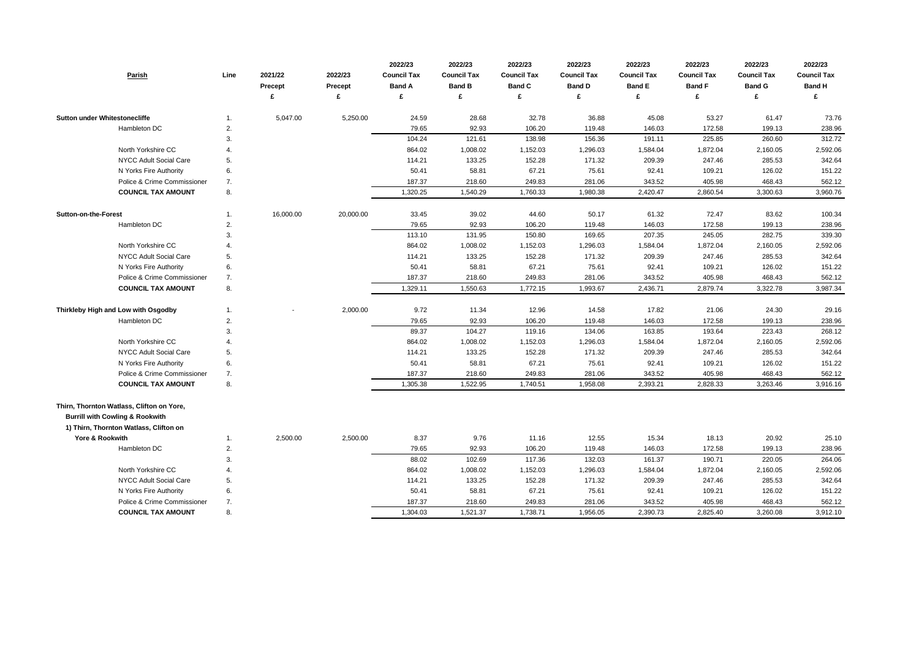| Parish                                     | Line | 2021/22<br>Precept | 2022/23<br><b>Precept</b> | 2022/23<br><b>Council Tax</b><br><b>Band A</b> | 2022/23<br><b>Council Tax</b><br><b>Band B</b> | 2022/23<br><b>Council Tax</b><br><b>Band C</b> | 2022/23<br><b>Council Tax</b><br><b>Band D</b> | 2022/23<br><b>Council Tax</b><br><b>Band E</b> | 2022/23<br><b>Council Tax</b><br><b>Band F</b> | 2022/23<br><b>Council Tax</b><br><b>Band G</b> | 2022/23<br><b>Council Tax</b><br><b>Band H</b> |
|--------------------------------------------|------|--------------------|---------------------------|------------------------------------------------|------------------------------------------------|------------------------------------------------|------------------------------------------------|------------------------------------------------|------------------------------------------------|------------------------------------------------|------------------------------------------------|
|                                            |      |                    | £                         | £                                              |                                                |                                                |                                                | £                                              | £                                              |                                                |                                                |
| <b>Sutton under Whitestonecliffe</b>       |      | 5,047.00           | 5,250.00                  | 24.59                                          | 28.68                                          | 32.78                                          | 36.88                                          | 45.08                                          | 53.27                                          | 61.47                                          | 73.76                                          |
| Hambleton DC                               | 2.   |                    |                           | 79.65                                          | 92.93                                          | 106.20                                         | 119.48                                         | 146.03                                         | 172.58                                         | 199.13                                         | 238.96                                         |
|                                            | 3.   |                    |                           | 104.24                                         | 121.61                                         | 138.98                                         | 156.36                                         | 191.11                                         | 225.85                                         | 260.60                                         | 312.72                                         |
| North Yorkshire CC                         | 4.   |                    |                           | 864.02                                         | 1,008.02                                       | 1,152.03                                       | 1,296.03                                       | 1,584.04                                       | 1,872.04                                       | 2,160.05                                       | 2,592.06                                       |
| NYCC Adult Social Care                     | 5.   |                    |                           | 114.21                                         | 133.25                                         | 152.28                                         | 171.32                                         | 209.39                                         | 247.46                                         | 285.53                                         | 342.64                                         |
| N Yorks Fire Authority                     | 6.   |                    |                           | 50.41                                          | 58.81                                          | 67.21                                          | 75.61                                          | 92.41                                          | 109.21                                         | 126.02                                         | 151.22                                         |
| Police & Crime Commissioner                | 7.   |                    |                           | 187.37                                         | 218.60                                         | 249.83                                         | 281.06                                         | 343.52                                         | 405.98                                         | 468.43                                         | 562.12                                         |
| <b>COUNCIL TAX AMOUNT</b>                  | 8.   |                    |                           | 1,320.25                                       | 1,540.29                                       | 1,760.33                                       | 1,980.38                                       | 2,420.47                                       | 2,860.54                                       | 3,300.63                                       | 3,960.76                                       |
| <b>Sutton-on-the-Forest</b>                |      | 16,000.00          | 20,000.00                 | 33.45                                          | 39.02                                          | 44.60                                          | 50.17                                          | 61.32                                          | 72.47                                          | 83.62                                          | 100.34                                         |
| Hambleton DC                               | 2.   |                    |                           | 79.65                                          | 92.93                                          | 106.20                                         | 119.48                                         | 146.03                                         | 172.58                                         | 199.13                                         | 238.96                                         |
|                                            | 3.   |                    |                           | 113.10                                         | 131.95                                         | 150.80                                         | 169.65                                         | 207.35                                         | 245.05                                         | 282.75                                         | 339.30                                         |
| North Yorkshire CC                         | 4.   |                    |                           | 864.02                                         | 1,008.02                                       | 1,152.03                                       | 1,296.03                                       | 1,584.04                                       | 1,872.04                                       | 2,160.05                                       | 2,592.06                                       |
| NYCC Adult Social Care                     | 5.   |                    |                           | 114.21                                         | 133.25                                         | 152.28                                         | 171.32                                         | 209.39                                         | 247.46                                         | 285.53                                         | 342.64                                         |
| N Yorks Fire Authority                     | 6.   |                    |                           | 50.41                                          | 58.81                                          | 67.21                                          | 75.61                                          | 92.41                                          | 109.21                                         | 126.02                                         | 151.22                                         |
| Police & Crime Commissioner                | 7.   |                    |                           | 187.37                                         | 218.60                                         | 249.83                                         | 281.06                                         | 343.52                                         | 405.98                                         | 468.43                                         | 562.12                                         |
| <b>COUNCIL TAX AMOUNT</b>                  | 8.   |                    |                           | 1,329.11                                       | 1,550.63                                       | 1,772.15                                       | 1,993.67                                       | 2,436.71                                       | 2,879.74                                       | 3,322.78                                       | 3,987.34                                       |
| Thirkleby High and Low with Osgodby        |      |                    | 2,000.00                  | 9.72                                           | 11.34                                          | 12.96                                          | 14.58                                          | 17.82                                          | 21.06                                          | 24.30                                          | 29.16                                          |
| Hambleton DC                               | 2.   |                    |                           | 79.65                                          | 92.93                                          | 106.20                                         | 119.48                                         | 146.03                                         | 172.58                                         | 199.13                                         | 238.96                                         |
|                                            | 3.   |                    |                           | 89.37                                          | 104.27                                         | 119.16                                         | 134.06                                         | 163.85                                         | 193.64                                         | 223.43                                         | 268.12                                         |
| North Yorkshire CC                         | 4.   |                    |                           | 864.02                                         | 1,008.02                                       | 1,152.03                                       | 1,296.03                                       | 1,584.04                                       | 1,872.04                                       | 2,160.05                                       | 2,592.06                                       |
| NYCC Adult Social Care                     | 5.   |                    |                           | 114.21                                         | 133.25                                         | 152.28                                         | 171.32                                         | 209.39                                         | 247.46                                         | 285.53                                         | 342.64                                         |
| N Yorks Fire Authority                     | 6.   |                    |                           | 50.41                                          | 58.81                                          | 67.21                                          | 75.61                                          | 92.41                                          | 109.21                                         | 126.02                                         | 151.22                                         |
| Police & Crime Commissioner                | 7.   |                    |                           | 187.37                                         | 218.60                                         | 249.83                                         | 281.06                                         | 343.52                                         | 405.98                                         | 468.43                                         | 562.12                                         |
| <b>COUNCIL TAX AMOUNT</b>                  | 8.   |                    |                           | 1,305.38                                       | 1,522.95                                       | 1,740.51                                       | 1,958.08                                       | 2,393.21                                       | 2,828.33                                       | 3,263.46                                       | 3,916.16                                       |
| Thirn, Thornton Watlass, Clifton on Yore,  |      |                    |                           |                                                |                                                |                                                |                                                |                                                |                                                |                                                |                                                |
| <b>Burrill with Cowling &amp; Rookwith</b> |      |                    |                           |                                                |                                                |                                                |                                                |                                                |                                                |                                                |                                                |
| 1) Thirn, Thornton Watlass, Clifton on     |      |                    |                           |                                                |                                                |                                                |                                                |                                                |                                                |                                                |                                                |
| Yore & Rookwith                            | 1.   | 2,500.00           | 2,500.00                  | 8.37                                           | 9.76                                           | 11.16                                          | 12.55                                          | 15.34                                          | 18.13                                          | 20.92                                          | 25.10                                          |
| Hambleton DC                               | 2.   |                    |                           | 79.65                                          | 92.93                                          | 106.20                                         | 119.48                                         | 146.03                                         | 172.58                                         | 199.13                                         | 238.96                                         |
|                                            | 3.   |                    |                           | 88.02                                          | 102.69                                         | 117.36                                         | 132.03                                         | 161.37                                         | 190.71                                         | 220.05                                         | 264.06                                         |
| North Yorkshire CC                         | 4.   |                    |                           | 864.02                                         | 1,008.02                                       | 1,152.03                                       | 1,296.03                                       | 1,584.04                                       | 1,872.04                                       | 2,160.05                                       | 2,592.06                                       |
| <b>NYCC Adult Social Care</b>              | 5.   |                    |                           | 114.21                                         | 133.25                                         | 152.28                                         | 171.32                                         | 209.39                                         | 247.46                                         | 285.53                                         | 342.64                                         |
| N Yorks Fire Authority                     | 6.   |                    |                           | 50.41                                          | 58.81                                          | 67.21                                          | 75.61                                          | 92.41                                          | 109.21                                         | 126.02                                         | 151.22                                         |
| Police & Crime Commissioner                | 7.   |                    |                           | 187.37                                         | 218.60                                         | 249.83                                         | 281.06                                         | 343.52                                         | 405.98                                         | 468.43                                         | 562.12                                         |
| <b>COUNCIL TAX AMOUNT</b>                  | 8.   |                    |                           | 1,304.03                                       | 1,521.37                                       | 1,738.71                                       | 1,956.05                                       | 2,390.73                                       | 2,825.40                                       | 3,260.08                                       | 3,912.10                                       |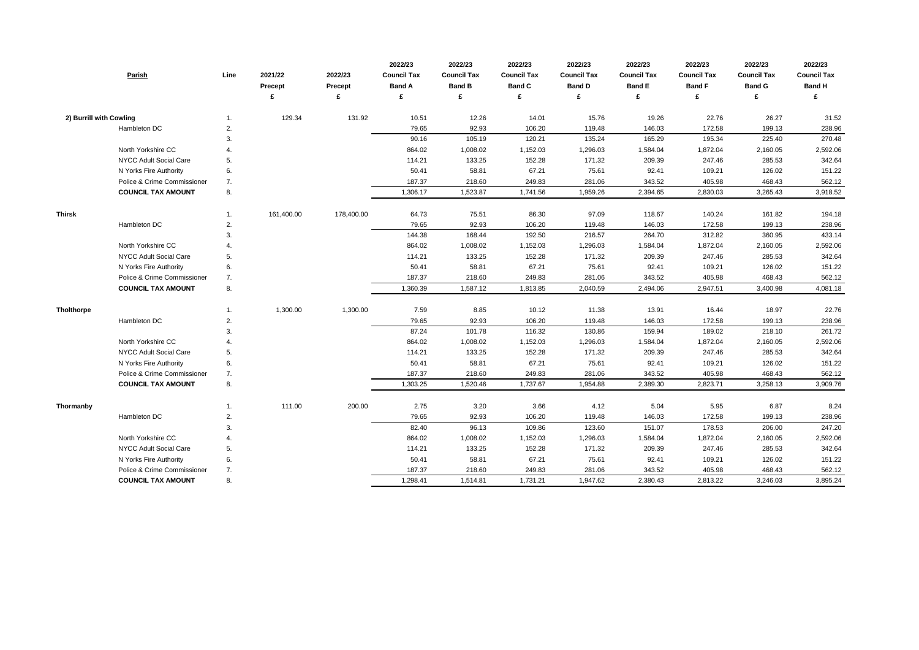| Parish                        | Line | 2021/22<br><b>Precept</b> | 2022/23<br><b>Precept</b><br>£ | 2022/23<br><b>Council Tax</b><br><b>Band A</b> | 2022/23<br><b>Council Tax</b><br><b>Band B</b><br>£ | 2022/23<br><b>Council Tax</b><br><b>Band C</b><br>£ | 2022/23<br><b>Council Tax</b><br><b>Band D</b><br>£ | 2022/23<br><b>Council Tax</b><br><b>Band E</b><br>£ | 2022/23<br><b>Council Tax</b><br><b>Band F</b><br>£ | 2022/23<br><b>Council Tax</b><br><b>Band G</b><br>£ | 2022/23<br><b>Council Tax</b><br><b>Band H</b> |
|-------------------------------|------|---------------------------|--------------------------------|------------------------------------------------|-----------------------------------------------------|-----------------------------------------------------|-----------------------------------------------------|-----------------------------------------------------|-----------------------------------------------------|-----------------------------------------------------|------------------------------------------------|
|                               |      |                           |                                |                                                |                                                     |                                                     |                                                     |                                                     |                                                     |                                                     |                                                |
| 2) Burrill with Cowling       |      | 129.34                    | 131.92                         | 10.51                                          | 12.26                                               | 14.01                                               | 15.76                                               | 19.26                                               | 22.76                                               | 26.27                                               | 31.52                                          |
| Hambleton DC                  | 2.   |                           |                                | 79.65                                          | 92.93                                               | 106.20                                              | 119.48                                              | 146.03                                              | 172.58                                              | 199.13                                              | 238.96                                         |
|                               | 3.   |                           |                                | 90.16                                          | 105.19                                              | 120.21                                              | 135.24                                              | 165.29                                              | 195.34                                              | 225.40                                              | 270.48                                         |
| North Yorkshire CC            | 4.   |                           |                                | 864.02                                         | 1,008.02                                            | 1,152.03                                            | 1,296.03                                            | 1,584.04                                            | 1,872.04                                            | 2,160.05                                            | 2,592.06                                       |
| NYCC Adult Social Care        | 5.   |                           |                                | 114.21                                         | 133.25                                              | 152.28                                              | 171.32                                              | 209.39                                              | 247.46                                              | 285.53                                              | 342.64                                         |
| N Yorks Fire Authority        | 6.   |                           |                                | 50.41                                          | 58.81                                               | 67.21                                               | 75.61                                               | 92.41                                               | 109.21                                              | 126.02                                              | 151.22                                         |
| Police & Crime Commissioner   | 7.   |                           |                                | 187.37                                         | 218.60                                              | 249.83                                              | 281.06                                              | 343.52                                              | 405.98                                              | 468.43                                              | 562.12                                         |
| <b>COUNCIL TAX AMOUNT</b>     | 8.   |                           |                                | 1,306.17                                       | 1,523.87                                            | 1,741.56                                            | 1,959.26                                            | 2,394.65                                            | 2,830.03                                            | 3,265.43                                            | 3,918.52                                       |
| <b>Thirsk</b>                 |      | 161,400.00                | 178,400.00                     | 64.73                                          | 75.51                                               | 86.30                                               | 97.09                                               | 118.67                                              | 140.24                                              | 161.82                                              | 194.18                                         |
| Hambleton DC                  | 2.   |                           |                                | 79.65                                          | 92.93                                               | 106.20                                              | 119.48                                              | 146.03                                              | 172.58                                              | 199.13                                              | 238.96                                         |
|                               | 3.   |                           |                                | 144.38                                         | 168.44                                              | 192.50                                              | 216.57                                              | 264.70                                              | 312.82                                              | 360.95                                              | 433.14                                         |
| North Yorkshire CC            | 4.   |                           |                                | 864.02                                         | 1,008.02                                            | 1,152.03                                            | 1,296.03                                            | 1,584.04                                            | 1,872.04                                            | 2,160.05                                            | 2,592.06                                       |
| NYCC Adult Social Care        | 5.   |                           |                                | 114.21                                         | 133.25                                              | 152.28                                              | 171.32                                              | 209.39                                              | 247.46                                              | 285.53                                              | 342.64                                         |
| N Yorks Fire Authority        | 6.   |                           |                                | 50.41                                          | 58.81                                               | 67.21                                               | 75.61                                               | 92.41                                               | 109.21                                              | 126.02                                              | 151.22                                         |
| Police & Crime Commissioner   | 7.   |                           |                                | 187.37                                         | 218.60                                              | 249.83                                              | 281.06                                              | 343.52                                              | 405.98                                              | 468.43                                              | 562.12                                         |
| <b>COUNCIL TAX AMOUNT</b>     | 8.   |                           |                                | 1,360.39                                       | 1,587.12                                            | 1,813.85                                            | 2,040.59                                            | 2,494.06                                            | 2,947.51                                            | 3,400.98                                            | 4,081.18                                       |
| <b>Tholthorpe</b>             |      | 1,300.00                  | 1,300.00                       | 7.59                                           | 8.85                                                | 10.12                                               | 11.38                                               | 13.91                                               | 16.44                                               | 18.97                                               | 22.76                                          |
| Hambleton DC                  | 2.   |                           |                                | 79.65                                          | 92.93                                               | 106.20                                              | 119.48                                              | 146.03                                              | 172.58                                              | 199.13                                              | 238.96                                         |
|                               | 3.   |                           |                                | 87.24                                          | 101.78                                              | 116.32                                              | 130.86                                              | 159.94                                              | 189.02                                              | 218.10                                              | 261.72                                         |
| North Yorkshire CC            | 4.   |                           |                                | 864.02                                         | 1,008.02                                            | 1,152.03                                            | 1,296.03                                            | 1,584.04                                            | 1,872.04                                            | 2,160.05                                            | 2,592.06                                       |
| NYCC Adult Social Care        | 5.   |                           |                                | 114.21                                         | 133.25                                              | 152.28                                              | 171.32                                              | 209.39                                              | 247.46                                              | 285.53                                              | 342.64                                         |
| N Yorks Fire Authority        | 6.   |                           |                                | 50.41                                          | 58.81                                               | 67.21                                               | 75.61                                               | 92.41                                               | 109.21                                              | 126.02                                              | 151.22                                         |
| Police & Crime Commissioner   | 7.   |                           |                                | 187.37                                         | 218.60                                              | 249.83                                              | 281.06                                              | 343.52                                              | 405.98                                              | 468.43                                              | 562.12                                         |
| <b>COUNCIL TAX AMOUNT</b>     | 8.   |                           |                                | 1,303.25                                       | 1,520.46                                            | 1,737.67                                            | 1,954.88                                            | 2,389.30                                            | 2,823.71                                            | 3,258.13                                            | 3,909.76                                       |
| Thormanby                     |      | 111.00                    | 200.00                         | 2.75                                           | 3.20                                                | 3.66                                                | 4.12                                                | 5.04                                                | 5.95                                                | 6.87                                                | 8.24                                           |
| Hambleton DC                  | 2.   |                           |                                | 79.65                                          | 92.93                                               | 106.20                                              | 119.48                                              | 146.03                                              | 172.58                                              | 199.13                                              | 238.96                                         |
|                               | 3.   |                           |                                | 82.40                                          | 96.13                                               | 109.86                                              | 123.60                                              | 151.07                                              | 178.53                                              | 206.00                                              | 247.20                                         |
| North Yorkshire CC            | 4.   |                           |                                | 864.02                                         | 1,008.02                                            | 1,152.03                                            | 1,296.03                                            | 1,584.04                                            | 1,872.04                                            | 2,160.05                                            | 2,592.06                                       |
| <b>NYCC Adult Social Care</b> | 5.   |                           |                                | 114.21                                         | 133.25                                              | 152.28                                              | 171.32                                              | 209.39                                              | 247.46                                              | 285.53                                              | 342.64                                         |
| N Yorks Fire Authority        | 6.   |                           |                                | 50.41                                          | 58.81                                               | 67.21                                               | 75.61                                               | 92.41                                               | 109.21                                              | 126.02                                              | 151.22                                         |
| Police & Crime Commissioner   | 7.   |                           |                                | 187.37                                         | 218.60                                              | 249.83                                              | 281.06                                              | 343.52                                              | 405.98                                              | 468.43                                              | 562.12                                         |
| <b>COUNCIL TAX AMOUNT</b>     | 8.   |                           |                                | 1,298.41                                       | 1,514.81                                            | 1,731.21                                            | 1,947.62                                            | 2,380.43                                            | 2,813.22                                            | 3,246.03                                            | 3,895.24                                       |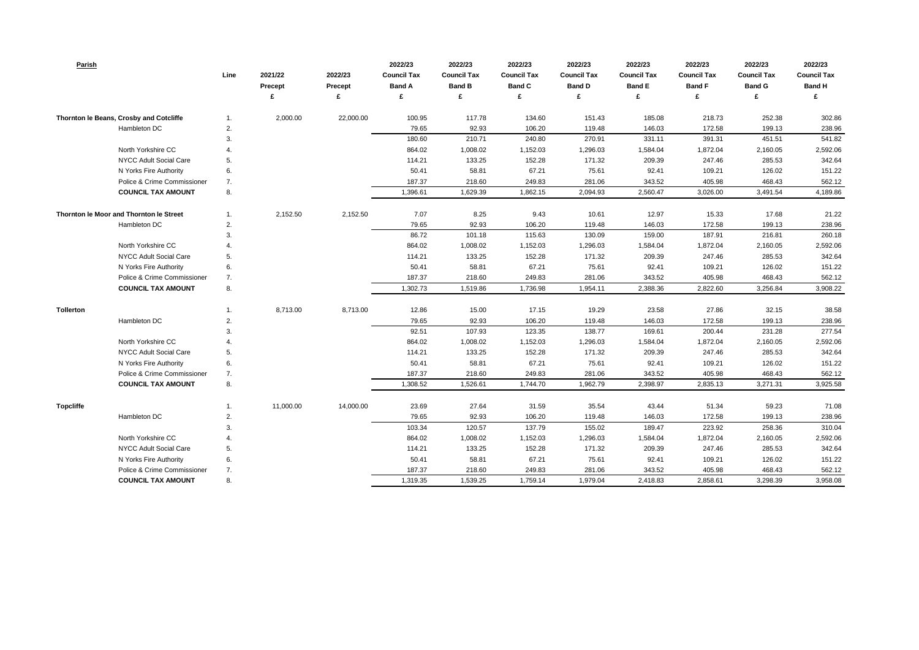| <b>Parish</b>                           | Line | 2021/22<br>Precept | 2022/23<br><b>Precept</b> | 2022/23<br><b>Council Tax</b><br><b>Band A</b> | 2022/23<br><b>Council Tax</b><br><b>Band B</b> | 2022/23<br><b>Council Tax</b><br><b>Band C</b> | 2022/23<br><b>Council Tax</b><br><b>Band D</b> | 2022/23<br><b>Council Tax</b><br><b>Band E</b> | 2022/23<br><b>Council Tax</b><br><b>Band F</b> | 2022/23<br><b>Council Tax</b><br><b>Band G</b> | 2022/23<br><b>Council Tax</b><br><b>Band H</b> |
|-----------------------------------------|------|--------------------|---------------------------|------------------------------------------------|------------------------------------------------|------------------------------------------------|------------------------------------------------|------------------------------------------------|------------------------------------------------|------------------------------------------------|------------------------------------------------|
|                                         |      |                    |                           | £                                              | £                                              | £                                              |                                                | £                                              | £                                              |                                                | £                                              |
| Thornton le Beans, Crosby and Cotcliffe | 1.   | 2,000.00           | 22,000.00                 | 100.95                                         | 117.78                                         | 134.60                                         | 151.43                                         | 185.08                                         | 218.73                                         | 252.38                                         | 302.86                                         |
| Hambleton DC                            | 2.   |                    |                           | 79.65                                          | 92.93                                          | 106.20                                         | 119.48                                         | 146.03                                         | 172.58                                         | 199.13                                         | 238.96                                         |
|                                         | 3.   |                    |                           | 180.60                                         | 210.71                                         | 240.80                                         | 270.91                                         | 331.11                                         | 391.31                                         | 451.51                                         | 541.82                                         |
| North Yorkshire CC                      |      |                    |                           | 864.02                                         | 1,008.02                                       | 1,152.03                                       | 1,296.03                                       | 1,584.04                                       | 1,872.04                                       | 2,160.05                                       | 2,592.06                                       |
| NYCC Adult Social Care                  | 5.   |                    |                           | 114.21                                         | 133.25                                         | 152.28                                         | 171.32                                         | 209.39                                         | 247.46                                         | 285.53                                         | 342.64                                         |
| N Yorks Fire Authority                  | 6.   |                    |                           | 50.41                                          | 58.81                                          | 67.21                                          | 75.61                                          | 92.41                                          | 109.21                                         | 126.02                                         | 151.22                                         |
| Police & Crime Commissioner             | 7.   |                    |                           | 187.37                                         | 218.60                                         | 249.83                                         | 281.06                                         | 343.52                                         | 405.98                                         | 468.43                                         | 562.12                                         |
| <b>COUNCIL TAX AMOUNT</b>               | 8.   |                    |                           | 1,396.61                                       | 1,629.39                                       | 1,862.15                                       | 2,094.93                                       | 2,560.47                                       | 3,026.00                                       | 3,491.54                                       | 4,189.86                                       |
| Thornton le Moor and Thornton le Street | 1.   | 2,152.50           | 2,152.50                  | 7.07                                           | 8.25                                           | 9.43                                           | 10.61                                          | 12.97                                          | 15.33                                          | 17.68                                          | 21.22                                          |
| Hambleton DC                            | 2.   |                    |                           | 79.65                                          | 92.93                                          | 106.20                                         | 119.48                                         | 146.03                                         | 172.58                                         | 199.13                                         | 238.96                                         |
|                                         | 3.   |                    |                           | 86.72                                          | 101.18                                         | 115.63                                         | 130.09                                         | 159.00                                         | 187.91                                         | 216.81                                         | 260.18                                         |
| North Yorkshire CC                      |      |                    |                           | 864.02                                         | 1,008.02                                       | 1,152.03                                       | 1,296.03                                       | 1,584.04                                       | 1,872.04                                       | 2,160.05                                       | 2,592.06                                       |
| NYCC Adult Social Care                  | 5.   |                    |                           | 114.21                                         | 133.25                                         | 152.28                                         | 171.32                                         | 209.39                                         | 247.46                                         | 285.53                                         | 342.64                                         |
| N Yorks Fire Authority                  | 6.   |                    |                           | 50.41                                          | 58.81                                          | 67.21                                          | 75.61                                          | 92.41                                          | 109.21                                         | 126.02                                         | 151.22                                         |
| Police & Crime Commissioner             | 7.   |                    |                           | 187.37                                         | 218.60                                         | 249.83                                         | 281.06                                         | 343.52                                         | 405.98                                         | 468.43                                         | 562.12                                         |
| <b>COUNCIL TAX AMOUNT</b>               | 8.   |                    |                           | 1,302.73                                       | 1,519.86                                       | 1,736.98                                       | 1,954.11                                       | 2,388.36                                       | 2,822.60                                       | 3,256.84                                       | 3,908.22                                       |
| <b>Tollerton</b>                        | 1.   | 8,713.00           | 8,713.00                  | 12.86                                          | 15.00                                          | 17.15                                          | 19.29                                          | 23.58                                          | 27.86                                          | 32.15                                          | 38.58                                          |
| Hambleton DC                            | 2.   |                    |                           | 79.65                                          | 92.93                                          | 106.20                                         | 119.48                                         | 146.03                                         | 172.58                                         | 199.13                                         | 238.96                                         |
|                                         | 3.   |                    |                           | 92.51                                          | 107.93                                         | 123.35                                         | 138.77                                         | 169.61                                         | 200.44                                         | 231.28                                         | 277.54                                         |
| North Yorkshire CC                      |      |                    |                           | 864.02                                         | 1,008.02                                       | 1,152.03                                       | 1,296.03                                       | 1,584.04                                       | 1,872.04                                       | 2,160.05                                       | 2,592.06                                       |
| NYCC Adult Social Care                  | 5.   |                    |                           | 114.21                                         | 133.25                                         | 152.28                                         | 171.32                                         | 209.39                                         | 247.46                                         | 285.53                                         | 342.64                                         |
| N Yorks Fire Authority                  | 6.   |                    |                           | 50.41                                          | 58.81                                          | 67.21                                          | 75.61                                          | 92.41                                          | 109.21                                         | 126.02                                         | 151.22                                         |
| Police & Crime Commissioner             | 7.   |                    |                           | 187.37                                         | 218.60                                         | 249.83                                         | 281.06                                         | 343.52                                         | 405.98                                         | 468.43                                         | 562.12                                         |
| <b>COUNCIL TAX AMOUNT</b>               | 8.   |                    |                           | 1,308.52                                       | 1,526.61                                       | 1,744.70                                       | 1,962.79                                       | 2,398.97                                       | 2,835.13                                       | 3,271.31                                       | 3,925.58                                       |
| <b>Topcliffe</b>                        | 1.   | 11,000.00          | 14,000.00                 | 23.69                                          | 27.64                                          | 31.59                                          | 35.54                                          | 43.44                                          | 51.34                                          | 59.23                                          | 71.08                                          |
| Hambleton DC                            | 2.   |                    |                           | 79.65                                          | 92.93                                          | 106.20                                         | 119.48                                         | 146.03                                         | 172.58                                         | 199.13                                         | 238.96                                         |
|                                         | 3.   |                    |                           | 103.34                                         | 120.57                                         | 137.79                                         | 155.02                                         | 189.47                                         | 223.92                                         | 258.36                                         | 310.04                                         |
| North Yorkshire CC                      | 4.   |                    |                           | 864.02                                         | 1,008.02                                       | 1,152.03                                       | 1,296.03                                       | 1,584.04                                       | 1,872.04                                       | 2,160.05                                       | 2,592.06                                       |
| NYCC Adult Social Care                  | 5.   |                    |                           | 114.21                                         | 133.25                                         | 152.28                                         | 171.32                                         | 209.39                                         | 247.46                                         | 285.53                                         | 342.64                                         |
| N Yorks Fire Authority                  | 6.   |                    |                           | 50.41                                          | 58.81                                          | 67.21                                          | 75.61                                          | 92.41                                          | 109.21                                         | 126.02                                         | 151.22                                         |
| Police & Crime Commissioner             | 7.   |                    |                           | 187.37                                         | 218.60                                         | 249.83                                         | 281.06                                         | 343.52                                         | 405.98                                         | 468.43                                         | 562.12                                         |
| <b>COUNCIL TAX AMOUNT</b>               | 8.   |                    |                           | 1,319.35                                       | 1,539.25                                       | 1,759.14                                       | 1,979.04                                       | 2,418.83                                       | 2,858.61                                       | 3,298.39                                       | 3,958.08                                       |

| 2022/23            | 2022/23            | 2022/23            |
|--------------------|--------------------|--------------------|
| <b>Council Tax</b> | <b>Council Tax</b> | <b>Council Tax</b> |
| <b>Band F</b>      | <b>Band G</b>      | <b>Band H</b>      |
| £                  | £                  | £                  |
|                    |                    |                    |
| 218.73             | 252.38             | 302.86             |
| 172.58             | 199.13             | 238.96             |
| 391.31             | 451.51             | 541.82             |
| 1,872.04           | 2,160.05           | 2,592.06           |
| 247.46             | 285.53             | 342.64             |
| 109.21             | 126.02             | 151.22             |
| 405.98             | 468.43             | 562.12             |
| 3,026.00           | 3,491.54           | 4,189.86           |
|                    |                    |                    |
| 15.33              | 17.68              | 21.22              |
| 172.58             | 199.13             | 238.96             |
| 187.91             | 216.81             | 260.18             |
| 1,872.04           | 2,160.05           | 2,592.06           |
| 247.46             | 285.53             | 342.64             |
| 109.21             | 126.02             | 151.22             |
| 405.98             | 468.43             | 562.12             |
| 2,822.60           | 3,256.84           | 3,908.22           |
|                    |                    |                    |
| 27.86              | 32.15              | 38.58              |
| 172.58             | 199.13             | 238.96             |
| 200.44             | 231.28             | 277.54             |
| 1,872.04           | 2,160.05           | 2,592.06           |
| 247.46             | 285.53             | 342.64             |
| 109.21             | 126.02             | 151.22             |
| 405.98             | 468.43             | 562.12             |
| 2,835.13           | 3,271.31           | 3,925.58           |
|                    |                    |                    |
| 51.34              | 59.23              | 71.08              |
| 172.58             | 199.13             | 238.96             |
| 223.92             | 258.36             | 310.04             |
| 1,872.04           | 2,160.05           | 2,592.06           |
| 247.46             | 285.53             | 342.64             |
| 109.21             | 126.02             | 151.22             |
| 405.98             | 468.43             | 562.12             |
| 2,858.61           | 3,298.39           | 3,958.08           |